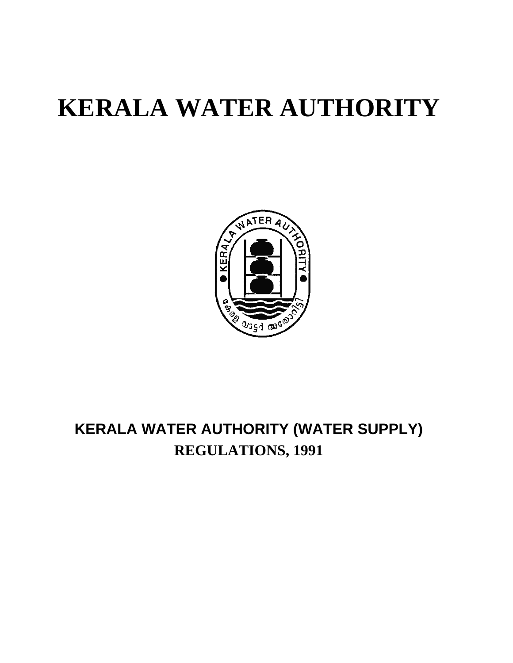# **KERALA WATER AUTHORITY**



## **KERALA WATER AUTHORITY (WATER SUPPLY) REGULATIONS, 1991**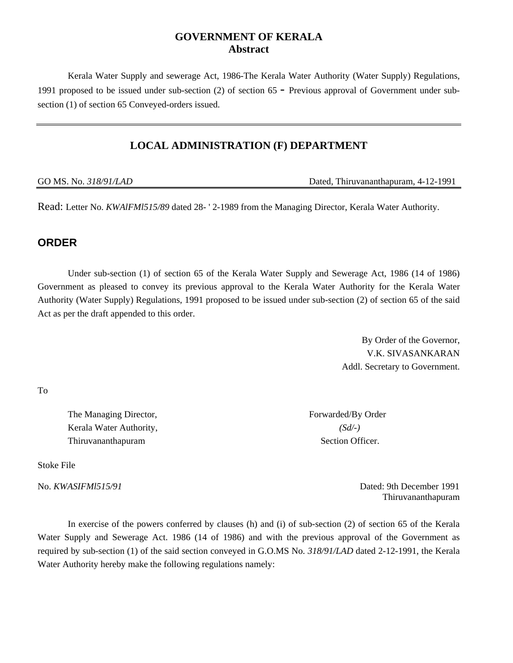#### **GOVERNMENT OF KERALA Abstract**

Kerala Water Supply and sewerage Act, 1986-The Kerala Water Authority (Water Supply) Regulations, 1991 proposed to be issued under sub-section (2) of section 65 - Previous approval of Government under subsection (1) of section 65 Conveyed-orders issued.

#### **LOCAL ADMINISTRATION (F) DEPARTMENT**

GO MS. No. 318/91/LAD **Dated, Thiruvananthapuram, 4-12-1991** 

Read: Letter No. *KWAlFMl515/89* dated 28- ' 2-1989 from the Managing Director, Kerala Water Authority.

#### **ORDER**

Under sub-section (1) of section 65 of the Kerala Water Supply and Sewerage Act, 1986 (14 of 1986) Government as pleased to convey its previous approval to the Kerala Water Authority for the Kerala Water Authority (Water Supply) Regulations, 1991 proposed to be issued under sub-section (2) of section 65 of the said Act as per the draft appended to this order.

> By Order of the Governor, V.K. SIVASANKARAN Addl. Secretary to Government.

To

The Managing Director, Forwarded/By Order Kerala Water Authority, *(Sd/-)* Thiruvananthapuram Section Officer.

Stoke File

No. *KWASIFMl515/91* Dated: 9th December 1991 Thiruvananthapuram

In exercise of the powers conferred by clauses (h) and (i) of sub-section (2) of section 65 of the Kerala Water Supply and Sewerage Act. 1986 (14 of 1986) and with the previous approval of the Government as required by sub-section (1) of the said section conveyed in G.O.MS No. *318/91/LAD* dated 2-12-1991, the Kerala Water Authority hereby make the following regulations namely: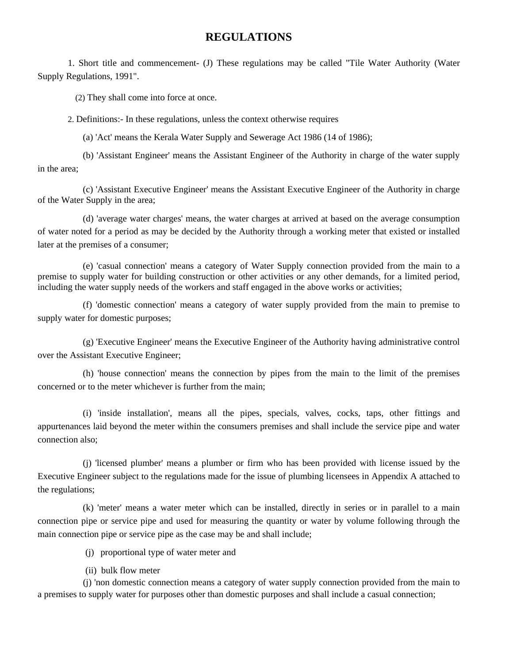#### **REGULATIONS**

1. Short title and commencement- (J) These regulations may be called "Tile Water Authority (Water Supply Regulations, 1991".

(2) They shall come into force at once.

2. Definitions:- In these regulations, unless the context otherwise requires

(a) 'Act' means the Kerala Water Supply and Sewerage Act 1986 (14 of 1986);

(b) 'Assistant Engineer' means the Assistant Engineer of the Authority in charge of the water supply in the area;

(c) 'Assistant Executive Engineer' means the Assistant Executive Engineer of the Authority in charge of the Water Supply in the area;

(d) 'average water charges' means, the water charges at arrived at based on the average consumption of water noted for a period as may be decided by the Authority through a working meter that existed or installed later at the premises of a consumer;

(e) 'casual connection' means a category of Water Supply connection provided from the main to a premise to supply water for building construction or other activities or any other demands, for a limited period, including the water supply needs of the workers and staff engaged in the above works or activities;

(f) 'domestic connection' means a category of water supply provided from the main to premise to supply water for domestic purposes;

(g) 'Executive Engineer' means the Executive Engineer of the Authority having administrative control over the Assistant Executive Engineer;

(h) 'house connection' means the connection by pipes from the main to the limit of the premises concerned or to the meter whichever is further from the main;

(i) 'inside installation', means all the pipes, specials, valves, cocks, taps, other fittings and appurtenances laid beyond the meter within the consumers premises and shall include the service pipe and water connection also;

(j) 'licensed plumber' means a plumber or firm who has been provided with license issued by the Executive Engineer subject to the regulations made for the issue of plumbing licensees in Appendix A attached to the regulations;

(k) 'meter' means a water meter which can be installed, directly in series or in parallel to a main connection pipe or service pipe and used for measuring the quantity or water by volume following through the main connection pipe or service pipe as the case may be and shall include;

(j) proportional type of water meter and

(ii) bulk flow meter

(j) 'non domestic connection means a category of water supply connection provided from the main to a premises to supply water for purposes other than domestic purposes and shall include a casual connection;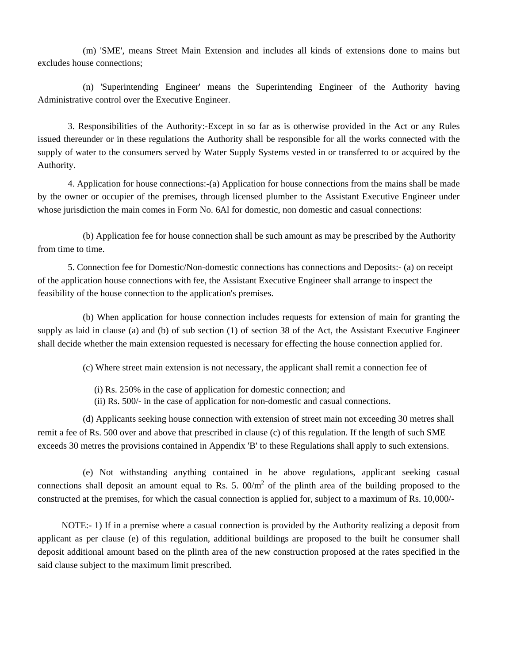(m) 'SME', means Street Main Extension and includes all kinds of extensions done to mains but excludes house connections;

(n) 'Superintending Engineer' means the Superintending Engineer of the Authority having Administrative control over the Executive Engineer.

3. Responsibilities of the Authority:-Except in so far as is otherwise provided in the Act or any Rules issued thereunder or in these regulations the Authority shall be responsible for all the works connected with the supply of water to the consumers served by Water Supply Systems vested in or transferred to or acquired by the Authority.

4. Application for house connections:-(a) Application for house connections from the mains shall be made by the owner or occupier of the premises, through licensed plumber to the Assistant Executive Engineer under whose jurisdiction the main comes in Form No. 6Al for domestic, non domestic and casual connections:

(b) Application fee for house connection shall be such amount as may be prescribed by the Authority from time to time.

5. Connection fee for Domestic/Non-domestic connections has connections and Deposits:- (a) on receipt of the application house connections with fee, the Assistant Executive Engineer shall arrange to inspect the feasibility of the house connection to the application's premises.

(b) When application for house connection includes requests for extension of main for granting the supply as laid in clause (a) and (b) of sub section (1) of section 38 of the Act, the Assistant Executive Engineer shall decide whether the main extension requested is necessary for effecting the house connection applied for.

(c) Where street main extension is not necessary, the applicant shall remit a connection fee of

(i) Rs. 250% in the case of application for domestic connection; and

(ii) Rs. 500/- in the case of application for non-domestic and casual connections.

(d) Applicants seeking house connection with extension of street main not exceeding 30 metres shall remit a fee of Rs. 500 over and above that prescribed in clause (c) of this regulation. If the length of such SME exceeds 30 metres the provisions contained in Appendix 'B' to these Regulations shall apply to such extensions.

(e) Not withstanding anything contained in he above regulations, applicant seeking casual connections shall deposit an amount equal to Rs. 5.  $00/m^2$  of the plinth area of the building proposed to the constructed at the premises, for which the casual connection is applied for, subject to a maximum of Rs. 10,000/-

NOTE:- 1) If in a premise where a casual connection is provided by the Authority realizing a deposit from applicant as per clause (e) of this regulation, additional buildings are proposed to the built he consumer shall deposit additional amount based on the plinth area of the new construction proposed at the rates specified in the said clause subject to the maximum limit prescribed.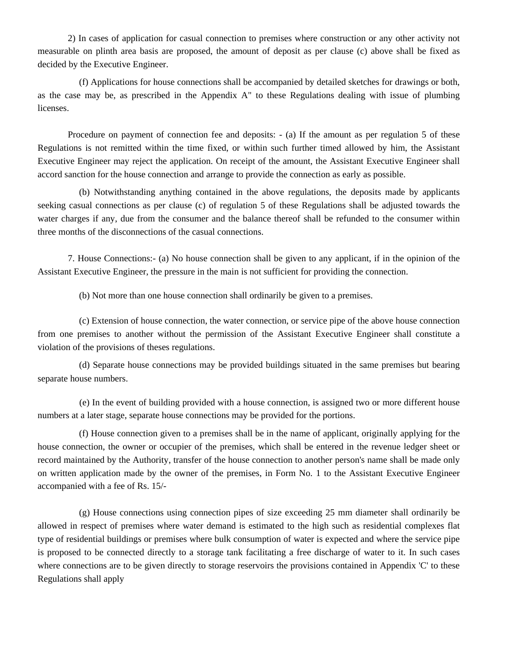2) In cases of application for casual connection to premises where construction or any other activity not measurable on plinth area basis are proposed, the amount of deposit as per clause (c) above shall be fixed as decided by the Executive Engineer.

(f) Applications for house connections shall be accompanied by detailed sketches for drawings or both, as the case may be, as prescribed in the Appendix A" to these Regulations dealing with issue of plumbing licenses.

Procedure on payment of connection fee and deposits: - (a) If the amount as per regulation 5 of these Regulations is not remitted within the time fixed, or within such further timed allowed by him, the Assistant Executive Engineer may reject the application. On receipt of the amount, the Assistant Executive Engineer shall accord sanction for the house connection and arrange to provide the connection as early as possible.

(b) Notwithstanding anything contained in the above regulations, the deposits made by applicants seeking casual connections as per clause (c) of regulation 5 of these Regulations shall be adjusted towards the water charges if any, due from the consumer and the balance thereof shall be refunded to the consumer within three months of the disconnections of the casual connections.

7. House Connections:- (a) No house connection shall be given to any applicant, if in the opinion of the Assistant Executive Engineer, the pressure in the main is not sufficient for providing the connection.

(b) Not more than one house connection shall ordinarily be given to a premises.

(c) Extension of house connection, the water connection, or service pipe of the above house connection from one premises to another without the permission of the Assistant Executive Engineer shall constitute a violation of the provisions of theses regulations.

(d) Separate house connections may be provided buildings situated in the same premises but bearing separate house numbers.

(e) In the event of building provided with a house connection, is assigned two or more different house numbers at a later stage, separate house connections may be provided for the portions.

(f) House connection given to a premises shall be in the name of applicant, originally applying for the house connection, the owner or occupier of the premises, which shall be entered in the revenue ledger sheet or record maintained by the Authority, transfer of the house connection to another person's name shall be made only on written application made by the owner of the premises, in Form No. 1 to the Assistant Executive Engineer accompanied with a fee of Rs. 15/-

(g) House connections using connection pipes of size exceeding 25 mm diameter shall ordinarily be allowed in respect of premises where water demand is estimated to the high such as residential complexes flat type of residential buildings or premises where bulk consumption of water is expected and where the service pipe is proposed to be connected directly to a storage tank facilitating a free discharge of water to it. In such cases where connections are to be given directly to storage reservoirs the provisions contained in Appendix 'C' to these Regulations shall apply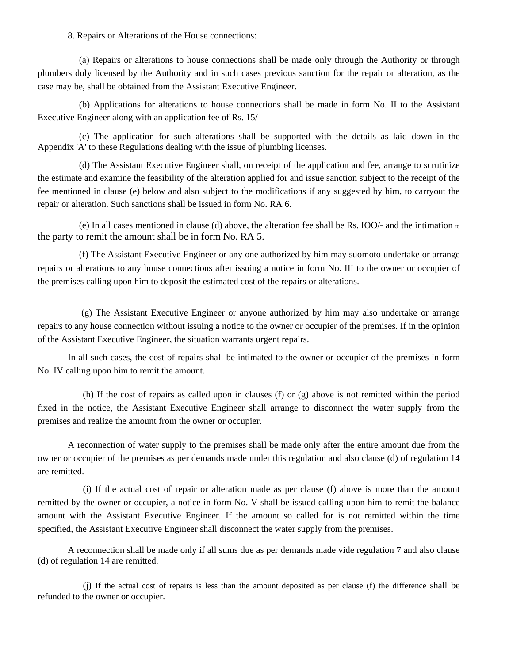8. Repairs or Alterations of the House connections:

(a) Repairs or alterations to house connections shall be made only through the Authority or through plumbers duly licensed by the Authority and in such cases previous sanction for the repair or alteration, as the case may be, shall be obtained from the Assistant Executive Engineer.

(b) Applications for alterations to house connections shall be made in form No. II to the Assistant Executive Engineer along with an application fee of Rs. 15/

(c) The application for such alterations shall be supported with the details as laid down in the Appendix 'A' to these Regulations dealing with the issue of plumbing licenses.

(d) The Assistant Executive Engineer shall, on receipt of the application and fee, arrange to scrutinize the estimate and examine the feasibility of the alteration applied for and issue sanction subject to the receipt of the fee mentioned in clause (e) below and also subject to the modifications if any suggested by him, to carryout the repair or alteration. Such sanctions shall be issued in form No. RA 6.

(e) In all cases mentioned in clause (d) above, the alteration fee shall be Rs. IOO/- and the intimation to the party to remit the amount shall be in form No. RA 5.

(f) The Assistant Executive Engineer or any one authorized by him may suomoto undertake or arrange repairs or alterations to any house connections after issuing a notice in form No. III to the owner or occupier of the premises calling upon him to deposit the estimated cost of the repairs or alterations.

 (g) The Assistant Executive Engineer or anyone authorized by him may also undertake or arrange repairs to any house connection without issuing a notice to the owner or occupier of the premises. If in the opinion of the Assistant Executive Engineer, the situation warrants urgent repairs.

In all such cases, the cost of repairs shall be intimated to the owner or occupier of the premises in form No. IV calling upon him to remit the amount.

(h) If the cost of repairs as called upon in clauses (f) or (g) above is not remitted within the period fixed in the notice, the Assistant Executive Engineer shall arrange to disconnect the water supply from the premises and realize the amount from the owner or occupier.

A reconnection of water supply to the premises shall be made only after the entire amount due from the owner or occupier of the premises as per demands made under this regulation and also clause (d) of regulation 14 are remitted.

(i) If the actual cost of repair or alteration made as per clause (f) above is more than the amount remitted by the owner or occupier, a notice in form No. V shall be issued calling upon him to remit the balance amount with the Assistant Executive Engineer. If the amount so called for is not remitted within the time specified, the Assistant Executive Engineer shall disconnect the water supply from the premises.

A reconnection shall be made only if all sums due as per demands made vide regulation 7 and also clause (d) of regulation 14 are remitted.

(j) If the actual cost of repairs is less than the amount deposited as per clause (f) the difference shall be refunded to the owner or occupier.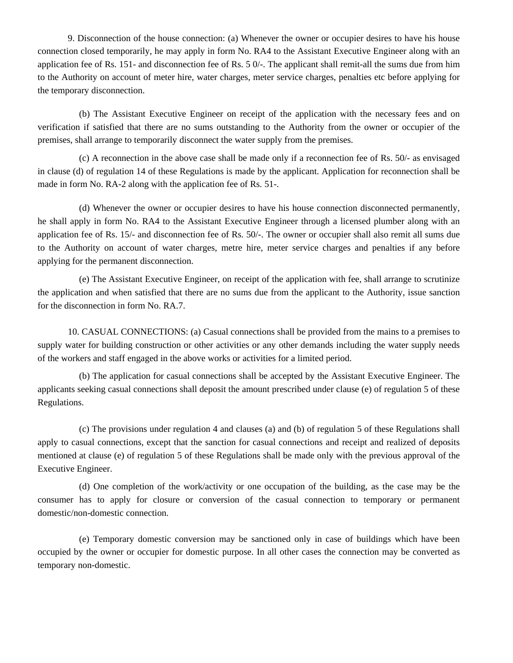9. Disconnection of the house connection: (a) Whenever the owner or occupier desires to have his house connection closed temporarily, he may apply in form No. RA4 to the Assistant Executive Engineer along with an application fee of Rs. 151- and disconnection fee of Rs. 5 0/-. The applicant shall remit-all the sums due from him to the Authority on account of meter hire, water charges, meter service charges, penalties etc before applying for the temporary disconnection.

(b) The Assistant Executive Engineer on receipt of the application with the necessary fees and on verification if satisfied that there are no sums outstanding to the Authority from the owner or occupier of the premises, shall arrange to temporarily disconnect the water supply from the premises.

(c) A reconnection in the above case shall be made only if a reconnection fee of Rs. 50/- as envisaged in clause (d) of regulation 14 of these Regulations is made by the applicant. Application for reconnection shall be made in form No. RA-2 along with the application fee of Rs. 51-.

(d) Whenever the owner or occupier desires to have his house connection disconnected permanently, he shall apply in form No. RA4 to the Assistant Executive Engineer through a licensed plumber along with an application fee of Rs. 15/- and disconnection fee of Rs. 50/-. The owner or occupier shall also remit all sums due to the Authority on account of water charges, metre hire, meter service charges and penalties if any before applying for the permanent disconnection.

(e) The Assistant Executive Engineer, on receipt of the application with fee, shall arrange to scrutinize the application and when satisfied that there are no sums due from the applicant to the Authority, issue sanction for the disconnection in form No. RA.7.

10. CASUAL CONNECTIONS: (a) Casual connections shall be provided from the mains to a premises to supply water for building construction or other activities or any other demands including the water supply needs of the workers and staff engaged in the above works or activities for a limited period.

(b) The application for casual connections shall be accepted by the Assistant Executive Engineer. The applicants seeking casual connections shall deposit the amount prescribed under clause (e) of regulation 5 of these Regulations.

(c) The provisions under regulation 4 and clauses (a) and (b) of regulation 5 of these Regulations shall apply to casual connections, except that the sanction for casual connections and receipt and realized of deposits mentioned at clause (e) of regulation 5 of these Regulations shall be made only with the previous approval of the Executive Engineer.

(d) One completion of the work/activity or one occupation of the building, as the case may be the consumer has to apply for closure or conversion of the casual connection to temporary or permanent domestic/non-domestic connection.

(e) Temporary domestic conversion may be sanctioned only in case of buildings which have been occupied by the owner or occupier for domestic purpose. In all other cases the connection may be converted as temporary non-domestic.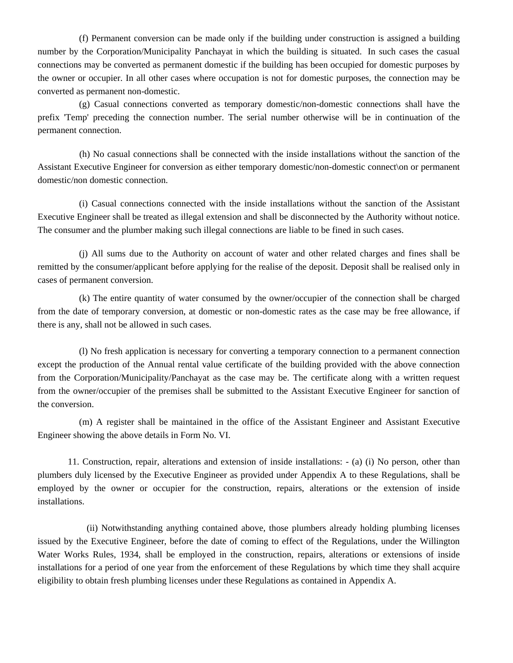(f) Permanent conversion can be made only if the building under construction is assigned a building number by the Corporation/Municipality Panchayat in which the building is situated. In such cases the casual connections may be converted as permanent domestic if the building has been occupied for domestic purposes by the owner or occupier. In all other cases where occupation is not for domestic purposes, the connection may be converted as permanent non-domestic.

(g) Casual connections converted as temporary domestic/non-domestic connections shall have the prefix 'Temp' preceding the connection number. The serial number otherwise will be in continuation of the permanent connection.

(h) No casual connections shall be connected with the inside installations without the sanction of the Assistant Executive Engineer for conversion as either temporary domestic/non-domestic connect\on or permanent domestic/non domestic connection.

(i) Casual connections connected with the inside installations without the sanction of the Assistant Executive Engineer shall be treated as illegal extension and shall be disconnected by the Authority without notice. The consumer and the plumber making such illegal connections are liable to be fined in such cases.

(j) All sums due to the Authority on account of water and other related charges and fines shall be remitted by the consumer/applicant before applying for the realise of the deposit. Deposit shall be realised only in cases of permanent conversion.

(k) The entire quantity of water consumed by the owner/occupier of the connection shall be charged from the date of temporary conversion, at domestic or non-domestic rates as the case may be free allowance, if there is any, shall not be allowed in such cases.

(l) No fresh application is necessary for converting a temporary connection to a permanent connection except the production of the Annual rental value certificate of the building provided with the above connection from the Corporation/Municipality/Panchayat as the case may be. The certificate along with a written request from the owner/occupier of the premises shall be submitted to the Assistant Executive Engineer for sanction of the conversion.

(m) A register shall be maintained in the office of the Assistant Engineer and Assistant Executive Engineer showing the above details in Form No. VI.

11. Construction, repair, alterations and extension of inside installations: - (a) (i) No person, other than plumbers duly licensed by the Executive Engineer as provided under Appendix A to these Regulations, shall be employed by the owner or occupier for the construction, repairs, alterations or the extension of inside installations.

(ii) Notwithstanding anything contained above, those plumbers already holding plumbing licenses issued by the Executive Engineer, before the date of coming to effect of the Regulations, under the Willington Water Works Rules, 1934, shall be employed in the construction, repairs, alterations or extensions of inside installations for a period of one year from the enforcement of these Regulations by which time they shall acquire eligibility to obtain fresh plumbing licenses under these Regulations as contained in Appendix A.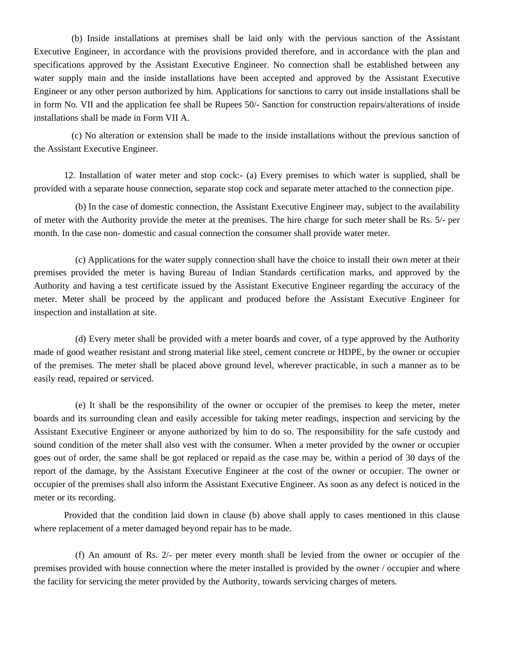(b) Inside installations at premises shall be laid only with the pervious sanction of the Assistant Executive Engineer, in accordance with the provisions provided therefore, and in accordance with the plan and specifications approved by the Assistant Executive Engineer. No connection shall be established between any water supply main and the inside installations have been accepted and approved by the Assistant Executive Engineer or any other person authorized by him. Applications for sanctions to carry out inside installations shall be in form No. VII and the application fee shall be Rupees 50/- Sanction for construction repairs/alterations of inside installations shall be made in Form VII A.

(c) No alteration or extension shall be made to the inside installations without the previous sanction of the Assistant Executive Engineer.

12. Installation of water meter and stop cock:- (a) Every premises to which water is supplied, shall be provided with a separate house connection, separate stop cock and separate meter attached to the connection pipe.

(b) In the case of domestic connection, the Assistant Executive Engineer may, subject to the availability of meter with the Authority provide the meter at the premises. The hire charge for such meter shall be Rs. 5/- per month. In the case non- domestic and casual connection the consumer shall provide water meter.

(c) Applications for the water supply connection shall have the choice to install their own meter at their premises provided the meter is having Bureau of Indian Standards certification marks, and approved by the Authority and having a test certificate issued by the Assistant Executive Engineer regarding the accuracy of the meter. Meter shall be proceed by the applicant and produced before the Assistant Executive Engineer for inspection and installation at site.

(d) Every meter shall be provided with a meter boards and cover, of a type approved by the Authority made of good weather resistant and strong material like steel, cement concrete or HDPE, by the owner or occupier of the premises. The meter shall be placed above ground level, wherever practicable, in such a manner as to be easily read, repaired or serviced.

(e) It shall be the responsibility of the owner or occupier of the premises to keep the meter, meter boards and its surrounding clean and easily accessible for taking meter readings, inspection and servicing by the Assistant Executive Engineer or anyone authorized by him to do so. The responsibility for the safe custody and sound condition of the meter shall also vest with the consumer. When a meter provided by the owner or occupier goes out of order, the same shall be got replaced or repaid as the case may be, within a period of 30 days of the report of the damage, by the Assistant Executive Engineer at the cost of the owner or occupier. The owner or occupier of the premises shall also inform the Assistant Executive Engineer. As soon as any defect is noticed in the meter or its recording.

Provided that the condition laid down in clause (b) above shall apply to cases mentioned in this clause where replacement of a meter damaged beyond repair has to be made.

(f) An amount of Rs. 2/- per meter every month shall be levied from the owner or occupier of the premises provided with house connection where the meter installed is provided by the owner / occupier and where the facility for servicing the meter provided by the Authority, towards servicing charges of meters.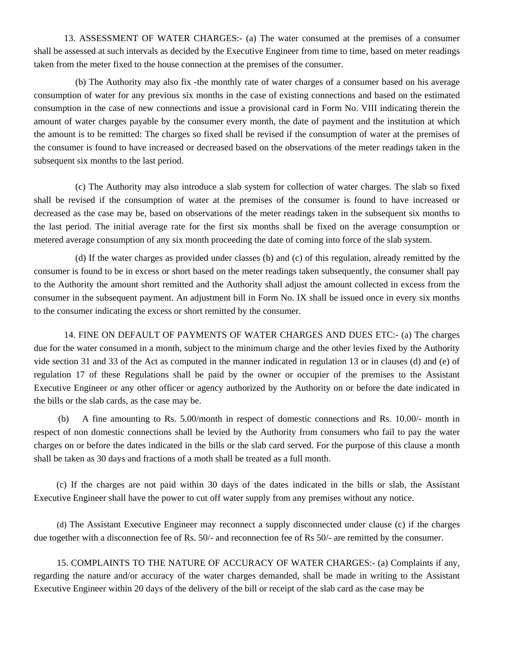13. ASSESSMENT OF WATER CHARGES:- (a) The water consumed at the premises of a consumer shall be assessed at such intervals as decided by the Executive Engineer from time to time, based on meter readings taken from the meter fixed to the house connection at the premises of the consumer.

(b) The Authority may also fix -the monthly rate of water charges of a consumer based on his average consumption of water for any previous six months in the case of existing connections and based on the estimated consumption in the case of new connections and issue a provisional card in Form No. VIII indicating therein the amount of water charges payable by the consumer every month, the date of payment and the institution at which the amount is to be remitted: The charges so fixed shall be revised if the consumption of water at the premises of the consumer is found to have increased or decreased based on the observations of the meter readings taken in the subsequent six months to the last period.

(c) The Authority may also introduce a slab system for collection of water charges. The slab so fixed shall be revised if the consumption of water at the premises of the consumer is found to have increased or decreased as the case may be, based on observations of the meter readings taken in the subsequent six months to the last period. The initial average rate for the first six months shall be fixed on the average consumption or metered average consumption of any six month proceeding the date of coming into force of the slab system.

(d) If the water charges as provided under classes (b) and (c) of this regulation, already remitted by the consumer is found to be in excess or short based on the meter readings taken subsequently, the consumer shall pay to the Authority the amount short remitted and the Authority shall adjust the amount collected in excess from the consumer in the subsequent payment. An adjustment bill in Form No. IX shall be issued once in every six months to the consumer indicating the excess or short remitted by the consumer.

14. FINE ON DEFAULT OF PAYMENTS OF WATER CHARGES AND DUES ETC:- (a) The charges due for the water consumed in a month, subject to the minimum charge and the other levies fixed by the Authority vide section 31 and 33 of the Act as computed in the manner indicated in regulation 13 or in clauses (d) and (e) of regulation 17 of these Regulations shall be paid by the owner or occupier of the premises to the Assistant Executive Engineer or any other officer or agency authorized by the Authority on or before the date indicated in the bills or the slab cards, as the case may be.

 (b) A fine amounting to Rs. 5.00/month in respect of domestic connections and Rs. 10.00/- month in respect of non domestic connections shall be levied by the Authority from consumers who fail to pay the water charges on or before the dates indicated in the bills or the slab card served. For the purpose of this clause a month shall be taken as 30 days and fractions of a moth shall be treated as a full month.

(c) If the charges are not paid within 30 days of the dates indicated in the bills or slab, the Assistant Executive Engineer shall have the power to cut off water supply from any premises without any notice.

(d) The Assistant Executive Engineer may reconnect a supply disconnected under clause (c) if the charges due together with a disconnection fee of Rs. 50/- and reconnection fee of Rs 50/- are remitted by the consumer.

15. COMPLAINTS TO THE NATURE OF ACCURACY OF WATER CHARGES:- (a) Complaints if any, regarding the nature and/or accuracy of the water charges demanded, shall be made in writing to the Assistant Executive Engineer within 20 days of the delivery of the bill or receipt of the slab card as the case may be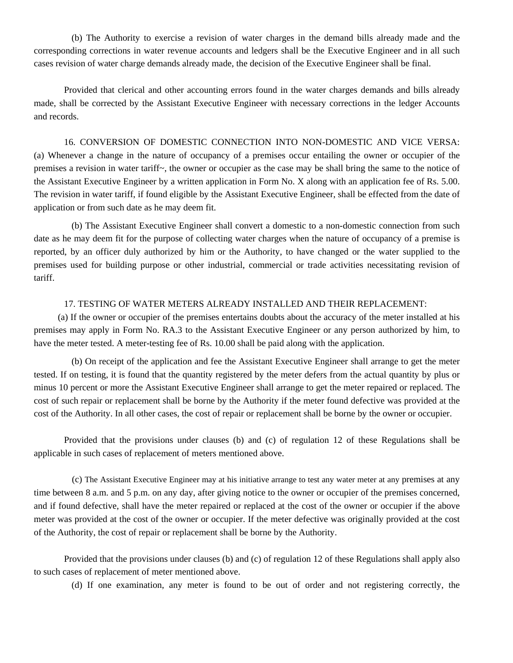(b) The Authority to exercise a revision of water charges in the demand bills already made and the corresponding corrections in water revenue accounts and ledgers shall be the Executive Engineer and in all such cases revision of water charge demands already made, the decision of the Executive Engineer shall be final.

Provided that clerical and other accounting errors found in the water charges demands and bills already made, shall be corrected by the Assistant Executive Engineer with necessary corrections in the ledger Accounts and records.

16. CONVERSION OF DOMESTIC CONNECTION INTO NON-DOMESTIC AND VICE VERSA: (a) Whenever a change in the nature of occupancy of a premises occur entailing the owner or occupier of the premises a revision in water tariff~, the owner or occupier as the case may be shall bring the same to the notice of the Assistant Executive Engineer by a written application in Form No. X along with an application fee of Rs. 5.00. The revision in water tariff, if found eligible by the Assistant Executive Engineer, shall be effected from the date of application or from such date as he may deem fit.

(b) The Assistant Executive Engineer shall convert a domestic to a non-domestic connection from such date as he may deem fit for the purpose of collecting water charges when the nature of occupancy of a premise is reported, by an officer duly authorized by him or the Authority, to have changed or the water supplied to the premises used for building purpose or other industrial, commercial or trade activities necessitating revision of tariff.

#### 17. TESTING OF WATER METERS ALREADY INSTALLED AND THEIR REPLACEMENT:

(a) If the owner or occupier of the premises entertains doubts about the accuracy of the meter installed at his premises may apply in Form No. RA.3 to the Assistant Executive Engineer or any person authorized by him, to have the meter tested. A meter-testing fee of Rs. 10.00 shall be paid along with the application.

(b) On receipt of the application and fee the Assistant Executive Engineer shall arrange to get the meter tested. If on testing, it is found that the quantity registered by the meter defers from the actual quantity by plus or minus 10 percent or more the Assistant Executive Engineer shall arrange to get the meter repaired or replaced. The cost of such repair or replacement shall be borne by the Authority if the meter found defective was provided at the cost of the Authority. In all other cases, the cost of repair or replacement shall be borne by the owner or occupier.

Provided that the provisions under clauses (b) and (c) of regulation 12 of these Regulations shall be applicable in such cases of replacement of meters mentioned above.

(c) The Assistant Executive Engineer may at his initiative arrange to test any water meter at any premises at any time between 8 a.m. and 5 p.m. on any day, after giving notice to the owner or occupier of the premises concerned, and if found defective, shall have the meter repaired or replaced at the cost of the owner or occupier if the above meter was provided at the cost of the owner or occupier. If the meter defective was originally provided at the cost of the Authority, the cost of repair or replacement shall be borne by the Authority.

Provided that the provisions under clauses (b) and (c) of regulation 12 of these Regulations shall apply also to such cases of replacement of meter mentioned above.

(d) If one examination, any meter is found to be out of order and not registering correctly, the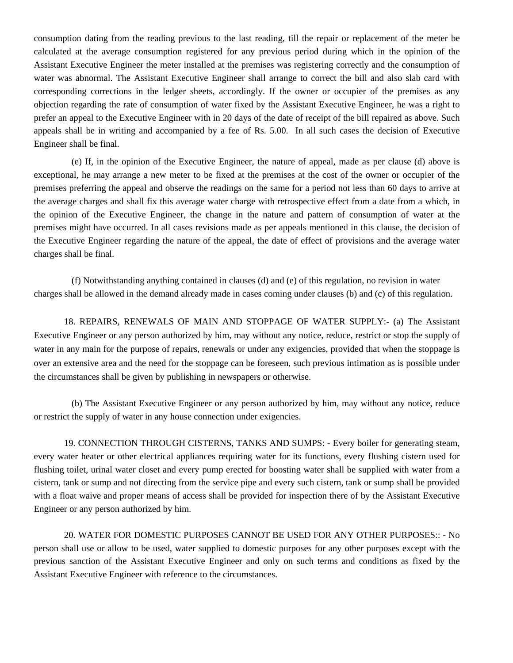consumption dating from the reading previous to the last reading, till the repair or replacement of the meter be calculated at the average consumption registered for any previous period during which in the opinion of the Assistant Executive Engineer the meter installed at the premises was registering correctly and the consumption of water was abnormal. The Assistant Executive Engineer shall arrange to correct the bill and also slab card with corresponding corrections in the ledger sheets, accordingly. If the owner or occupier of the premises as any objection regarding the rate of consumption of water fixed by the Assistant Executive Engineer, he was a right to prefer an appeal to the Executive Engineer with in 20 days of the date of receipt of the bill repaired as above. Such appeals shall be in writing and accompanied by a fee of Rs. 5.00. In all such cases the decision of Executive Engineer shall be final.

(e) If, in the opinion of the Executive Engineer, the nature of appeal, made as per clause (d) above is exceptional, he may arrange a new meter to be fixed at the premises at the cost of the owner or occupier of the premises preferring the appeal and observe the readings on the same for a period not less than 60 days to arrive at the average charges and shall fix this average water charge with retrospective effect from a date from a which, in the opinion of the Executive Engineer, the change in the nature and pattern of consumption of water at the premises might have occurred. In all cases revisions made as per appeals mentioned in this clause, the decision of the Executive Engineer regarding the nature of the appeal, the date of effect of provisions and the average water charges shall be final.

(f) Notwithstanding anything contained in clauses (d) and (e) of this regulation, no revision in water charges shall be allowed in the demand already made in cases coming under clauses (b) and (c) of this regulation.

18. REPAIRS, RENEWALS OF MAIN AND STOPPAGE OF WATER SUPPLY:- (a) The Assistant Executive Engineer or any person authorized by him, may without any notice, reduce, restrict or stop the supply of water in any main for the purpose of repairs, renewals or under any exigencies, provided that when the stoppage is over an extensive area and the need for the stoppage can be foreseen, such previous intimation as is possible under the circumstances shall be given by publishing in newspapers or otherwise.

(b) The Assistant Executive Engineer or any person authorized by him, may without any notice, reduce or restrict the supply of water in any house connection under exigencies.

19. CONNECTION THROUGH CISTERNS, TANKS AND SUMPS: - Every boiler for generating steam, every water heater or other electrical appliances requiring water for its functions, every flushing cistern used for flushing toilet, urinal water closet and every pump erected for boosting water shall be supplied with water from a cistern, tank or sump and not directing from the service pipe and every such cistern, tank or sump shall be provided with a float waive and proper means of access shall be provided for inspection there of by the Assistant Executive Engineer or any person authorized by him.

20. WATER FOR DOMESTIC PURPOSES CANNOT BE USED FOR ANY OTHER PURPOSES:: - No person shall use or allow to be used, water supplied to domestic purposes for any other purposes except with the previous sanction of the Assistant Executive Engineer and only on such terms and conditions as fixed by the Assistant Executive Engineer with reference to the circumstances.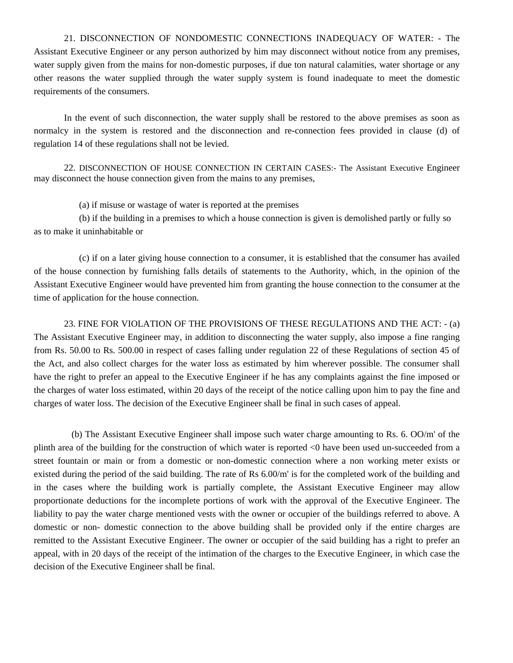21. DISCONNECTION OF NONDOMESTIC CONNECTIONS INADEQUACY OF WATER: - The Assistant Executive Engineer or any person authorized by him may disconnect without notice from any premises, water supply given from the mains for non-domestic purposes, if due ton natural calamities, water shortage or any other reasons the water supplied through the water supply system is found inadequate to meet the domestic requirements of the consumers.

In the event of such disconnection, the water supply shall be restored to the above premises as soon as normalcy in the system is restored and the disconnection and re-connection fees provided in clause (d) of regulation 14 of these regulations shall not be levied.

22. DISCONNECTION OF HOUSE CONNECTION IN CERTAIN CASES:- The Assistant Executive Engineer may disconnect the house connection given from the mains to any premises,

(a) if misuse or wastage of water is reported at the premises

(b) if the building in a premises to which a house connection is given is demolished partly or fully so as to make it uninhabitable or

(c) if on a later giving house connection to a consumer, it is established that the consumer has availed of the house connection by furnishing falls details of statements to the Authority, which, in the opinion of the Assistant Executive Engineer would have prevented him from granting the house connection to the consumer at the time of application for the house connection.

23. FINE FOR VIOLATION OF THE PROVISIONS OF THESE REGULATIONS AND THE ACT: - (a) The Assistant Executive Engineer may, in addition to disconnecting the water supply, also impose a fine ranging from Rs. 50.00 to Rs. 500.00 in respect of cases falling under regulation 22 of these Regulations of section 45 of the Act, and also collect charges for the water loss as estimated by him wherever possible. The consumer shall have the right to prefer an appeal to the Executive Engineer if he has any complaints against the fine imposed or the charges of water loss estimated, within 20 days of the receipt of the notice calling upon him to pay the fine and charges of water loss. The decision of the Executive Engineer shall be final in such cases of appeal.

(b) The Assistant Executive Engineer shall impose such water charge amounting to Rs. 6. OO/m' of the plinth area of the building for the construction of which water is reported <0 have been used un-succeeded from a street fountain or main or from a domestic or non-domestic connection where a non working meter exists or existed during the period of the said building. The rate of Rs 6.00/m' is for the completed work of the building and in the cases where the building work is partially complete, the Assistant Executive Engineer may allow proportionate deductions for the incomplete portions of work with the approval of the Executive Engineer. The liability to pay the water charge mentioned vests with the owner or occupier of the buildings referred to above. A domestic or non- domestic connection to the above building shall be provided only if the entire charges are remitted to the Assistant Executive Engineer. The owner or occupier of the said building has a right to prefer an appeal, with in 20 days of the receipt of the intimation of the charges to the Executive Engineer, in which case the decision of the Executive Engineer shall be final.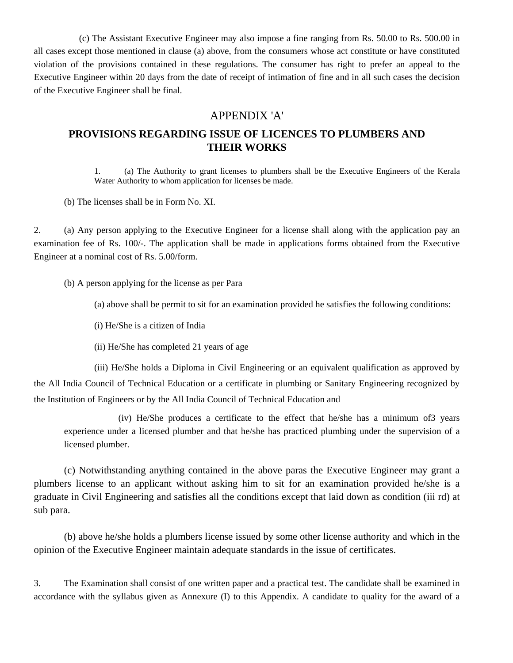(c) The Assistant Executive Engineer may also impose a fine ranging from Rs. 50.00 to Rs. 500.00 in all cases except those mentioned in clause (a) above, from the consumers whose act constitute or have constituted violation of the provisions contained in these regulations. The consumer has right to prefer an appeal to the Executive Engineer within 20 days from the date of receipt of intimation of fine and in all such cases the decision of the Executive Engineer shall be final.

#### APPENDIX 'A'

## **PROVISIONS REGARDING ISSUE OF LICENCES TO PLUMBERS AND THEIR WORKS**

1. (a) The Authority to grant licenses to plumbers shall be the Executive Engineers of the Kerala Water Authority to whom application for licenses be made.

(b) The licenses shall be in Form No. XI.

2. (a) Any person applying to the Executive Engineer for a license shall along with the application pay an examination fee of Rs. 100/-. The application shall be made in applications forms obtained from the Executive Engineer at a nominal cost of Rs. 5.00/form.

(b) A person applying for the license as per Para

- (a) above shall be permit to sit for an examination provided he satisfies the following conditions:
- (i) He/She is a citizen of India
- (ii) He/She has completed 21 years of age

(iii) He/She holds a Diploma in Civil Engineering or an equivalent qualification as approved by the All India Council of Technical Education or a certificate in plumbing or Sanitary Engineering recognized by the Institution of Engineers or by the All India Council of Technical Education and

(iv) He/She produces a certificate to the effect that he/she has a minimum of3 years experience under a licensed plumber and that he/she has practiced plumbing under the supervision of a licensed plumber.

(c) Notwithstanding anything contained in the above paras the Executive Engineer may grant a plumbers license to an applicant without asking him to sit for an examination provided he/she is a graduate in Civil Engineering and satisfies all the conditions except that laid down as condition (iii rd) at sub para.

(b) above he/she holds a plumbers license issued by some other license authority and which in the opinion of the Executive Engineer maintain adequate standards in the issue of certificates.

3. The Examination shall consist of one written paper and a practical test. The candidate shall be examined in accordance with the syllabus given as Annexure (I) to this Appendix. A candidate to quality for the award of a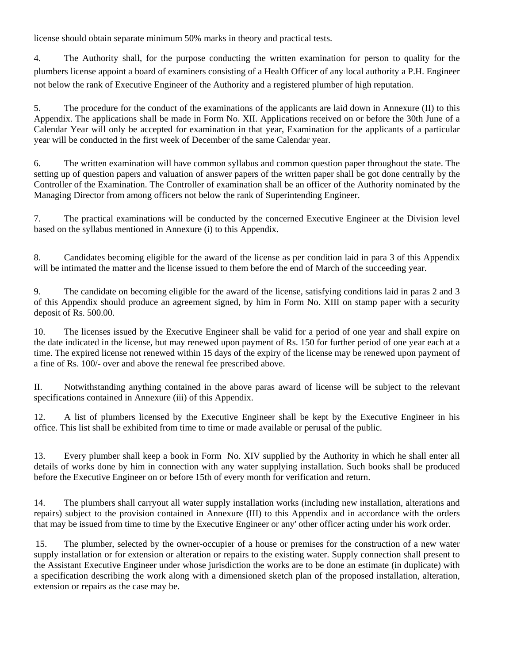license should obtain separate minimum 50% marks in theory and practical tests.

4. The Authority shall, for the purpose conducting the written examination for person to quality for the plumbers license appoint a board of examiners consisting of a Health Officer of any local authority a P.H. Engineer not below the rank of Executive Engineer of the Authority and a registered plumber of high reputation.

5. The procedure for the conduct of the examinations of the applicants are laid down in Annexure (II) to this Appendix. The applications shall be made in Form No. XII. Applications received on or before the 30th June of a Calendar Year will only be accepted for examination in that year, Examination for the applicants of a particular year will be conducted in the first week of December of the same Calendar year.

6. The written examination will have common syllabus and common question paper throughout the state. The setting up of question papers and valuation of answer papers of the written paper shall be got done centrally by the Controller of the Examination. The Controller of examination shall be an officer of the Authority nominated by the Managing Director from among officers not below the rank of Superintending Engineer.

7. The practical examinations will be conducted by the concerned Executive Engineer at the Division level based on the syllabus mentioned in Annexure (i) to this Appendix.

8. Candidates becoming eligible for the award of the license as per condition laid in para 3 of this Appendix will be intimated the matter and the license issued to them before the end of March of the succeeding year.

9. The candidate on becoming eligible for the award of the license, satisfying conditions laid in paras 2 and 3 of this Appendix should produce an agreement signed, by him in Form No. XIII on stamp paper with a security deposit of Rs. 500.00.

10. The licenses issued by the Executive Engineer shall be valid for a period of one year and shall expire on the date indicated in the license, but may renewed upon payment of Rs. 150 for further period of one year each at a time. The expired license not renewed within 15 days of the expiry of the license may be renewed upon payment of a fine of Rs. 100/- over and above the renewal fee prescribed above.

II. Notwithstanding anything contained in the above paras award of license will be subject to the relevant specifications contained in Annexure (iii) of this Appendix.

12. A list of plumbers licensed by the Executive Engineer shall be kept by the Executive Engineer in his office. This list shall be exhibited from time to time or made available or perusal of the public.

13. Every plumber shall keep a book in Form No. XIV supplied by the Authority in which he shall enter all details of works done by him in connection with any water supplying installation. Such books shall be produced before the Executive Engineer on or before 15th of every month for verification and return.

14. The plumbers shall carryout all water supply installation works (including new installation, alterations and repairs) subject to the provision contained in Annexure (III) to this Appendix and in accordance with the orders that may be issued from time to time by the Executive Engineer or any' other officer acting under his work order.

15. The plumber, selected by the owner-occupier of a house or premises for the construction of a new water supply installation or for extension or alteration or repairs to the existing water. Supply connection shall present to the Assistant Executive Engineer under whose jurisdiction the works are to be done an estimate (in duplicate) with a specification describing the work along with a dimensioned sketch plan of the proposed installation, alteration, extension or repairs as the case may be.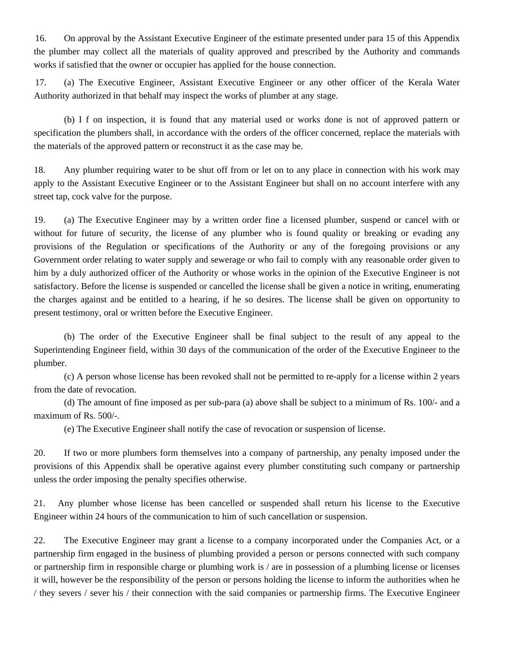16. On approval by the Assistant Executive Engineer of the estimate presented under para 15 of this Appendix the plumber may collect all the materials of quality approved and prescribed by the Authority and commands works if satisfied that the owner or occupier has applied for the house connection.

17. (a) The Executive Engineer, Assistant Executive Engineer or any other officer of the Kerala Water Authority authorized in that behalf may inspect the works of plumber at any stage.

(b) I f on inspection, it is found that any material used or works done is not of approved pattern or specification the plumbers shall, in accordance with the orders of the officer concerned, replace the materials with the materials of the approved pattern or reconstruct it as the case may be.

18. Any plumber requiring water to be shut off from or let on to any place in connection with his work may apply to the Assistant Executive Engineer or to the Assistant Engineer but shall on no account interfere with any street tap, cock valve for the purpose.

19. (a) The Executive Engineer may by a written order fine a licensed plumber, suspend or cancel with or without for future of security, the license of any plumber who is found quality or breaking or evading any provisions of the Regulation or specifications of the Authority or any of the foregoing provisions or any Government order relating to water supply and sewerage or who fail to comply with any reasonable order given to him by a duly authorized officer of the Authority or whose works in the opinion of the Executive Engineer is not satisfactory. Before the license is suspended or cancelled the license shall be given a notice in writing, enumerating the charges against and be entitled to a hearing, if he so desires. The license shall be given on opportunity to present testimony, oral or written before the Executive Engineer.

(b) The order of the Executive Engineer shall be final subject to the result of any appeal to the Superintending Engineer field, within 30 days of the communication of the order of the Executive Engineer to the plumber.

(c) A person whose license has been revoked shall not be permitted to re-apply for a license within 2 years from the date of revocation.

(d) The amount of fine imposed as per sub-para (a) above shall be subject to a minimum of Rs. 100/- and a maximum of Rs. 500/-.

(e) The Executive Engineer shall notify the case of revocation or suspension of license.

20. If two or more plumbers form themselves into a company of partnership, any penalty imposed under the provisions of this Appendix shall be operative against every plumber constituting such company or partnership unless the order imposing the penalty specifies otherwise.

21. Any plumber whose license has been cancelled or suspended shall return his license to the Executive Engineer within 24 hours of the communication to him of such cancellation or suspension.

22. The Executive Engineer may grant a license to a company incorporated under the Companies Act, or a partnership firm engaged in the business of plumbing provided a person or persons connected with such company or partnership firm in responsible charge or plumbing work is / are in possession of a plumbing license or licenses it will, however be the responsibility of the person or persons holding the license to inform the authorities when he / they severs / sever his / their connection with the said companies or partnership firms. The Executive Engineer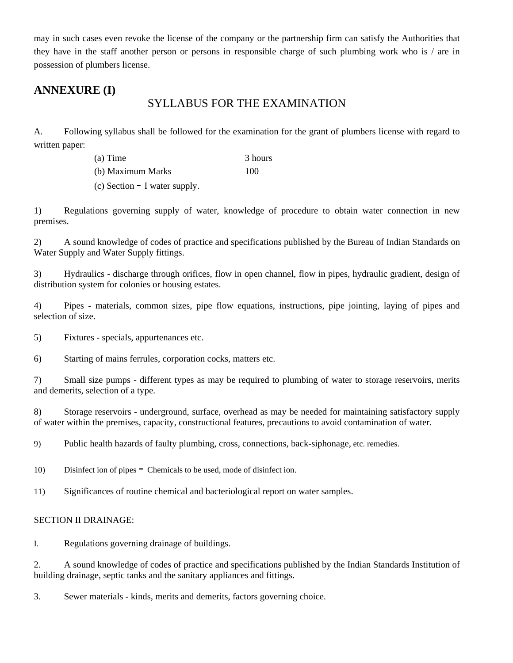may in such cases even revoke the license of the company or the partnership firm can satisfy the Authorities that they have in the staff another person or persons in responsible charge of such plumbing work who is / are in possession of plumbers license.

## **ANNEXURE (I)**

## SYLLABUS FOR THE EXAMINATION

A. Following syllabus shall be followed for the examination for the grant of plumbers license with regard to written paper:

| $(a)$ Time        | 3 hours |
|-------------------|---------|
| (b) Maximum Marks | 100     |
|                   |         |

(c) Section - I water supply.

1) Regulations governing supply of water, knowledge of procedure to obtain water connection in new premises.

2) A sound knowledge of codes of practice and specifications published by the Bureau of Indian Standards on Water Supply and Water Supply fittings.

3) Hydraulics - discharge through orifices, flow in open channel, flow in pipes, hydraulic gradient, design of distribution system for colonies or housing estates.

4) Pipes - materials, common sizes, pipe flow equations, instructions, pipe jointing, laying of pipes and selection of size.

5) Fixtures - specials, appurtenances etc.

6) Starting of mains ferrules, corporation cocks, matters etc.

7) Small size pumps - different types as may be required to plumbing of water to storage reservoirs, merits and demerits, selection of a type.

8) Storage reservoirs - underground, surface, overhead as may be needed for maintaining satisfactory supply of water within the premises, capacity, constructional features, precautions to avoid contamination of water.

9) Public health hazards of faulty plumbing, cross, connections, back-siphonage, etc. remedies.

- 10) Disinfect ion of pipes Chemicals to be used, mode of disinfect ion.
- 11) Significances of routine chemical and bacteriological report on water samples.

#### SECTION II DRAINAGE:

I. Regulations governing drainage of buildings.

2. A sound knowledge of codes of practice and specifications published by the Indian Standards Institution of building drainage, septic tanks and the sanitary appliances and fittings.

3. Sewer materials - kinds, merits and demerits, factors governing choice.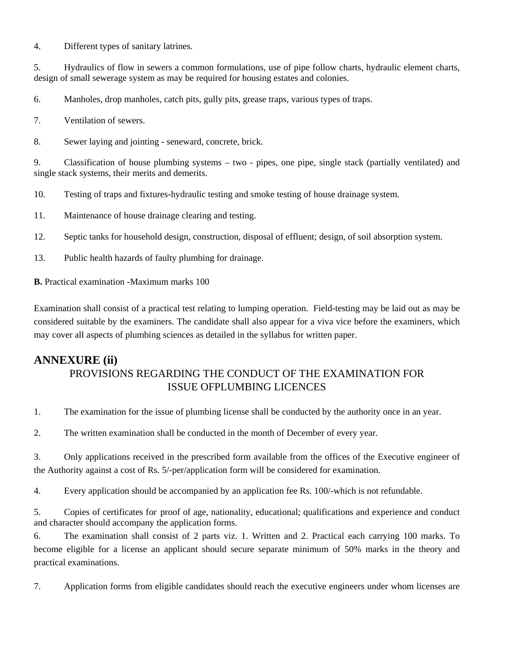4. Different types of sanitary latrines.

5. Hydraulics of flow in sewers a common formulations, use of pipe follow charts, hydraulic element charts, design of small sewerage system as may be required for housing estates and colonies.

6. Manholes, drop manholes, catch pits, gully pits, grease traps, various types of traps.

7. Ventilation of sewers.

8. Sewer laying and jointing - seneward, concrete, brick.

9. Classification of house plumbing systems – two - pipes, one pipe, single stack (partially ventilated) and single stack systems, their merits and demerits.

10. Testing of traps and fixtures-hydraulic testing and smoke testing of house drainage system.

11. Maintenance of house drainage clearing and testing.

12. Septic tanks for household design, construction, disposal of effluent; design, of soil absorption system.

13. Public health hazards of faulty plumbing for drainage.

**B.** Practical examination -Maximum marks 100

Examination shall consist of a practical test relating to lumping operation. Field-testing may be laid out as may be considered suitable by the examiners. The candidate shall also appear for a viva vice before the examiners, which may cover all aspects of plumbing sciences as detailed in the syllabus for written paper.

## **ANNEXURE (ii)**

## PROVISIONS REGARDING THE CONDUCT OF THE EXAMINATION FOR ISSUE OFPLUMBING LICENCES

1. The examination for the issue of plumbing license shall be conducted by the authority once in an year.

2. The written examination shall be conducted in the month of December of every year.

3. Only applications received in the prescribed form available from the offices of the Executive engineer of the Authority against a cost of Rs. 5/-per/application form will be considered for examination.

4. Every application should be accompanied by an application fee Rs. 100/-which is not refundable.

5. Copies of certificates for proof of age, nationality, educational; qualifications and experience and conduct and character should accompany the application forms.

6. The examination shall consist of 2 parts viz. 1. Written and 2. Practical each carrying 100 marks. To become eligible for a license an applicant should secure separate minimum of 50% marks in the theory and practical examinations.

7. Application forms from eligible candidates should reach the executive engineers under whom licenses are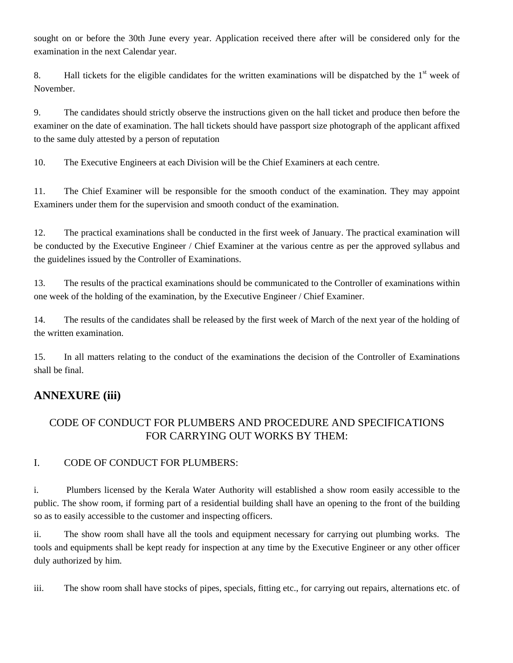sought on or before the 30th June every year. Application received there after will be considered only for the examination in the next Calendar year.

8. Hall tickets for the eligible candidates for the written examinations will be dispatched by the  $1<sup>st</sup>$  week of November.

9. The candidates should strictly observe the instructions given on the hall ticket and produce then before the examiner on the date of examination. The hall tickets should have passport size photograph of the applicant affixed to the same duly attested by a person of reputation

10. The Executive Engineers at each Division will be the Chief Examiners at each centre.

11. The Chief Examiner will be responsible for the smooth conduct of the examination. They may appoint Examiners under them for the supervision and smooth conduct of the examination.

12. The practical examinations shall be conducted in the first week of January. The practical examination will be conducted by the Executive Engineer / Chief Examiner at the various centre as per the approved syllabus and the guidelines issued by the Controller of Examinations.

13. The results of the practical examinations should be communicated to the Controller of examinations within one week of the holding of the examination, by the Executive Engineer / Chief Examiner.

14. The results of the candidates shall be released by the first week of March of the next year of the holding of the written examination.

15. In all matters relating to the conduct of the examinations the decision of the Controller of Examinations shall be final.

## **ANNEXURE (iii)**

## CODE OF CONDUCT FOR PLUMBERS AND PROCEDURE AND SPECIFICATIONS FOR CARRYING OUT WORKS BY THEM:

## I. CODE OF CONDUCT FOR PLUMBERS:

i. Plumbers licensed by the Kerala Water Authority will established a show room easily accessible to the public. The show room, if forming part of a residential building shall have an opening to the front of the building so as to easily accessible to the customer and inspecting officers.

ii. The show room shall have all the tools and equipment necessary for carrying out plumbing works. The tools and equipments shall be kept ready for inspection at any time by the Executive Engineer or any other officer duly authorized by him.

iii. The show room shall have stocks of pipes, specials, fitting etc., for carrying out repairs, alternations etc. of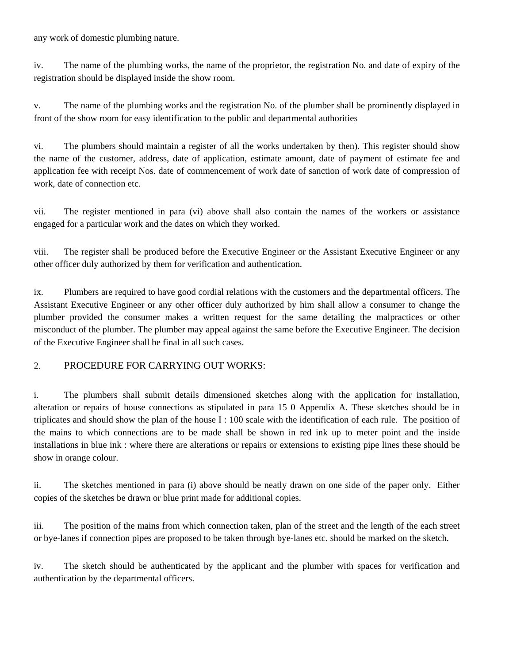any work of domestic plumbing nature.

iv. The name of the plumbing works, the name of the proprietor, the registration No. and date of expiry of the registration should be displayed inside the show room.

v. The name of the plumbing works and the registration No. of the plumber shall be prominently displayed in front of the show room for easy identification to the public and departmental authorities

vi. The plumbers should maintain a register of all the works undertaken by then). This register should show the name of the customer, address, date of application, estimate amount, date of payment of estimate fee and application fee with receipt Nos. date of commencement of work date of sanction of work date of compression of work, date of connection etc.

vii. The register mentioned in para (vi) above shall also contain the names of the workers or assistance engaged for a particular work and the dates on which they worked.

viii. The register shall be produced before the Executive Engineer or the Assistant Executive Engineer or any other officer duly authorized by them for verification and authentication.

ix. Plumbers are required to have good cordial relations with the customers and the departmental officers. The Assistant Executive Engineer or any other officer duly authorized by him shall allow a consumer to change the plumber provided the consumer makes a written request for the same detailing the malpractices or other misconduct of the plumber. The plumber may appeal against the same before the Executive Engineer. The decision of the Executive Engineer shall be final in all such cases.

#### 2. PROCEDURE FOR CARRYING OUT WORKS:

i. The plumbers shall submit details dimensioned sketches along with the application for installation, alteration or repairs of house connections as stipulated in para 15 0 Appendix A. These sketches should be in triplicates and should show the plan of the house I : 100 scale with the identification of each rule. The position of the mains to which connections are to be made shall be shown in red ink up to meter point and the inside installations in blue ink : where there are alterations or repairs or extensions to existing pipe lines these should be show in orange colour.

ii. The sketches mentioned in para (i) above should be neatly drawn on one side of the paper only. Either copies of the sketches be drawn or blue print made for additional copies.

iii. The position of the mains from which connection taken, plan of the street and the length of the each street or bye-lanes if connection pipes are proposed to be taken through bye-lanes etc. should be marked on the sketch.

iv. The sketch should be authenticated by the applicant and the plumber with spaces for verification and authentication by the departmental officers.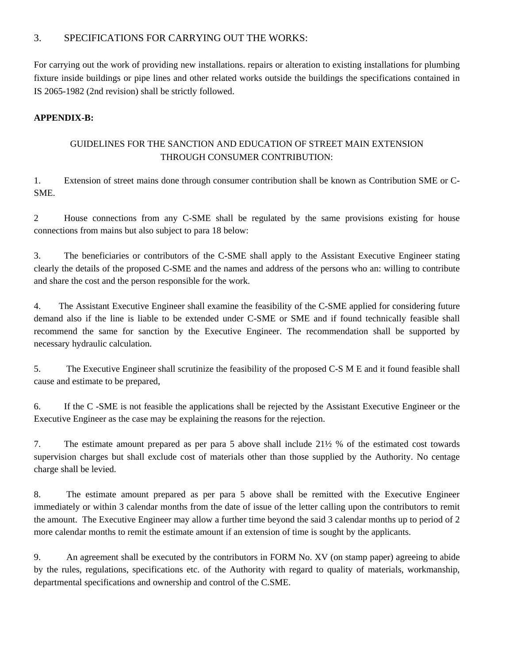#### 3. SPECIFICATIONS FOR CARRYING OUT THE WORKS:

For carrying out the work of providing new installations. repairs or alteration to existing installations for plumbing fixture inside buildings or pipe lines and other related works outside the buildings the specifications contained in IS 2065-1982 (2nd revision) shall be strictly followed.

#### **APPENDIX-B:**

#### GUIDELINES FOR THE SANCTION AND EDUCATION OF STREET MAIN EXTENSION THROUGH CONSUMER CONTRIBUTION:

1. Extension of street mains done through consumer contribution shall be known as Contribution SME or C-SME.

2 House connections from any C-SME shall be regulated by the same provisions existing for house connections from mains but also subject to para 18 below:

3. The beneficiaries or contributors of the C-SME shall apply to the Assistant Executive Engineer stating clearly the details of the proposed C-SME and the names and address of the persons who an: willing to contribute and share the cost and the person responsible for the work.

4. The Assistant Executive Engineer shall examine the feasibility of the C-SME applied for considering future demand also if the line is liable to be extended under C-SME or SME and if found technically feasible shall recommend the same for sanction by the Executive Engineer. The recommendation shall be supported by necessary hydraulic calculation.

5. The Executive Engineer shall scrutinize the feasibility of the proposed C-S M E and it found feasible shall cause and estimate to be prepared,

6. If the C -SME is not feasible the applications shall be rejected by the Assistant Executive Engineer or the Executive Engineer as the case may be explaining the reasons for the rejection.

7. The estimate amount prepared as per para 5 above shall include 21½ % of the estimated cost towards supervision charges but shall exclude cost of materials other than those supplied by the Authority. No centage charge shall be levied.

8. The estimate amount prepared as per para 5 above shall be remitted with the Executive Engineer immediately or within 3 calendar months from the date of issue of the letter calling upon the contributors to remit the amount. The Executive Engineer may allow a further time beyond the said 3 calendar months up to period of 2 more calendar months to remit the estimate amount if an extension of time is sought by the applicants.

9. An agreement shall be executed by the contributors in FORM No. XV (on stamp paper) agreeing to abide by the rules, regulations, specifications etc. of the Authority with regard to quality of materials, workmanship, departmental specifications and ownership and control of the C.SME.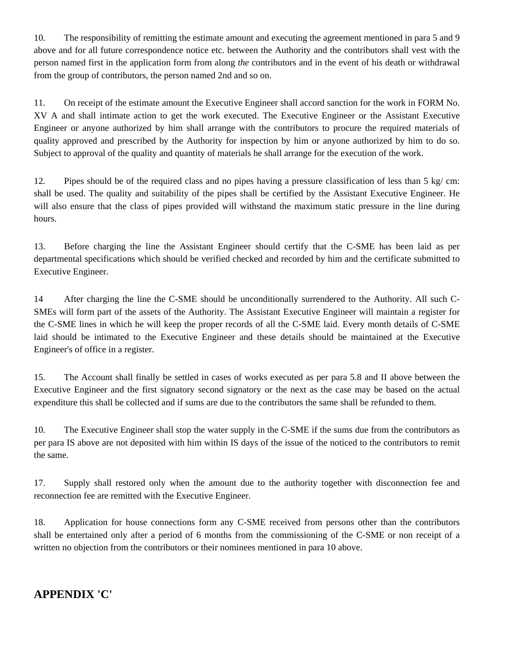10. The responsibility of remitting the estimate amount and executing the agreement mentioned in para 5 and 9 above and for all future correspondence notice etc. between the Authority and the contributors shall vest with the person named first in the application form from along *the* contributors and in the event of his death or withdrawal from the group of contributors, the person named 2nd and so on.

11. On receipt of the estimate amount the Executive Engineer shall accord sanction for the work in FORM No. XV A and shall intimate action to get the work executed. The Executive Engineer or the Assistant Executive Engineer or anyone authorized by him shall arrange with the contributors to procure the required materials of quality approved and prescribed by the Authority for inspection by him or anyone authorized by him to do so. Subject to approval of the quality and quantity of materials he shall arrange for the execution of the work.

12. Pipes should be of the required class and no pipes having a pressure classification of less than 5 kg/ cm: shall be used. The quality and suitability of the pipes shall be certified by the Assistant Executive Engineer. He will also ensure that the class of pipes provided will withstand the maximum static pressure in the line during hours.

13. Before charging the line the Assistant Engineer should certify that the C-SME has been laid as per departmental specifications which should be verified checked and recorded by him and the certificate submitted to Executive Engineer.

14 After charging the line the C-SME should be unconditionally surrendered to the Authority. All such C-SMEs will form part of the assets of the Authority. The Assistant Executive Engineer will maintain a register for the C-SME lines in which he will keep the proper records of all the C-SME laid. Every month details of C-SME laid should be intimated to the Executive Engineer and these details should be maintained at the Executive Engineer's of office in a register.

15. The Account shall finally be settled in cases of works executed as per para 5.8 and II above between the Executive Engineer and the first signatory second signatory or the next as the case may be based on the actual expenditure this shall be collected and if sums are due to the contributors the same shall be refunded to them.

10. The Executive Engineer shall stop the water supply in the C-SME if the sums due from the contributors as per para IS above are not deposited with him within IS days of the issue of the noticed to the contributors to remit the same.

17. Supply shall restored only when the amount due to the authority together with disconnection fee and reconnection fee are remitted with the Executive Engineer.

18. Application for house connections form any C-SME received from persons other than the contributors shall be entertained only after a period of 6 months from the commissioning of the C-SME or non receipt of a written no objection from the contributors or their nominees mentioned in para 10 above.

## **APPENDIX 'C'**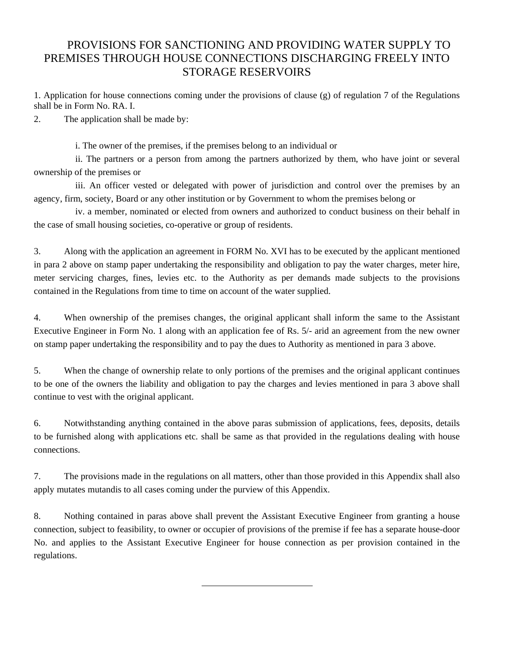## PROVISIONS FOR SANCTIONING AND PROVIDING WATER SUPPLY TO PREMISES THROUGH HOUSE CONNECTIONS DISCHARGING FREELY INTO STORAGE RESERVOIRS

1. Application for house connections coming under the provisions of clause (g) of regulation 7 of the Regulations shall be in Form No. RA. I.

2. The application shall be made by:

i. The owner of the premises, if the premises belong to an individual or

ii. The partners or a person from among the partners authorized by them, who have joint or several ownership of the premises or

iii. An officer vested or delegated with power of jurisdiction and control over the premises by an agency, firm, society, Board or any other institution or by Government to whom the premises belong or

iv. a member, nominated or elected from owners and authorized to conduct business on their behalf in the case of small housing societies, co-operative or group of residents.

3. Along with the application an agreement in FORM No. XVI has to be executed by the applicant mentioned in para 2 above on stamp paper undertaking the responsibility and obligation to pay the water charges, meter hire, meter servicing charges, fines, levies etc. to the Authority as per demands made subjects to the provisions contained in the Regulations from time to time on account of the water supplied.

4. When ownership of the premises changes, the original applicant shall inform the same to the Assistant Executive Engineer in Form No. 1 along with an application fee of Rs. 5/- arid an agreement from the new owner on stamp paper undertaking the responsibility and to pay the dues to Authority as mentioned in para 3 above.

5. When the change of ownership relate to only portions of the premises and the original applicant continues to be one of the owners the liability and obligation to pay the charges and levies mentioned in para 3 above shall continue to vest with the original applicant.

6. Notwithstanding anything contained in the above paras submission of applications, fees, deposits, details to be furnished along with applications etc. shall be same as that provided in the regulations dealing with house connections.

7. The provisions made in the regulations on all matters, other than those provided in this Appendix shall also apply mutates mutandis to all cases coming under the purview of this Appendix.

8. Nothing contained in paras above shall prevent the Assistant Executive Engineer from granting a house connection, subject to feasibility, to owner or occupier of provisions of the premise if fee has a separate house-door No. and applies to the Assistant Executive Engineer for house connection as per provision contained in the regulations.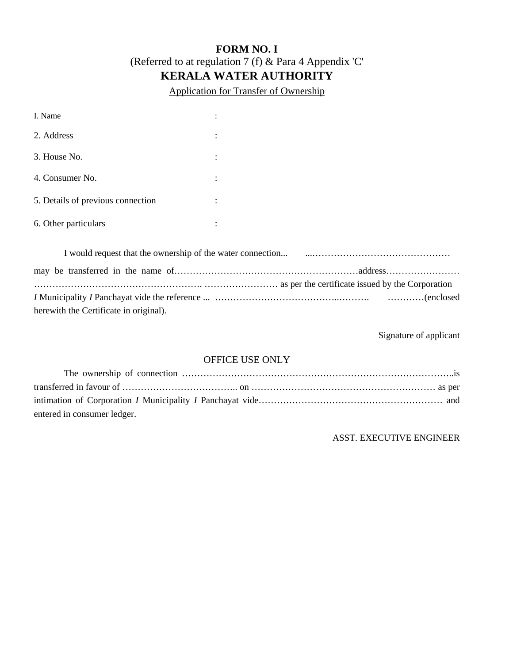## **FORM NO. I**  (Referred to at regulation 7 (f) & Para 4 Appendix 'C' **KERALA WATER AUTHORITY**

Application for Transfer of Ownership

| I. Name                           | $\ddot{\cdot}$            |
|-----------------------------------|---------------------------|
| 2. Address                        | $\ddot{\cdot}$            |
| 3. House No.                      | $\ddot{\cdot}$            |
| 4. Consumer No.                   | $\ddot{\cdot}$            |
| 5. Details of previous connection | $\ddot{\cdot}$            |
| 6. Other particulars              | ٠<br>$\ddot{\phantom{a}}$ |

| herewith the Certificate in original). |  |
|----------------------------------------|--|

Signature of applicant

### OFFICE USE ONLY

| entered in consumer ledger. |  |
|-----------------------------|--|

ASST. EXECUTIVE ENGINEER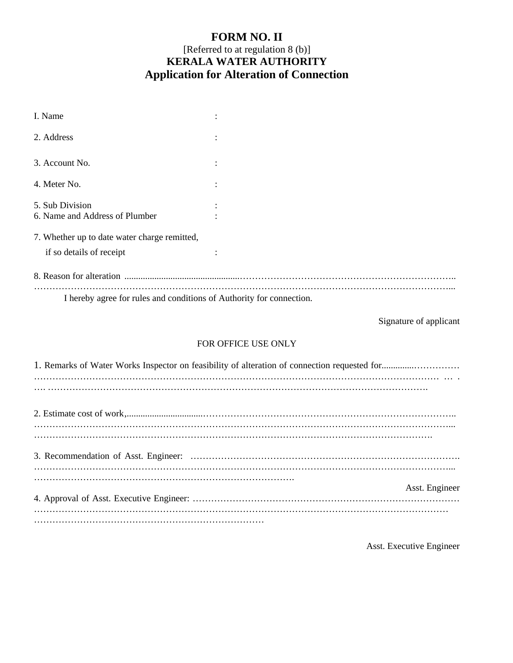## **FORM NO. II**  [Referred to at regulation 8 (b)] **KERALA WATER AUTHORITY Application for Alteration of Connection**

| I. Name                                                              |  |
|----------------------------------------------------------------------|--|
| 2. Address                                                           |  |
| 3. Account No.                                                       |  |
| 4. Meter No.                                                         |  |
| 5. Sub Division                                                      |  |
| 6. Name and Address of Plumber                                       |  |
| 7. Whether up to date water charge remitted,                         |  |
| if so details of receipt                                             |  |
|                                                                      |  |
| I hereby agree for rules and conditions of Authority for connection. |  |

Signature of applicant

#### FOR OFFICE USE ONLY

| Asst. Engineer |
|----------------|
|                |
|                |

Asst. Executive Engineer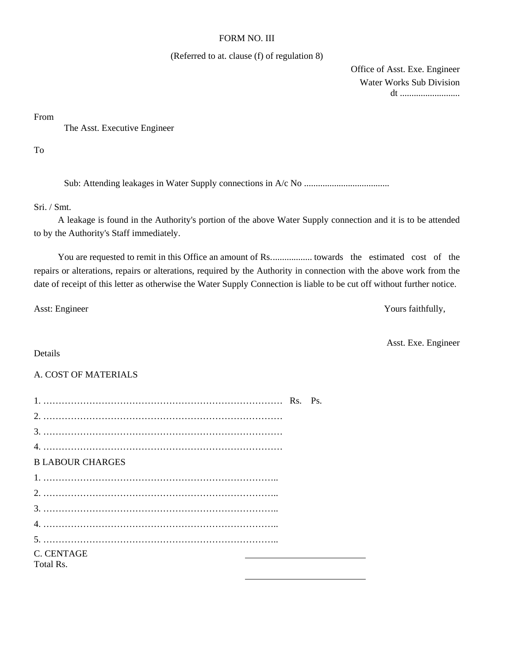#### FORM NO. III

#### (Referred to at. clause (f) of regulation 8)

 Office of Asst. Exe. Engineer Water Works Sub Division dt ..........................

From

The Asst. Executive Engineer

To

Sub: Attending leakages in Water Supply connections in A/c No .....................................

Sri. / Smt.

 A leakage is found in the Authority's portion of the above Water Supply connection and it is to be attended to by the Authority's Staff immediately.

You are requested to remit in this Office an amount of Rs. ... ... towards the estimated cost of the repairs or alterations, repairs or alterations, required by the Authority in connection with the above work from the date of receipt of this letter as otherwise the Water Supply Connection is liable to be cut off without further notice.

Asst: Engineer Yours faithfully,

Asst. Exe. Engineer

#### Details

#### A. COST OF MATERIALS

| <b>B LABOUR CHARGES</b> |  |  |
|-------------------------|--|--|
|                         |  |  |
|                         |  |  |
|                         |  |  |
|                         |  |  |
|                         |  |  |
| C. CENTAGE              |  |  |
| Total Rs.               |  |  |
|                         |  |  |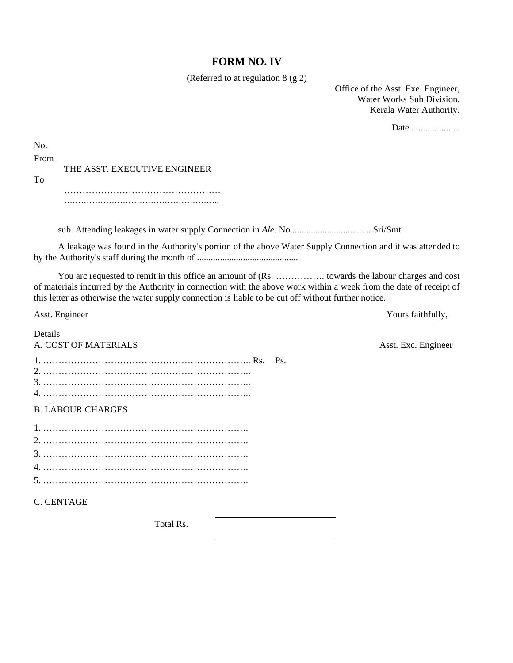#### **FORM NO. IV**

(Referred to at regulation 8 (g 2)

Office of the Asst. Exe. Engineer, Water Works Sub Division, Kerala Water Authority.

Date ........................

Asst. Exc. Engineer

| No.  |                              |
|------|------------------------------|
| From |                              |
|      | THE ASST. EXECUTIVE ENGINEER |
| Tο   |                              |
|      |                              |
|      |                              |

sub. Attending leakages in water supply Connection in *Ale.* No................................... Sri/Smt

A leakage was found in the Authority's portion of the above Water Supply Connection and it was attended to by the Authority's staff during the month of ............................................

 You arc requested to remit in this office an amount of (Rs. ……………. towards the labour charges and cost of materials incurred by the Authority in connection with the above work within a week from the date of receipt of this letter as otherwise the water supply connection is liable to be cut off without further notice.

Asst. Engineer Yours faithfully,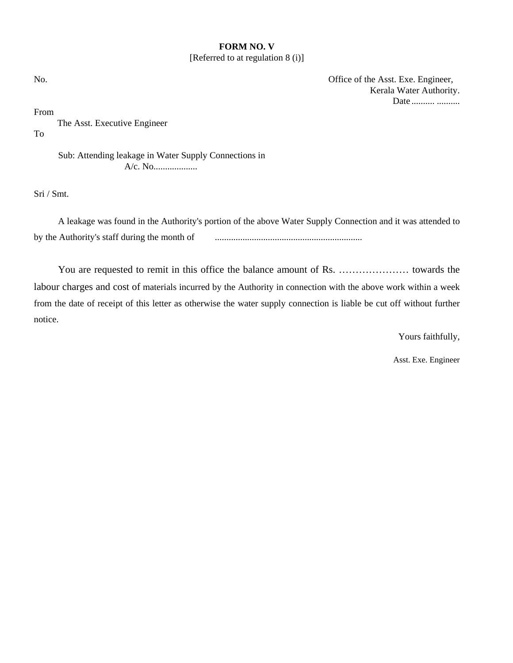#### **FORM NO. V**  [Referred to at regulation 8 (i)]

No. Office of the Asst. Exe. Engineer, Kerala Water Authority. Date ........... ...........

From

 The Asst. Executive Engineer To

> Sub: Attending leakage in Water Supply Connections in A/c. No...................

Sri / Smt.

A leakage was found in the Authority's portion of the above Water Supply Connection and it was attended to by the Authority's staff during the month of ................................................................

You are requested to remit in this office the balance amount of Rs. ………………… towards the labour charges and cost of materials incurred by the Authority in connection with the above work within a week from the date of receipt of this letter as otherwise the water supply connection is liable be cut off without further notice.

Yours faithfully,

Asst. Exe. Engineer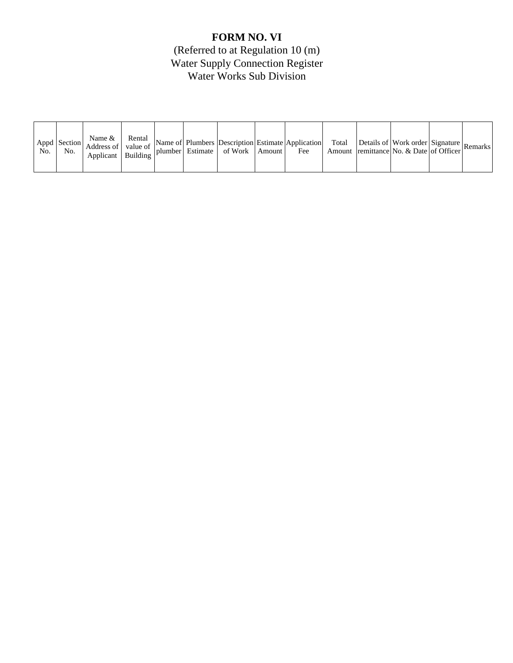## **FORM NO. VI**

(Referred to at Regulation 10 (m) Water Supply Connection Register Water Works Sub Division

| No. | Appd Section<br>No. | Name &<br>Address of value of<br>Applicant   Building $\vert$ <sup>F</sup> | Rental |  |  | plumber Estimate of Work | Amount | Name of Plumbers Description Estimate Application<br>Fee | Total |  | $\therefore$ Details of Work order Signature Remarks<br>Amount remittance No. & Date of Officer |  |  |
|-----|---------------------|----------------------------------------------------------------------------|--------|--|--|--------------------------|--------|----------------------------------------------------------|-------|--|-------------------------------------------------------------------------------------------------|--|--|
|-----|---------------------|----------------------------------------------------------------------------|--------|--|--|--------------------------|--------|----------------------------------------------------------|-------|--|-------------------------------------------------------------------------------------------------|--|--|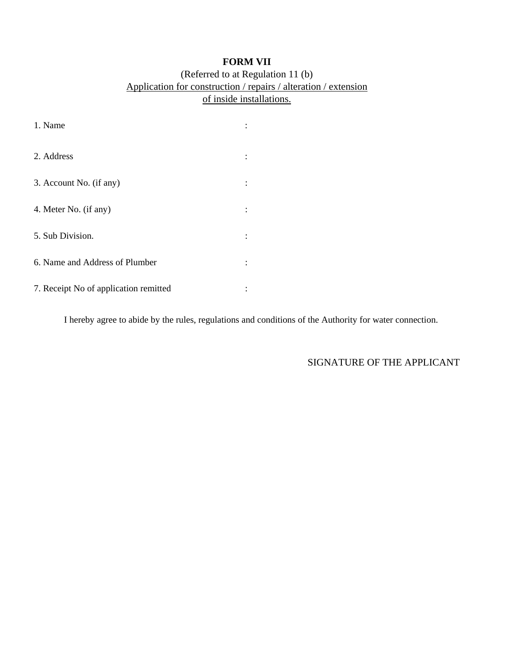## **FORM VII**

#### (Referred to at Regulation 11 (b) Application for construction / repairs / alteration / extension of inside installations.

| 1. Name                               |  |
|---------------------------------------|--|
| 2. Address                            |  |
| 3. Account No. (if any)               |  |
| 4. Meter No. (if any)                 |  |
| 5. Sub Division.                      |  |
| 6. Name and Address of Plumber        |  |
| 7. Receipt No of application remitted |  |

I hereby agree to abide by the rules, regulations and conditions of the Authority for water connection.

### SIGNATURE OF THE APPLICANT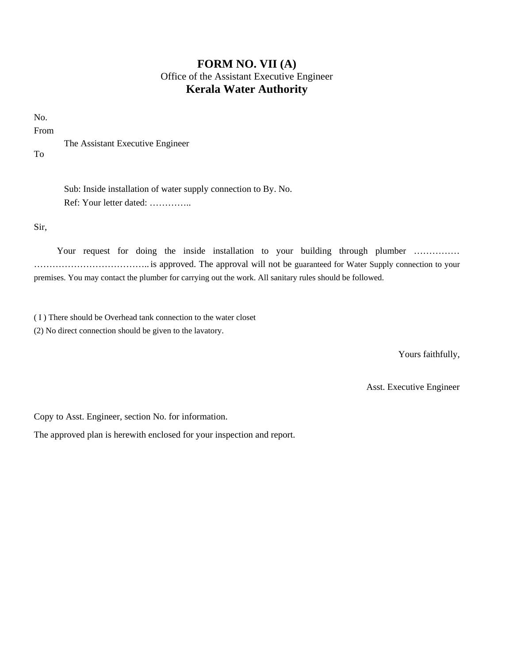## **FORM NO. VII (A)**  Office of the Assistant Executive Engineer **Kerala Water Authority**

No.

From

The Assistant Executive Engineer

To

Sub: Inside installation of water supply connection to By. No. Ref: Your letter dated: …………..

Sir,

Your request for doing the inside installation to your building through plumber .............. ……………………………….. is approved. The approval will not be guaranteed for Water Supply connection to your premises. You may contact the plumber for carrying out the work. All sanitary rules should be followed.

( I ) There should be Overhead tank connection to the water closet

(2) No direct connection should be given to the lavatory.

Yours faithfully,

Asst. Executive Engineer

Copy to Asst. Engineer, section No. for information.

The approved plan is herewith enclosed for your inspection and report.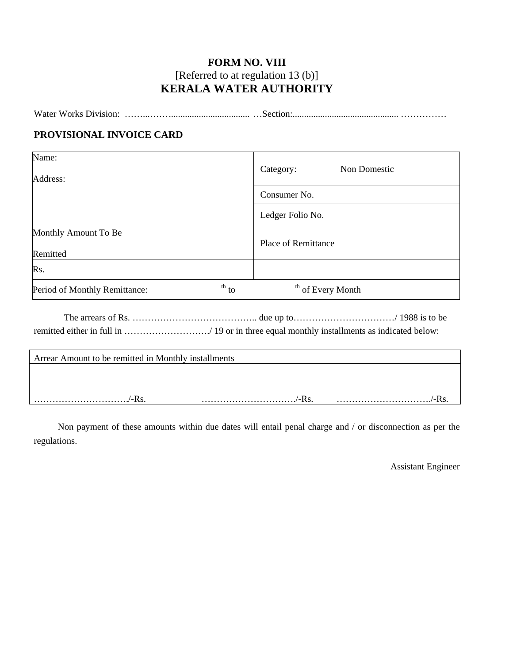## **FORM NO. VIII**  [Referred to at regulation 13 (b)] **KERALA WATER AUTHORITY**

| Water Works Division: |  |
|-----------------------|--|
|                       |  |

#### **PROVISIONAL INVOICE CARD**

| Name:<br>Address:                                    | Non Domestic<br>Category:    |  |  |
|------------------------------------------------------|------------------------------|--|--|
|                                                      | Consumer No.                 |  |  |
|                                                      | Ledger Folio No.             |  |  |
| Monthly Amount To Be                                 | <b>Place of Remittance</b>   |  |  |
| Remitted                                             |                              |  |  |
| Rs.                                                  |                              |  |  |
| $\th$ <sub>to</sub><br>Period of Monthly Remittance: | <sup>th</sup> of Every Month |  |  |

 The arrears of Rs. ………………………………….. due up to……………………………/ 1988 is to be remitted either in full in ………………………./ 19 or in three equal monthly installments as indicated below:

| Arrear Amount to be remitted in Monthly installments |  |
|------------------------------------------------------|--|
|                                                      |  |
|                                                      |  |
| $^{\prime}$ Dec                                      |  |

Non payment of these amounts within due dates will entail penal charge and / or disconnection as per the regulations.

Assistant Engineer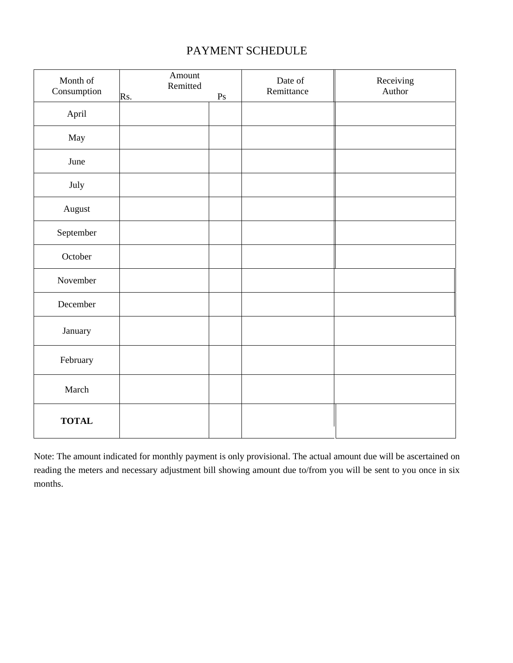## PAYMENT SCHEDULE

| Month of<br>Consumption | Amount<br>Remitted<br>Rs. | $\mathbf{P}\mathbf{s}$ | Date of<br>Remittance | Receiving<br>Author |
|-------------------------|---------------------------|------------------------|-----------------------|---------------------|
| April                   |                           |                        |                       |                     |
| May                     |                           |                        |                       |                     |
| June                    |                           |                        |                       |                     |
| July                    |                           |                        |                       |                     |
| August                  |                           |                        |                       |                     |
| September               |                           |                        |                       |                     |
| October                 |                           |                        |                       |                     |
| November                |                           |                        |                       |                     |
| December                |                           |                        |                       |                     |
| January                 |                           |                        |                       |                     |
| February                |                           |                        |                       |                     |
| March                   |                           |                        |                       |                     |
| <b>TOTAL</b>            |                           |                        |                       |                     |

Note: The amount indicated for monthly payment is only provisional. The actual amount due will be ascertained on reading the meters and necessary adjustment bill showing amount due to/from you will be sent to you once in six months.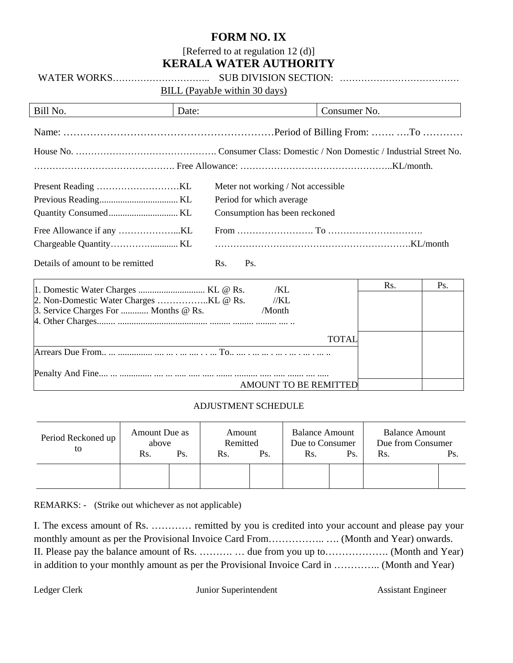#### **FORM NO. IX**

[Referred to at regulation 12 (d)]

## **KERALA WATER AUTHORITY**

WATER WORKS………………………….. SUB DIVISION SECTION: …………………………………

BILL (PayabJe within 30 days)

| Bill No.                         | Date:                              | Consumer No. |
|----------------------------------|------------------------------------|--------------|
|                                  |                                    |              |
|                                  |                                    |              |
|                                  |                                    |              |
|                                  | Meter not working / Not accessible |              |
|                                  | Period for which average           |              |
|                                  | Consumption has been reckoned      |              |
|                                  |                                    |              |
|                                  |                                    |              |
| Details of amount to be remitted | Ps.<br>Rs.                         |              |
| 1 Domestic Weter Charges         | $V$ I @ D $V$                      | Rs.<br>Ps.   |

| /KL                                            | NS. | FS. |
|------------------------------------------------|-----|-----|
| //KL                                           |     |     |
| 3. Service Charges For  Months @ Rs.<br>/Month |     |     |
|                                                |     |     |
| <b>TOTAL</b>                                   |     |     |
|                                                |     |     |
|                                                |     |     |
| AMOUNT TO BE REMITTED                          |     |     |

#### ADJUSTMENT SCHEDULE

| Period Reckoned up<br>to | Amount Due as<br>above<br>Rs. | Ps. | Amount<br>Remitted<br>Rs. | Ps. | <b>Balance Amount</b><br>Due to Consumer<br>Rs. | Ps. | <b>Balance Amount</b><br>Due from Consumer<br>Rs. | Ps. |
|--------------------------|-------------------------------|-----|---------------------------|-----|-------------------------------------------------|-----|---------------------------------------------------|-----|
|                          |                               |     |                           |     |                                                 |     |                                                   |     |

REMARKS: - (Strike out whichever as not applicable)

I. The excess amount of Rs. ………… remitted by you is credited into your account and please pay your monthly amount as per the Provisional Invoice Card From…………….. …. (Month and Year) onwards. II. Please pay the balance amount of Rs. ………. … due from you up to………………. (Month and Year) in addition to your monthly amount as per the Provisional Invoice Card in ………….. (Month and Year)

Ledger Clerk Junior Superintendent Assistant Engineer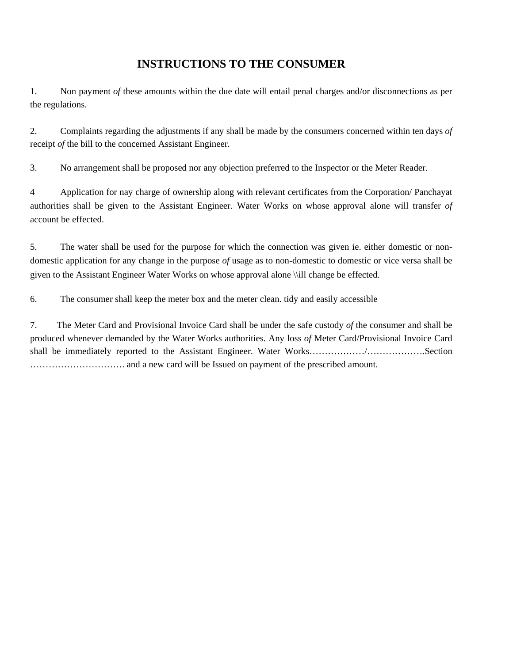## **INSTRUCTIONS TO THE CONSUMER**

1. Non payment *of* these amounts within the due date will entail penal charges and/or disconnections as per the regulations.

2. Complaints regarding the adjustments if any shall be made by the consumers concerned within ten days *of*  receipt *of* the bill to the concerned Assistant Engineer.

3. No arrangement shall be proposed nor any objection preferred to the Inspector or the Meter Reader.

4 Application for nay charge of ownership along with relevant certificates from the Corporation/ Panchayat authorities shall be given to the Assistant Engineer. Water Works on whose approval alone will transfer *of*  account be effected.

5. The water shall be used for the purpose for which the connection was given ie. either domestic or nondomestic application for any change in the purpose *of* usage as to non-domestic to domestic or vice versa shall be given to the Assistant Engineer Water Works on whose approval alone \\ill change be effected.

6. The consumer shall keep the meter box and the meter clean. tidy and easily accessible

7. The Meter Card and Provisional Invoice Card shall be under the safe custody *of* the consumer and shall be produced whenever demanded by the Water Works authorities. Any loss *of* Meter Card/Provisional Invoice Card shall be immediately reported to the Assistant Engineer. Water Works………………/……………….Section …………………………. and a new card will be Issued on payment of the prescribed amount.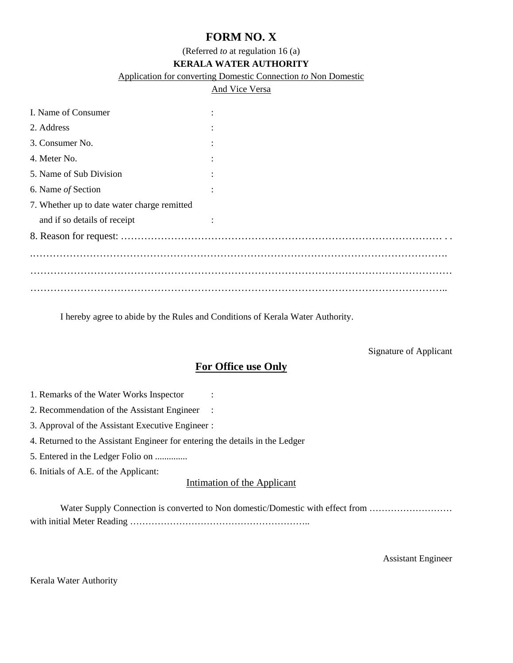## **FORM NO. X**

(Referred *to* at regulation 16 (a)

#### **KERALA WATER AUTHORITY**

Application for converting Domestic Connection *to* Non Domestic

#### And Vice Versa

| I. Name of Consumer                         |  |
|---------------------------------------------|--|
| 2. Address                                  |  |
| 3. Consumer No.                             |  |
| 4. Meter No.                                |  |
| 5. Name of Sub Division                     |  |
| 6. Name of Section                          |  |
| 7. Whether up to date water charge remitted |  |
| and if so details of receipt                |  |
|                                             |  |
|                                             |  |
|                                             |  |
|                                             |  |
|                                             |  |

I hereby agree to abide by the Rules and Conditions of Kerala Water Authority.

#### Signature of Applicant

#### **For Office use Only**

- 1. Remarks of the Water Works Inspector :
- 2. Recommendation of the Assistant Engineer :
- 3. Approval of the Assistant Executive Engineer :
- 4. Returned to the Assistant Engineer for entering the details in the Ledger
- 5. Entered in the Ledger Folio on ..............

6. Initials of A.E. of the Applicant:

#### Intimation of the Applicant

Water Supply Connection is converted to Non domestic/Domestic with effect from .............................. with initial Meter Reading …………………………………………………..

Assistant Engineer

Kerala Water Authority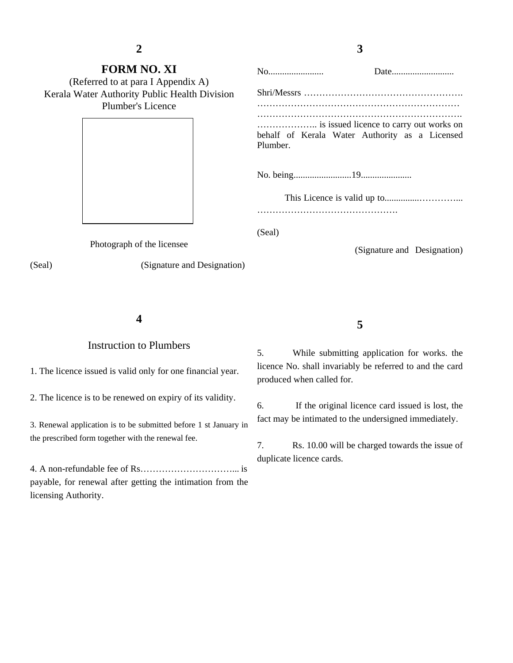**2** 

### **3**

| <b>FORM NO. XI</b><br>(Referred to at para I Appendix A)           |                                                            |
|--------------------------------------------------------------------|------------------------------------------------------------|
| Kerala Water Authority Public Health Division<br>Plumber's Licence |                                                            |
|                                                                    | behalf of Kerala Water Authority as a Licensed<br>Plumber. |
|                                                                    |                                                            |
|                                                                    |                                                            |
|                                                                    | (Seal)                                                     |
| Photograph of the licensee                                         | (Signature and Designation)                                |

(Seal) (Signature and Designation)

**4** 

#### Instruction to Plumbers

1. The licence issued is valid only for one financial year.

2. The licence is to be renewed on expiry of its validity.

3. Renewal application is to be submitted before 1 st January in the prescribed form together with the renewal fee.

4. A non-refundable fee of Rs…………………………... is payable, for renewal after getting the intimation from the licensing Authority.

5. While submitting application for works. the licence No. shall invariably be referred to and the card produced when called for.

6. If the original licence card issued is lost, the fact may be intimated to the undersigned immediately.

7. Rs. 10.00 will be charged towards the issue of duplicate licence cards.

**5**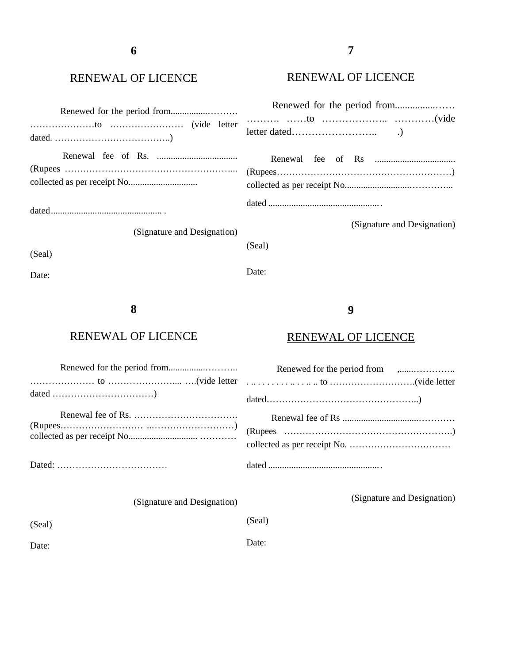### RENEWAL OF LICENCE

### RENEWAL OF LICENCE

| (Signature and Designation) | (Signature and Designation) |
|-----------------------------|-----------------------------|
| (Seal)                      | (Seal)<br>Date:             |
| Date:<br>8                  | 9                           |

### RENEWAL OF LICENCE

### RENEWAL OF LICENCE

| $(Rupees)$ $(Rupees)$ |
|-----------------------|
|                       |
|                       |
|                       |

(Signature and Designation)

(Signature and Designation)

(Seal)

Date:

(Seal)

Date: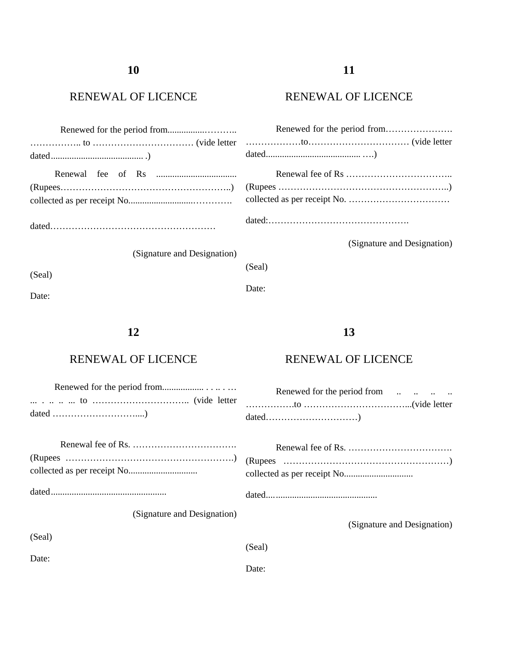### RENEWAL OF LICENCE

### RENEWAL OF LICENCE

| (Signature and Designation) | (Signature and Designation) |  |  |
|-----------------------------|-----------------------------|--|--|
| (Seal)                      | (Seal)                      |  |  |
| Date:                       | Date:                       |  |  |

### **12**

### RENEWAL OF LICENCE

dated ................................................. .

(Signature and Designation)

(Seal)

(Seal)

Date:

RENEWAL OF LICENCE

**13** 

 Renewed for the period from .. .. .. .. …………….to ……………………………...(vide letter dated…………………………)

dated .... ............................................

(Signature and Designation)

Date: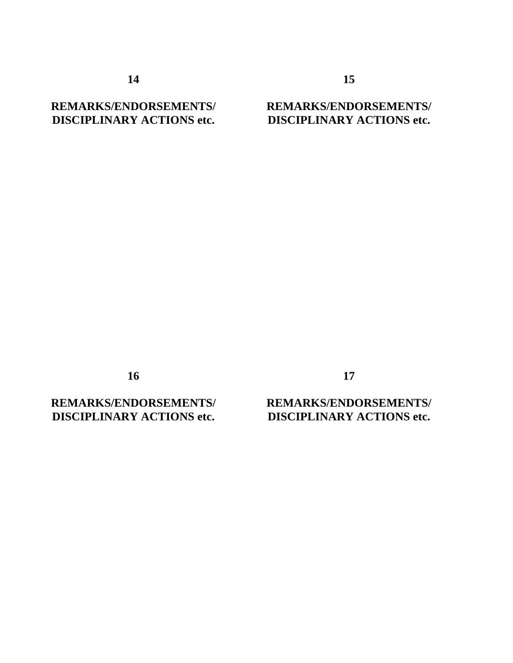**14** 

### **REMARKS/ENDORSEMENTS/ DISCIPLINARY ACTIONS etc.**

### **REMARKS/ENDORSEMENTS/ DISCIPLINARY ACTIONS etc.**

**15** 

**16** 

**REMARKS/ENDORSEMENTS/ DISCIPLINARY ACTIONS etc.** 

**17** 

### **REMARKS/ENDORSEMENTS/ DISCIPLINARY ACTIONS etc.**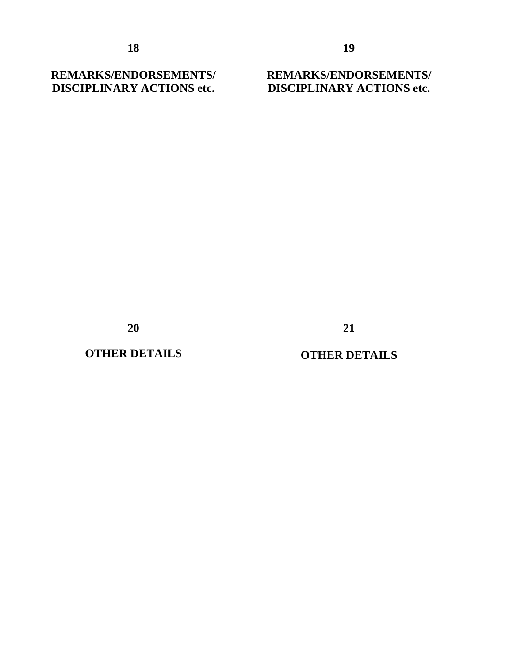**REMARKS/ENDORSEMENTS/ DISCIPLINARY ACTIONS etc.** 

**REMARKS/ENDORSEMENTS/ DISCIPLINARY ACTIONS etc.**

**20** 

**OTHER DETAILS** 

### **OTHER DETAILS**

**21**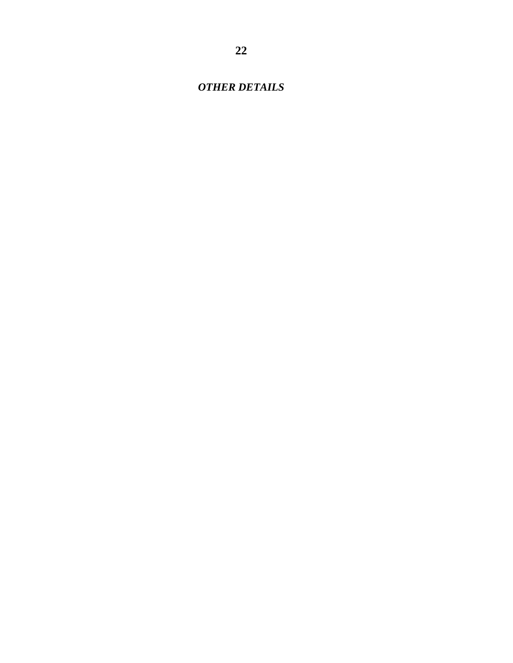*OTHER DETAILS*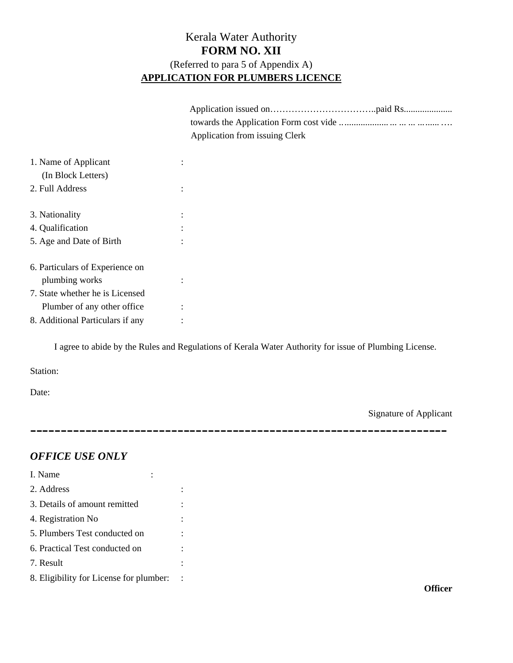### Kerala Water Authority **FORM NO. XII**  (Referred to para 5 of Appendix A) **APPLICATION FOR PLUMBERS LICENCE**

| Application from issuing Clerk |
|--------------------------------|
|                                |
|                                |
|                                |
|                                |
|                                |
|                                |
|                                |
|                                |
|                                |
|                                |
|                                |
|                                |

I agree to abide by the Rules and Regulations of Kerala Water Authority for issue of Plumbing License.

Station:

Date:

Signature of Applicant

--------------------------------------------------------------------

### *OFFICE USE ONLY*

**Officer**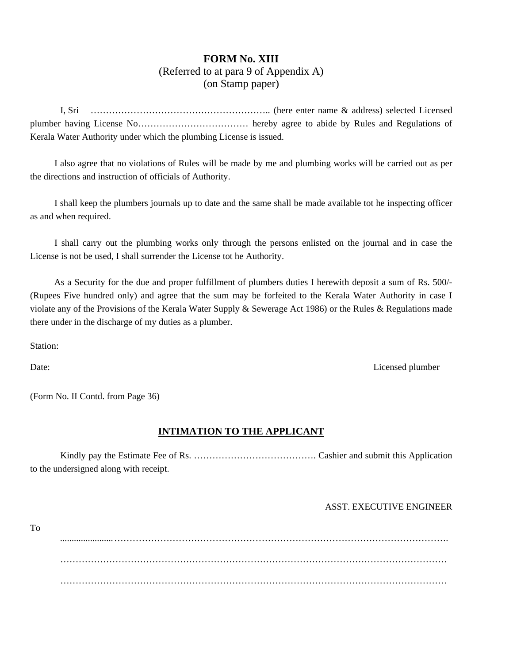### **FORM No. XIII**  (Referred to at para 9 of Appendix A) (on Stamp paper)

I, Sri ………………………………………………….. (here enter name & address) selected Licensed plumber having License No……………………………… hereby agree to abide by Rules and Regulations of Kerala Water Authority under which the plumbing License is issued.

I also agree that no violations of Rules will be made by me and plumbing works will be carried out as per the directions and instruction of officials of Authority.

I shall keep the plumbers journals up to date and the same shall be made available tot he inspecting officer as and when required.

I shall carry out the plumbing works only through the persons enlisted on the journal and in case the License is not be used, I shall surrender the License tot he Authority.

As a Security for the due and proper fulfillment of plumbers duties I herewith deposit a sum of Rs. 500/- (Rupees Five hundred only) and agree that the sum may be forfeited to the Kerala Water Authority in case I violate any of the Provisions of the Kerala Water Supply & Sewerage Act 1986) or the Rules & Regulations made there under in the discharge of my duties as a plumber.

Station:

Date: Licensed plumber Licensed plumber

(Form No. II Contd. from Page 36)

#### **INTIMATION TO THE APPLICANT**

 Kindly pay the Estimate Fee of Rs. …………………………………. Cashier and submit this Application to the undersigned along with receipt.

#### ASST. EXECUTIVE ENGINEER

To

 ....................... ………………………………………………………………………………………………. ……………………………………………………………………………………………………………… ………………………………………………………………………………………………………………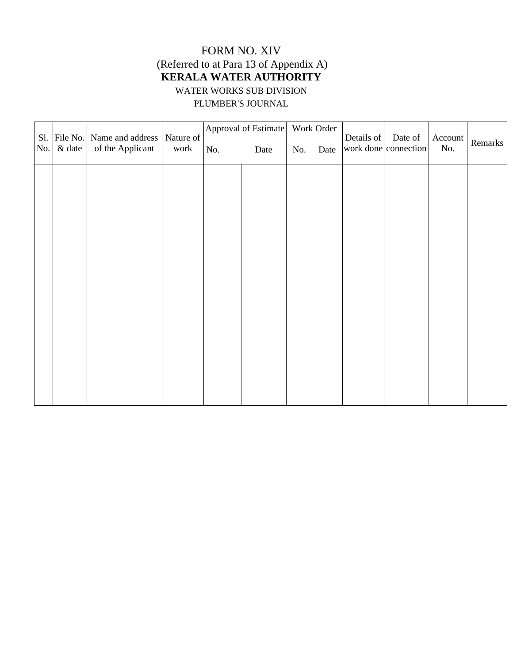### FORM NO. XIV (Referred to at Para 13 of Appendix A) **KERALA WATER AUTHORITY**  WATER WORKS SUB DIVISION PLUMBER'S JOURNAL

|     | Sl. File No. | Name and address | Nature of |     | Approval of Estimate |     | Work Order | Details of | Date of              | Account |         |
|-----|--------------|------------------|-----------|-----|----------------------|-----|------------|------------|----------------------|---------|---------|
| No. | $\&$ date    | of the Applicant | work      | No. | Date                 | No. | Date       |            | work done connection | No.     | Remarks |
|     |              |                  |           |     |                      |     |            |            |                      |         |         |
|     |              |                  |           |     |                      |     |            |            |                      |         |         |
|     |              |                  |           |     |                      |     |            |            |                      |         |         |
|     |              |                  |           |     |                      |     |            |            |                      |         |         |
|     |              |                  |           |     |                      |     |            |            |                      |         |         |
|     |              |                  |           |     |                      |     |            |            |                      |         |         |
|     |              |                  |           |     |                      |     |            |            |                      |         |         |
|     |              |                  |           |     |                      |     |            |            |                      |         |         |
|     |              |                  |           |     |                      |     |            |            |                      |         |         |
|     |              |                  |           |     |                      |     |            |            |                      |         |         |
|     |              |                  |           |     |                      |     |            |            |                      |         |         |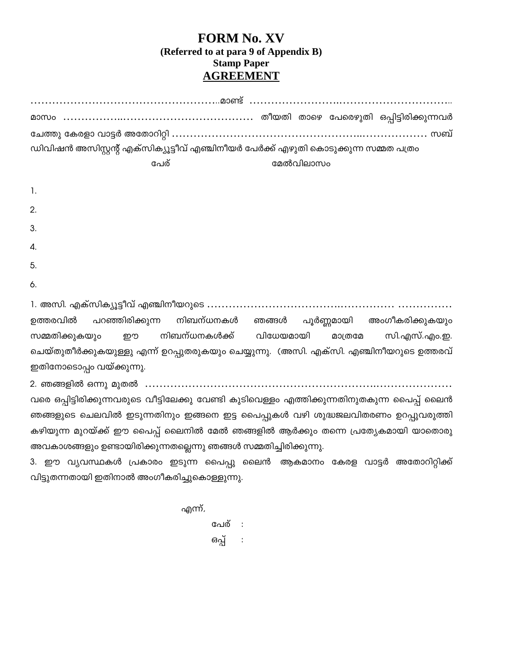### **FORM No. XV (Referred to at para 9 of Appendix B) Stamp Paper AGREEMENT**

|                |      | ഡിവിഷൻ അസിസ്റ്റന്റ് എക്സിക്യൂട്ടീവ് എഞ്ചിനീയർ പേർക്ക് എഴുതി കൊടുക്കുന്ന സമ്മത പത്രം |  |
|----------------|------|-------------------------------------------------------------------------------------|--|
|                | പേര് | മേൽവിലാസം                                                                           |  |
|                |      |                                                                                     |  |
| $\mathbf{1}$ . |      |                                                                                     |  |
| 2.             |      |                                                                                     |  |
| 3.             |      |                                                                                     |  |
| 4.             |      |                                                                                     |  |
| 5.             |      |                                                                                     |  |
| 6.             |      |                                                                                     |  |

1. −°. †‰¸−°‰»³È±ª¸ †Æ°œ±¤¦²µ" ……………………………….…………… …………… ഉത്തരവിൽ പറഞ്ഞിരിക്കുന്ന നിബന്ധനകൾ ഞങ്ങൾ പൂർണ്ണമായി അംഗീകരിക്കുകയു<mark>ം</mark> സമ്മതിക്കുകയും ഈ നിബന്ധനകൾക്ക് വിധേയമായി മാത്രമേ സി.എസ്.എം.ഇ. ചെയ്തുതീർക്കുകയുള്ളു എന്ന് ഉറപ്പുതരുകയും ചെയ്യുന്നു. (അസി. എക്സി. എഞ്ചിനീയറുടെ ഉത്തരവ് ഇതിനോടൊപ്പം വയ്ക്കുന്നു.

2. ഞങ്ങളിൽ ഒന്നു മുതൽ ………………………………………………………………………………………

വരെ ഒപ്പിട്ടിരിക്കുന്നവരുടെ വീട്ടിലേക്കു വേണ്ടി കുടിവെള്ളം എത്തിക്കുന്നതിനുതകുന്ന പൈപ്പ് ലൈൻ ഞങ്ങളുടെ ചെലവിൽ ഇടുന്നതിനും ഇങ്ങനെ ഇട്ട പൈപ്പുകൾ വഴി ശുദ്ധജലവിതരണം ഉറപ്പുവരുത്തി കഴിയുന്ന മുറയ്ക്ക് ഈ പൈപ്പ് ലൈനിൽ മേൽ ഞങ്ങളിൽ ആർക്കും തന്നെ പ്രത്യേകമായി യാതൊരു അവകാശങ്ങളും ഉണ്ടായിരിക്കുന്നതല്ലെന്നു ഞങ്ങൾ സമ്മതിച്ചിരിക്കുന്നു.

3. ഈ വ്യവസ്ഥകൾ പ്രകാരം ഇടുന്ന പൈപ്പു ലൈൻ ആകമാനം കേരള വാട്ടർ അതോറിറ്റിക്ക<mark>്</mark> വിട്ടുതന്നതായി ഇതിനാൽ അംഗീകരിച്ചുകൊള്ളുന്നു.

എന്ന്,

പേര് : ഒപ്പ് :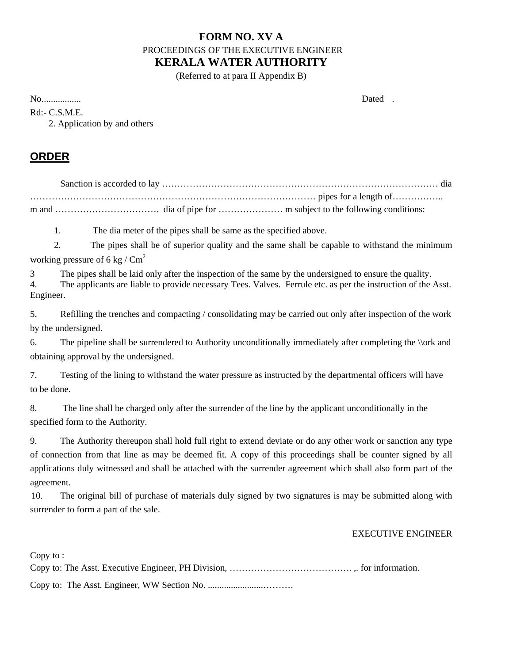### **FORM NO. XV A**  PROCEEDINGS OF THE EXECUTIVE ENGINEER **KERALA WATER AUTHORITY**

(Referred to at para II Appendix B)

No. ................ Dated .

Rd:- C.S.M.E.

2. Application by and others

### **ORDER**

1. The dia meter of the pipes shall be same as the specified above.

2. The pipes shall be of superior quality and the same shall be capable to withstand the minimum working pressure of 6 kg /  $\text{Cm}^2$ 

3 The pipes shall be laid only after the inspection of the same by the undersigned to ensure the quality.

4. The applicants are liable to provide necessary Tees. Valves. Ferrule etc. as per the instruction of the Asst. Engineer.

5. Refilling the trenches and compacting / consolidating may be carried out only after inspection of the work by the undersigned.

6. The pipeline shall be surrendered to Authority unconditionally immediately after completing the \\ork and obtaining approval by the undersigned.

7. Testing of the lining to withstand the water pressure as instructed by the departmental officers will have to be done.

8. The line shall be charged only after the surrender of the line by the applicant unconditionally in the specified form to the Authority.

9. The Authority thereupon shall hold full right to extend deviate or do any other work or sanction any type of connection from that line as may be deemed fit. A copy of this proceedings shall be counter signed by all applications duly witnessed and shall be attached with the surrender agreement which shall also form part of the agreement.

10. The original bill of purchase of materials duly signed by two signatures is may be submitted along with surrender to form a part of the sale.

#### EXECUTIVE ENGINEER

Copy to :

Copy to: The Asst. Executive Engineer, PH Division, …………………………………. ,. for information.

Copy to: The Asst. Engineer, WW Section No. ........................……….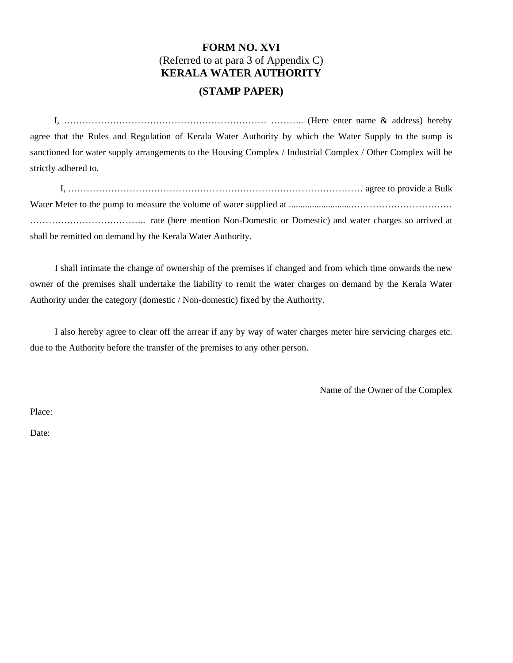### **FORM NO. XVI**  (Referred to at para 3 of Appendix C) **KERALA WATER AUTHORITY**

#### **(STAMP PAPER)**

I,  $\ldots$  (Here enter name  $\&$  address) hereby agree that the Rules and Regulation of Kerala Water Authority by which the Water Supply to the sump is sanctioned for water supply arrangements to the Housing Complex / Industrial Complex / Other Complex will be strictly adhered to.

I, …………………………………………………………………………………… agree to provide a Bulk Water Meter to the pump to measure the volume of water supplied at ...........................…………………………… ……………………………….. rate (here mention Non-Domestic or Domestic) and water charges so arrived at shall be remitted on demand by the Kerala Water Authority.

I shall intimate the change of ownership of the premises if changed and from which time onwards the new owner of the premises shall undertake the liability to remit the water charges on demand by the Kerala Water Authority under the category (domestic / Non-domestic) fixed by the Authority.

I also hereby agree to clear off the arrear if any by way of water charges meter hire servicing charges etc. due to the Authority before the transfer of the premises to any other person.

Name of the Owner of the Complex

Place:

Date: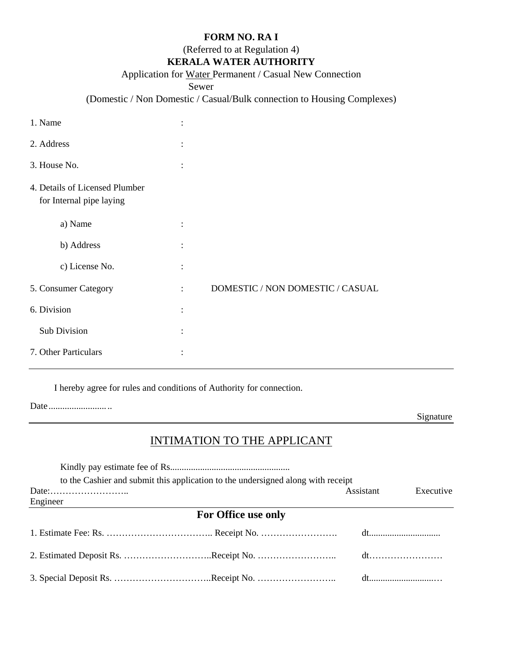#### **FORM NO. RA I**

(Referred to at Regulation 4)

### **KERALA WATER AUTHORITY**

#### Application for Water Permanent / Casual New Connection

Sewer

### (Domestic / Non Domestic / Casual/Bulk connection to Housing Complexes)

| 1. Name                                                    |                      |                                  |
|------------------------------------------------------------|----------------------|----------------------------------|
| 2. Address                                                 | $\ddot{\cdot}$       |                                  |
| 3. House No.                                               | $\ddot{\cdot}$       |                                  |
| 4. Details of Licensed Plumber<br>for Internal pipe laying |                      |                                  |
| a) Name                                                    | $\ddot{\phantom{a}}$ |                                  |
| b) Address                                                 | $\ddot{\cdot}$       |                                  |
| c) License No.                                             | $\ddot{\cdot}$       |                                  |
| 5. Consumer Category                                       | $\ddot{\cdot}$       | DOMESTIC / NON DOMESTIC / CASUAL |
| 6. Division                                                | $\ddot{\cdot}$       |                                  |
| Sub Division                                               | $\ddot{\phantom{a}}$ |                                  |
| 7. Other Particulars                                       |                      |                                  |

I hereby agree for rules and conditions of Authority for connection.

|--|--|

Signature

### INTIMATION TO THE APPLICANT

|                                                          | to the Cashier and submit this application to the undersigned along with receipt |           |           |
|----------------------------------------------------------|----------------------------------------------------------------------------------|-----------|-----------|
| $Date: \ldots \ldots \ldots \ldots \ldots \ldots \ldots$ |                                                                                  | Assistant | Executive |
| Engineer                                                 |                                                                                  |           |           |
|                                                          | For Office use only                                                              |           |           |
|                                                          |                                                                                  |           |           |
|                                                          |                                                                                  |           |           |
|                                                          |                                                                                  |           |           |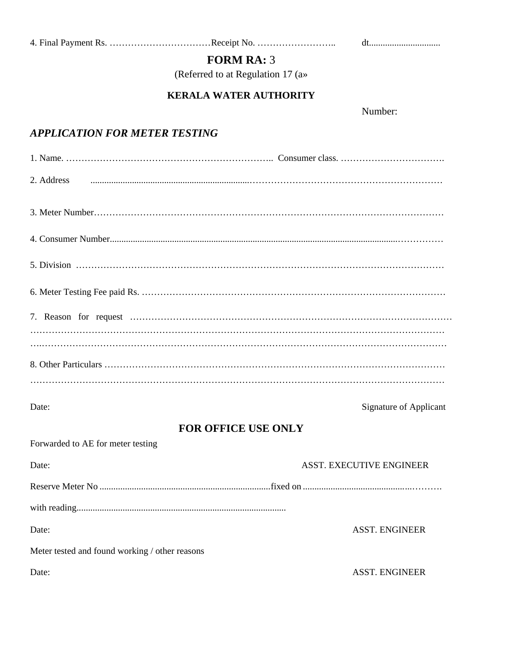4. Final Payment Rs. …………………………………Receipt No. …………………………………………………………………………………………

### **FORM RA:** 3

(Referred to at Regulation 17 (a»

### **KERALA WATER AUTHORITY**

Number:

### *APPLICATION FOR METER TESTING*

| 2. Address                        |                                                |
|-----------------------------------|------------------------------------------------|
|                                   |                                                |
|                                   |                                                |
|                                   |                                                |
|                                   |                                                |
|                                   |                                                |
|                                   |                                                |
|                                   |                                                |
|                                   |                                                |
| Date:                             | Signature of Applicant                         |
|                                   | <b>FOR OFFICE USE ONLY</b>                     |
| Forwarded to AE for meter testing |                                                |
| Date:                             | ASST. EXECUTIVE ENGINEER                       |
|                                   |                                                |
|                                   |                                                |
| Date:                             | <b>ASST. ENGINEER</b>                          |
|                                   | Meter tested and found working / other reasons |
| Date:                             | <b>ASST. ENGINEER</b>                          |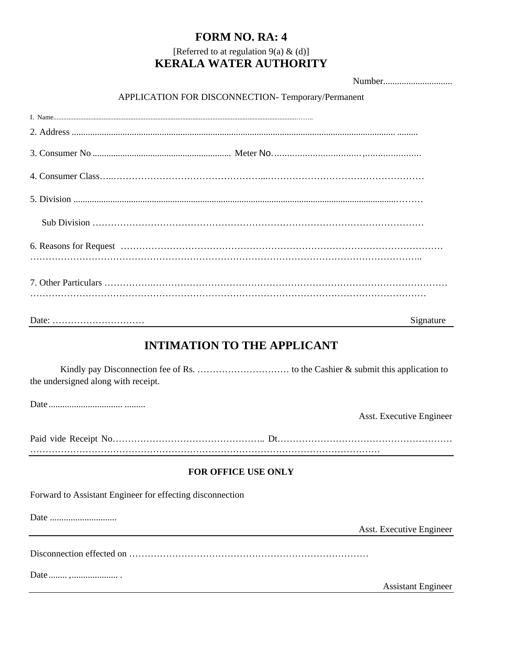### **FORM NO. RA: 4**

### [Referred to at regulation  $9(a) \& (d)$ ] **KERALA WATER AUTHORITY**

Number..............................

### APPLICATION FOR DISCONNECTION- Temporary/Permanent

|                                                           | Signature                          |
|-----------------------------------------------------------|------------------------------------|
|                                                           | <b>INTIMATION TO THE APPLICANT</b> |
| the undersigned along with receipt.                       |                                    |
|                                                           | Asst. Executive Engineer           |
|                                                           |                                    |
|                                                           | FOR OFFICE USE ONLY                |
| Forward to Assistant Engineer for effecting disconnection |                                    |
|                                                           |                                    |
|                                                           | Asst. Executive Engineer           |
|                                                           |                                    |
|                                                           | <b>Assistant Engineer</b>          |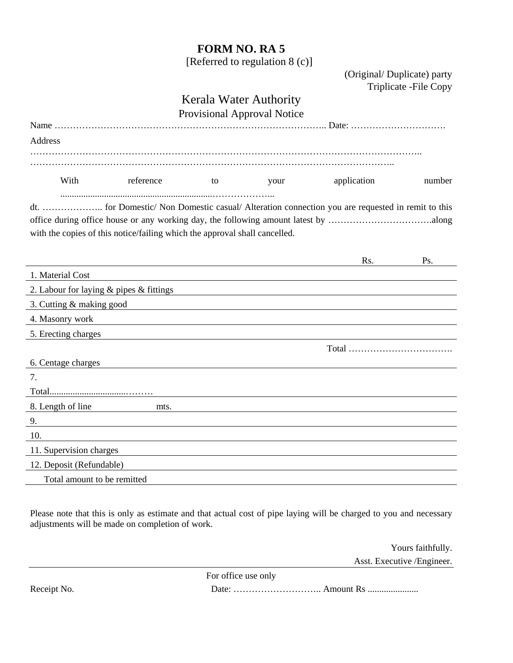### **FORM NO. RA 5**

[Referred to regulation 8 (c)]

 (Original/ Duplicate) party Triplicate -File Copy

### Kerala Water Authority

|  | <b>Provisional Approval Notice</b> |  |  |
|--|------------------------------------|--|--|
|--|------------------------------------|--|--|

|                                             |                                                                            |    | Trovisional Tepploval Touce |             |        |
|---------------------------------------------|----------------------------------------------------------------------------|----|-----------------------------|-------------|--------|
| Address                                     |                                                                            |    |                             |             |        |
|                                             |                                                                            |    |                             |             |        |
| With                                        | reference                                                                  | to | your                        | application | number |
|                                             | with the copies of this notice/failing which the approval shall cancelled. |    |                             |             |        |
|                                             |                                                                            |    |                             | Rs.         | Ps.    |
| 1. Material Cost                            |                                                                            |    |                             |             |        |
| 2. Labour for laying $&$ pipes $&$ fittings |                                                                            |    |                             |             |        |
| 3. Cutting & making good                    |                                                                            |    |                             |             |        |
| 4. Masonry work                             |                                                                            |    |                             |             |        |
| 5. Erecting charges                         |                                                                            |    |                             |             |        |
| 6. Centage charges                          |                                                                            |    |                             |             |        |
| 7.                                          |                                                                            |    |                             |             |        |
|                                             |                                                                            |    |                             |             |        |
| 8. Length of line                           | mts.                                                                       |    |                             |             |        |
| 9.                                          |                                                                            |    |                             |             |        |
| 10.                                         |                                                                            |    |                             |             |        |
| 11. Supervision charges                     |                                                                            |    |                             |             |        |
| 12. Deposit (Refundable)                    |                                                                            |    |                             |             |        |

Total amount to be remitted

Please note that this is only as estimate and that actual cost of pipe laying will be charged to you and necessary adjustments will be made on completion of work.

> Yours faithfully. Asst. Executive /Engineer.

For office use only

Receipt No. Date: ……………………….. Amount Rs ......................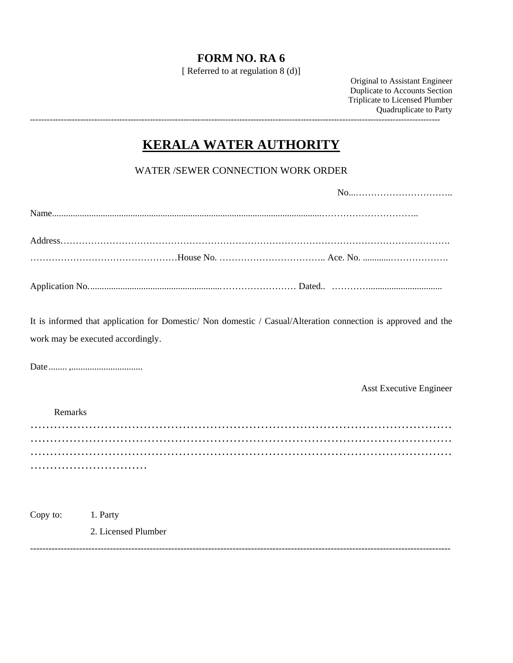### **FORM NO. RA 6**

[ Referred to at regulation 8 (d)]

Original to Assistant Engineer Duplicate to Accounts Section Triplicate to Licensed Plumber Quadruplicate to Party ---------------------------------------------------------------------------------------------------------------------------------------------------

### **KERALA WATER AUTHORITY**

WATER /SEWER CONNECTION WORK ORDER

| work may be executed accordingly. | It is informed that application for Domestic/ Non domestic / Casual/Alteration connection is approved and the |
|-----------------------------------|---------------------------------------------------------------------------------------------------------------|
|                                   |                                                                                                               |
|                                   | <b>Asst Executive Engineer</b>                                                                                |
| Remarks                           |                                                                                                               |
|                                   |                                                                                                               |
|                                   |                                                                                                               |
|                                   |                                                                                                               |
|                                   |                                                                                                               |
|                                   |                                                                                                               |
|                                   |                                                                                                               |

-----------------------------------------------------------------------------------------------------------------------------------------

Copy to: 1. Party 2. Licensed Plumber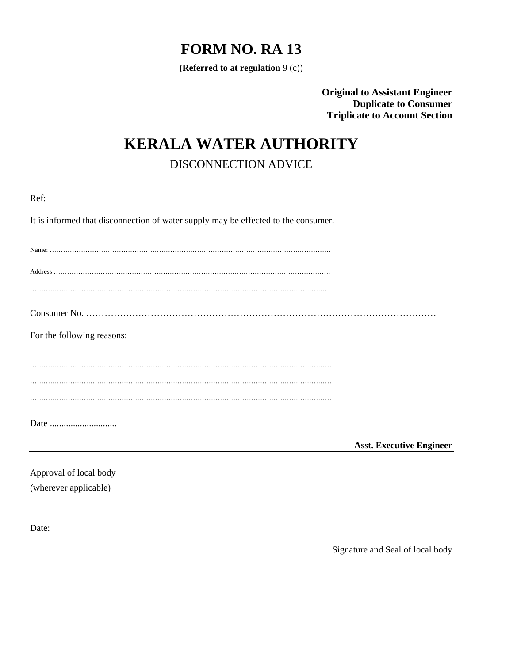### **FORM NO. RA 13**

**(Referred to at regulation** 9 (c))

**Original to Assistant Engineer Duplicate to Consumer Triplicate to Account Section** 

### **KERALA WATER AUTHORITY**

DISCONNECTION ADVICE

| $\sim$ | of the |
|--------|--------|
|        |        |

It is informed that disconnection of water supply may be effected to the consumer.

| For the following reasons: |                                 |
|----------------------------|---------------------------------|
|                            |                                 |
|                            |                                 |
|                            |                                 |
|                            |                                 |
|                            |                                 |
|                            | <b>Asst. Executive Engineer</b> |

Approval of local body (wherever applicable)

Date:

Signature and Seal of local body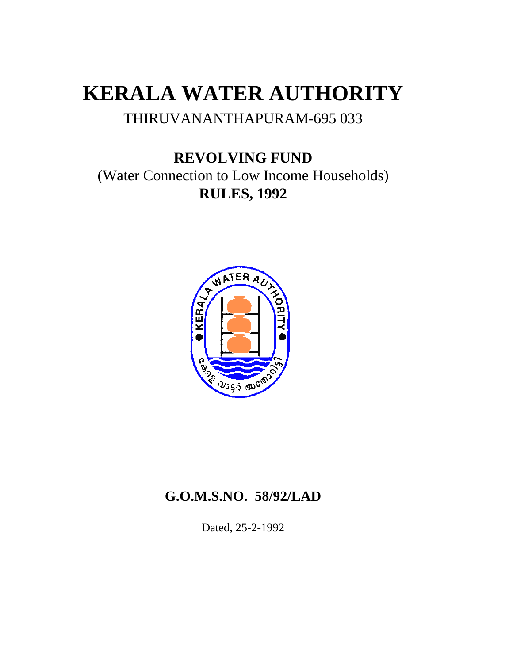# **KERALA WATER AUTHORITY**

### THIRUVANANTHAPURAM-695 033

### **REVOLVING FUND**  (Water Connection to Low Income Households) **RULES, 1992**



### **G.O.M.S.NO. 58/92/LAD**

Dated, 25-2-1992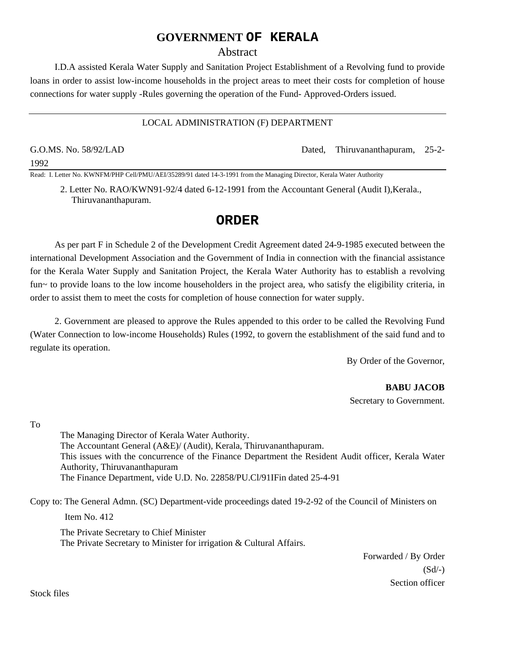#### **GOVERNMENT OF KERALA**

#### Abstract

I.D.A assisted Kerala Water Supply and Sanitation Project Establishment of a Revolving fund to provide loans in order to assist low-income households in the project areas to meet their costs for completion of house connections for water supply -Rules governing the operation of the Fund- Approved-Orders issued.

#### LOCAL ADMINISTRATION (F) DEPARTMENT

1992

G.O.MS. No. 58/92/LAD Dated, Thiruvananthapuram, 25-2-

Read: I. Letter No. KWNFM/PHP Cell/PMU/AEI/35289/91 dated 14-3-1991 from the Managing Director, Kerala Water Authority

2. Letter No. RAO/KWN91-92/4 dated 6-12-1991 from the Accountant General (Audit I),Kerala., Thiruvananthapuram.

#### **ORDER**

As per part F in Schedule 2 of the Development Credit Agreement dated 24-9-1985 executed between the international Development Association and the Government of India in connection with the financial assistance for the Kerala Water Supply and Sanitation Project, the Kerala Water Authority has to establish a revolving fun~ to provide loans to the low income householders in the project area, who satisfy the eligibility criteria, in order to assist them to meet the costs for completion of house connection for water supply.

2. Government are pleased to approve the Rules appended to this order to be called the Revolving Fund (Water Connection to low-income Households) Rules (1992, to govern the establishment of the said fund and to regulate its operation.

By Order of the Governor,

 **BABU JACOB**  Secretary to Government.

To

The Managing Director of Kerala Water Authority. The Accountant General (A&E)/ (Audit), Kerala, Thiruvananthapuram. This issues with the concurrence of the Finance Department the Resident Audit officer, Kerala Water Authority, Thiruvananthapuram The Finance Department, vide U.D. No. 22858/PU.Cl/91IFin dated 25-4-91

Copy to: The General Admn. (SC) Department-vide proceedings dated 19-2-92 of the Council of Ministers on

Item No. 412

The Private Secretary to Chief Minister The Private Secretary to Minister for irrigation & Cultural Affairs.

> Forwarded / By Order  $(Sd/-)$ Section officer

Stock files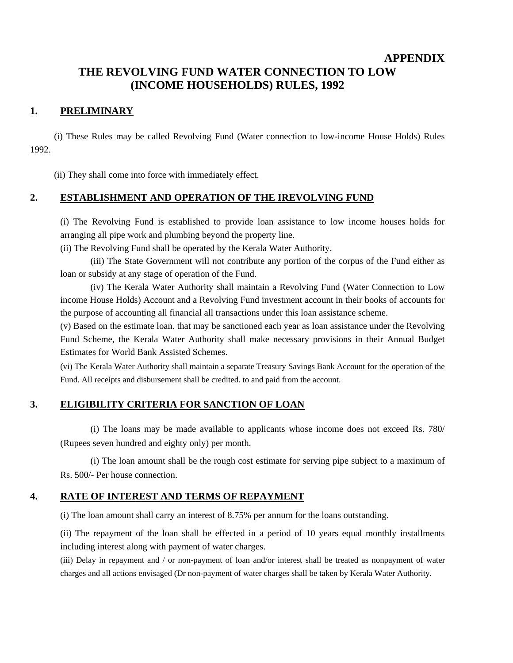#### **APPENDIX**

### **THE REVOLVING FUND WATER CONNECTION TO LOW (INCOME HOUSEHOLDS) RULES, 1992**

#### **1. PRELIMINARY**

(i) These Rules may be called Revolving Fund (Water connection to low-income House Holds) Rules 1992.

(ii) They shall come into force with immediately effect.

#### **2. ESTABLISHMENT AND OPERATION OF THE IREVOLVING FUND**

(i) The Revolving Fund is established to provide loan assistance to low income houses holds for arranging all pipe work and plumbing beyond the property line.

(ii) The Revolving Fund shall be operated by the Kerala Water Authority.

(iii) The State Government will not contribute any portion of the corpus of the Fund either as loan or subsidy at any stage of operation of the Fund.

(iv) The Kerala Water Authority shall maintain a Revolving Fund (Water Connection to Low income House Holds) Account and a Revolving Fund investment account in their books of accounts for the purpose of accounting all financial all transactions under this loan assistance scheme.

(v) Based on the estimate loan. that may be sanctioned each year as loan assistance under the Revolving Fund Scheme, the Kerala Water Authority shall make necessary provisions in their Annual Budget Estimates for World Bank Assisted Schemes.

(vi) The Kerala Water Authority shall maintain a separate Treasury Savings Bank Account for the operation of the Fund. All receipts and disbursement shall be credited. to and paid from the account.

#### **3. ELIGIBILITY CRITERIA FOR SANCTION OF LOAN**

(i) The loans may be made available to applicants whose income does not exceed Rs. 780/ (Rupees seven hundred and eighty only) per month.

(i) The loan amount shall be the rough cost estimate for serving pipe subject to a maximum of Rs. 500/- Per house connection.

#### **4. RATE OF INTEREST AND TERMS OF REPAYMENT**

(i) The loan amount shall carry an interest of 8.75% per annum for the loans outstanding.

(ii) The repayment of the loan shall be effected in a period of 10 years equal monthly installments including interest along with payment of water charges.

(iii) Delay in repayment and / or non-payment of loan and/or interest shall be treated as nonpayment of water charges and all actions envisaged (Dr non-payment of water charges shall be taken by Kerala Water Authority.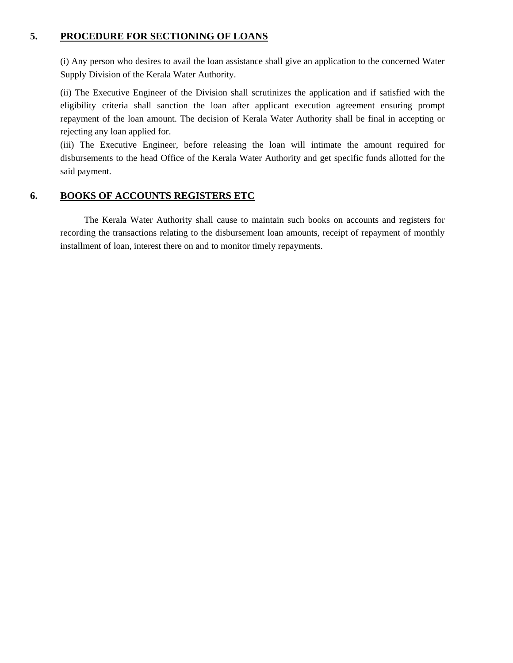#### **5. PROCEDURE FOR SECTIONING OF LOANS**

(i) Any person who desires to avail the loan assistance shall give an application to the concerned Water Supply Division of the Kerala Water Authority.

(ii) The Executive Engineer of the Division shall scrutinizes the application and if satisfied with the eligibility criteria shall sanction the loan after applicant execution agreement ensuring prompt repayment of the loan amount. The decision of Kerala Water Authority shall be final in accepting or rejecting any loan applied for.

(iii) The Executive Engineer, before releasing the loan will intimate the amount required for disbursements to the head Office of the Kerala Water Authority and get specific funds allotted for the said payment.

### **6. BOOKS OF ACCOUNTS REGISTERS ETC**

The Kerala Water Authority shall cause to maintain such books on accounts and registers for recording the transactions relating to the disbursement loan amounts, receipt of repayment of monthly installment of loan, interest there on and to monitor timely repayments.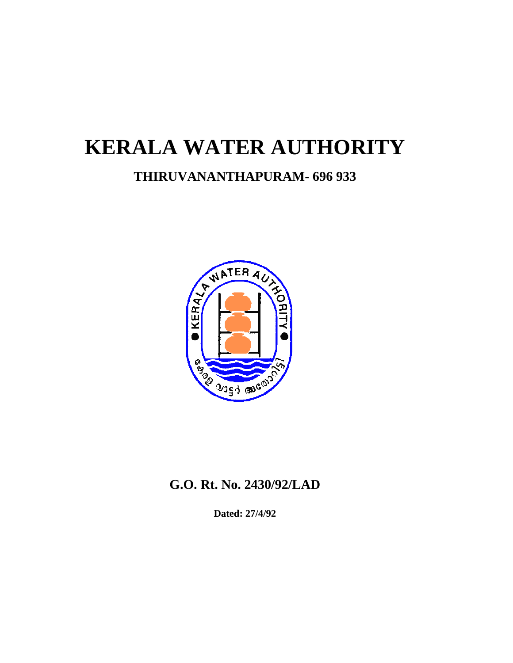# **KERALA WATER AUTHORITY**

### **THIRUVANANTHAPURAM- 696 933**



### **G.O. Rt. No. 2430/92/LAD**

**Dated: 27/4/92**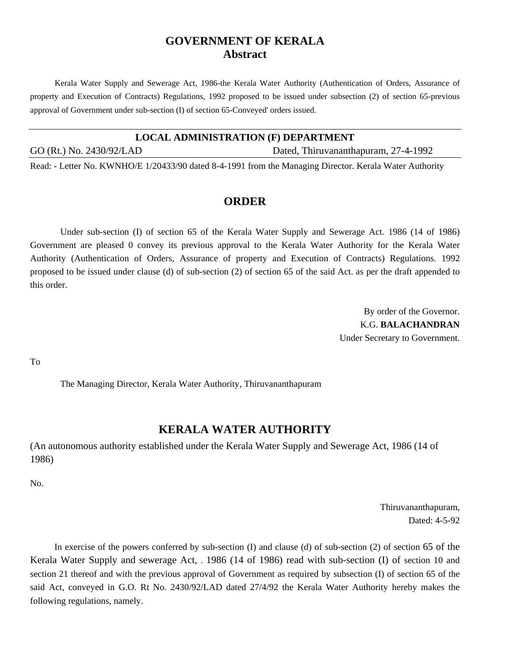### **GOVERNMENT OF KERALA Abstract**

Kerala Water Supply and Sewerage Act, 1986-the Kerala Water Authority (Authentication of Orders, Assurance of property and Execution of Contracts) Regulations, 1992 proposed to be issued under subsection (2) of section 65-previous approval of Government under sub-section (I) of section 65-Conveyed' orders issued.

#### **LOCAL ADMINISTRATION (F) DEPARTMENT**

GO (Rt.) No. 2430/92/LAD Dated, Thiruvananthapuram, 27-4-1992

Read: - Letter No. KWNHO/E 1/20433/90 dated 8-4-1991 from the Managing Director. Kerala Water Authority

#### **ORDER**

Under sub-section (I) of section 65 of the Kerala Water Supply and Sewerage Act. 1986 (14 of 1986) Government are pleased 0 convey its previous approval to the Kerala Water Authority for the Kerala Water Authority (Authentication of Orders, Assurance of property and Execution of Contracts) Regulations. 1992 proposed to be issued under clause (d) of sub-section (2) of section 65 of the said Act. as per the draft appended to this order.

> By order of the Governor. K.G. **BALACHANDRAN**  Under Secretary to Government.

To

The Managing Director, Kerala Water Authority, Thiruvananthapuram

### **KERALA WATER AUTHORITY**

(An autonomous authority established under the Kerala Water Supply and Sewerage Act, 1986 (14 of 1986)

No.

Thiruvananthapuram, Dated: 4-5-92

In exercise of the powers conferred by sub-section (I) and clause (d) of sub-section (2) of section 65 of the Kerala Water Supply and sewerage Act, . 1986 (14 of 1986) read with sub-section (I) of section 10 and section 21 thereof and with the previous approval of Government as required by subsection (I) of section 65 of the said Act, conveyed in G.O. Rt No. 2430/92/LAD dated 27/4/92 the Kerala Water Authority hereby makes the following regulations, namely.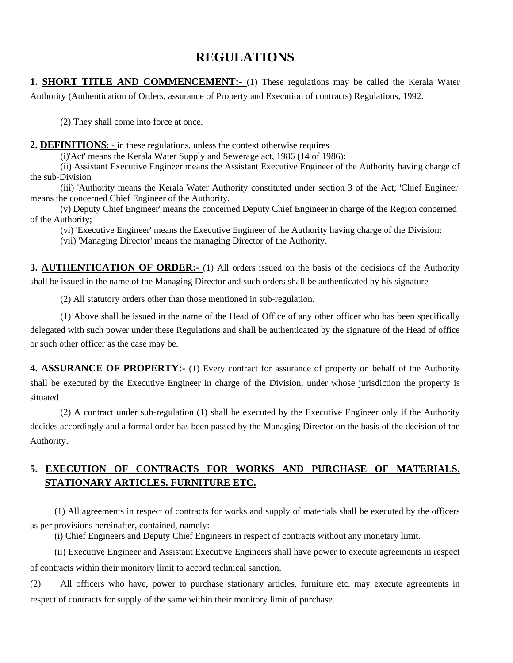### **REGULATIONS**

**1. SHORT TITLE AND COMMENCEMENT:-** (1) These regulations may be called the Kerala Water Authority (Authentication of Orders, assurance of Property and Execution of contracts) Regulations, 1992.

(2) They shall come into force at once.

**2. DEFINITIONS**: - in these regulations, unless the context otherwise requires

(i)'Act' means the Kerala Water Supply and Sewerage act, 1986 (14 of 1986):

(ii) Assistant Executive Engineer means the Assistant Executive Engineer of the Authority having charge of the sub-Division

(iii) 'Authority means the Kerala Water Authority constituted under section 3 of the Act; 'Chief Engineer' means the concerned Chief Engineer of the Authority.

 (v) Deputy Chief Engineer' means the concerned Deputy Chief Engineer in charge of the Region concerned of the Authority;

(vi) 'Executive Engineer' means the Executive Engineer of the Authority having charge of the Division:

(vii) 'Managing Director' means the managing Director of the Authority.

**3. AUTHENTICATION OF ORDER:-** (1) All orders issued on the basis of the decisions of the Authority shall be issued in the name of the Managing Director and such orders shall be authenticated by his signature

(2) All statutory orders other than those mentioned in sub-regulation.

(1) Above shall be issued in the name of the Head of Office of any other officer who has been specifically delegated with such power under these Regulations and shall be authenticated by the signature of the Head of office or such other officer as the case may be.

**4. ASSURANCE OF PROPERTY:-** (1) Every contract for assurance of property on behalf of the Authority shall be executed by the Executive Engineer in charge of the Division, under whose jurisdiction the property is situated.

(2) A contract under sub-regulation (1) shall be executed by the Executive Engineer only if the Authority decides accordingly and a formal order has been passed by the Managing Director on the basis of the decision of the Authority.

### **5. EXECUTION OF CONTRACTS FOR WORKS AND PURCHASE OF MATERIALS. STATIONARY ARTICLES. FURNITURE ETC.**

(1) All agreements in respect of contracts for works and supply of materials shall be executed by the officers as per provisions hereinafter, contained, namely:

(i) Chief Engineers and Deputy Chief Engineers in respect of contracts without any monetary limit.

(ii) Executive Engineer and Assistant Executive Engineers shall have power to execute agreements in respect of contracts within their monitory limit to accord technical sanction.

(2) All officers who have, power to purchase stationary articles, furniture etc. may execute agreements in respect of contracts for supply of the same within their monitory limit of purchase.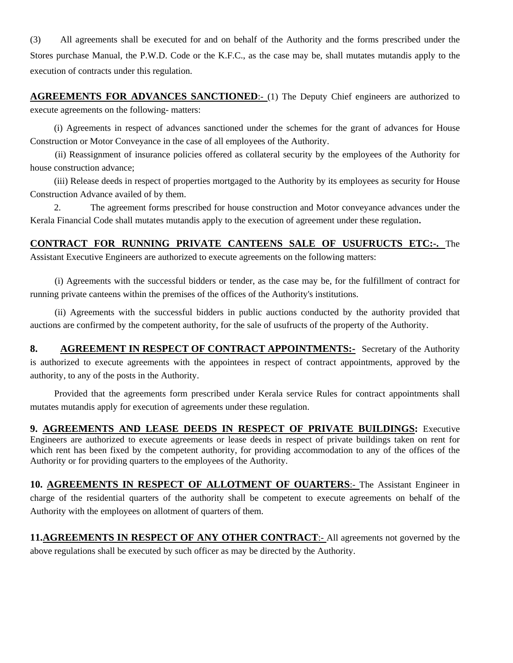(3) All agreements shall be executed for and on behalf of the Authority and the forms prescribed under the Stores purchase Manual, the P.W.D. Code or the K.F.C., as the case may be, shall mutates mutandis apply to the execution of contracts under this regulation.

**AGREEMENTS FOR ADVANCES SANCTIONED:** (1) The Deputy Chief engineers are authorized to execute agreements on the following- matters:

(i) Agreements in respect of advances sanctioned under the schemes for the grant of advances for House Construction or Motor Conveyance in the case of all employees of the Authority.

(ii) Reassignment of insurance policies offered as collateral security by the employees of the Authority for house construction advance;

(iii) Release deeds in respect of properties mortgaged to the Authority by its employees as security for House Construction Advance availed of by them.

2. The agreement forms prescribed for house construction and Motor conveyance advances under the Kerala Financial Code shall mutates mutandis apply to the execution of agreement under these regulation.

**CONTRACT FOR RUNNING PRIVATE CANTEENS SALE OF USUFRUCTS ETC:-.** The Assistant Executive Engineers are authorized to execute agreements on the following matters:

 (i) Agreements with the successful bidders or tender, as the case may be, for the fulfillment of contract for running private canteens within the premises of the offices of the Authority's institutions.

(ii) Agreements with the successful bidders in public auctions conducted by the authority provided that auctions are confirmed by the competent authority, for the sale of usufructs of the property of the Authority.

**8. AGREEMENT IN RESPECT OF CONTRACT APPOINTMENTS:** Secretary of the Authority is authorized to execute agreements with the appointees in respect of contract appointments, approved by the authority, to any of the posts in the Authority.

Provided that the agreements form prescribed under Kerala service Rules for contract appointments shall mutates mutandis apply for execution of agreements under these regulation.

**9. AGREEMENTS AND LEASE DEEDS IN RESPECT OF PRIVATE BUILDINGS:** Executive Engineers are authorized to execute agreements or lease deeds in respect of private buildings taken on rent for which rent has been fixed by the competent authority, for providing accommodation to any of the offices of the Authority or for providing quarters to the employees of the Authority.

**10. AGREEMENTS IN RESPECT OF ALLOTMENT OF OUARTERS**:- The Assistant Engineer in charge of the residential quarters of the authority shall be competent to execute agreements on behalf of the Authority with the employees on allotment of quarters of them.

**11.AGREEMENTS IN RESPECT OF ANY OTHER CONTRACT**:- All agreements not governed by the above regulations shall be executed by such officer as may be directed by the Authority.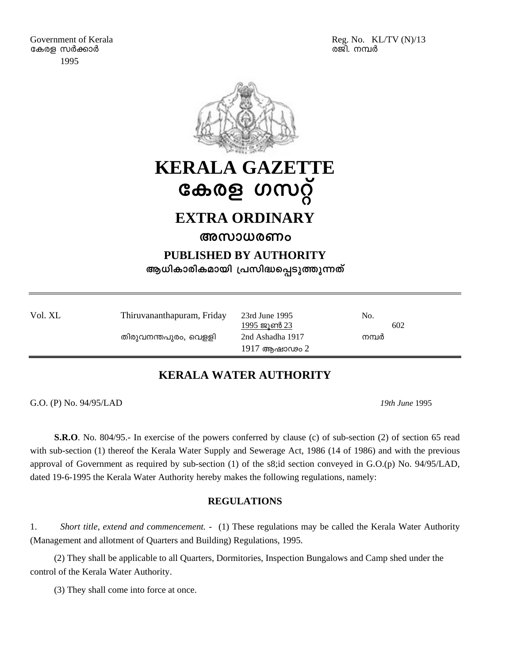

## **KERALA GAZETTE**  കേരള ഗസറ്റ്

### **EXTRA ORDINARY**

### **അസാധരണം**

**PUBLISHED BY AUTHORITY** 

ആധികാരികമായി പ്രസിദ്ധപ്പെടുത്തുന്നത്

| Vol. XL | Thiruvananthapuram, Friday | 23rd June 1995<br>1995 ജൂൺ 23 | No.<br>602 |
|---------|----------------------------|-------------------------------|------------|
|         | തിരുവനന്തപുരം, വെള്ളി      | 2nd Ashadha 1917              | നമ്പർ      |
|         |                            | 1917 ആഷാഢം 2                  |            |

### **KERALA WATER AUTHORITY**

G.O. (P) No. 94/95/LAD *19th June* 1995

**S.R.O**. No. 804/95.- In exercise of the powers conferred by clause (c) of sub-section (2) of section 65 read with sub-section (1) thereof the Kerala Water Supply and Sewerage Act, 1986 (14 of 1986) and with the previous approval of Government as required by sub-section (1) of the s8;id section conveyed in G.O.(p) No. 94/95/LAD, dated 19-6-1995 the Kerala Water Authority hereby makes the following regulations, namely:

#### **REGULATIONS**

1. *Short title, extend and commencement. -* (1) These regulations may be called the Kerala Water Authority (Management and allotment of Quarters and Building) Regulations, 1995.

(2) They shall be applicable to all Quarters, Dormitories, Inspection Bungalows and Camp shed under the control of the Kerala Water Authority.

(3) They shall come into force at once.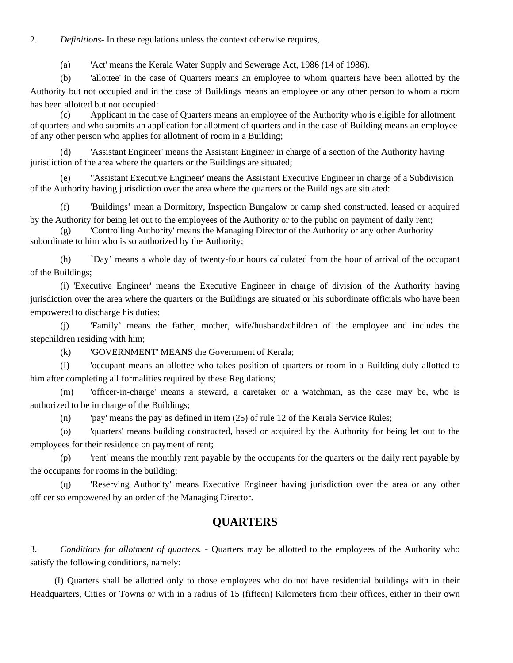2. *Definitions-* In these regulations unless the context otherwise requires,

(a) 'Act' means the Kerala Water Supply and Sewerage Act, 1986 (14 of 1986).

(b) 'allottee' in the case of Quarters means an employee to whom quarters have been allotted by the Authority but not occupied and in the case of Buildings means an employee or any other person to whom a room has been allotted but not occupied:

 (c) Applicant in the case of Quarters means an employee of the Authority who is eligible for allotment of quarters and who submits an application for allotment of quarters and in the case of Building means an employee of any other person who applies for allotment of room in a Building;

 (d) 'Assistant Engineer' means the Assistant Engineer in charge of a section of the Authority having jurisdiction of the area where the quarters or the Buildings are situated;

 (e) "Assistant Executive Engineer' means the Assistant Executive Engineer in charge of a Subdivision of the Authority having jurisdiction over the area where the quarters or the Buildings are situated:

(f) 'Buildings' mean a Dormitory, Inspection Bungalow or camp shed constructed, leased or acquired by the Authority for being let out to the employees of the Authority or to the public on payment of daily rent;

 (g) 'Controlling Authority' means the Managing Director of the Authority or any other Authority subordinate to him who is so authorized by the Authority;

 (h) `Day' means a whole day of twenty-four hours calculated from the hour of arrival of the occupant of the Buildings;

(i) 'Executive Engineer' means the Executive Engineer in charge of division of the Authority having jurisdiction over the area where the quarters or the Buildings are situated or his subordinate officials who have been empowered to discharge his duties;

(j) 'Family' means the father, mother, wife/husband/children of the employee and includes the stepchildren residing with him;

(k) 'GOVERNMENT' MEANS the Government of Kerala;

(I) 'occupant means an allottee who takes position of quarters or room in a Building duly allotted to him after completing all formalities required by these Regulations;

 (m) 'officer-in-charge' means a steward, a caretaker or a watchman, as the case may be, who is authorized to be in charge of the Buildings;

(n) 'pay' means the pay as defined in item (25) of rule 12 of the Kerala Service Rules;

(o) 'quarters' means building constructed, based or acquired by the Authority for being let out to the employees for their residence on payment of rent;

(p) 'rent' means the monthly rent payable by the occupants for the quarters or the daily rent payable by the occupants for rooms in the building;

 (q) 'Reserving Authority' means Executive Engineer having jurisdiction over the area or any other officer so empowered by an order of the Managing Director.

### **QUARTERS**

3. *Conditions for allotment of quarters.* - Quarters may be allotted to the employees of the Authority who satisfy the following conditions, namely:

(I) Quarters shall be allotted only to those employees who do not have residential buildings with in their Headquarters, Cities or Towns or with in a radius of 15 (fifteen) Kilometers from their offices, either in their own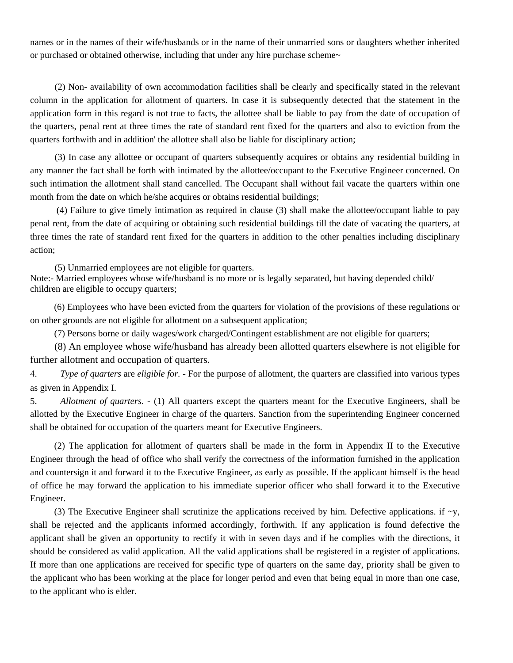names or in the names of their wife/husbands or in the name of their unmarried sons or daughters whether inherited or purchased or obtained otherwise, including that under any hire purchase scheme~

(2) Non- availability of own accommodation facilities shall be clearly and specifically stated in the relevant column in the application for allotment of quarters. In case it is subsequently detected that the statement in the application form in this regard is not true to facts, the allottee shall be liable to pay from the date of occupation of the quarters, penal rent at three times the rate of standard rent fixed for the quarters and also to eviction from the quarters forthwith and in addition' the allottee shall also be liable for disciplinary action;

(3) In case any allottee or occupant of quarters subsequently acquires or obtains any residential building in any manner the fact shall be forth with intimated by the allottee/occupant to the Executive Engineer concerned. On such intimation the allotment shall stand cancelled. The Occupant shall without fail vacate the quarters within one month from the date on which he/she acquires or obtains residential buildings;

 (4) Failure to give timely intimation as required in clause (3) shall make the allottee/occupant liable to pay penal rent, from the date of acquiring or obtaining such residential buildings till the date of vacating the quarters, at three times the rate of standard rent fixed for the quarters in addition to the other penalties including disciplinary action;

(5) Unmarried employees are not eligible for quarters. Note:- Married employees whose wife/husband is no more or is legally separated, but having depended child/ children are eligible to occupy quarters;

(6) Employees who have been evicted from the quarters for violation of the provisions of these regulations or on other grounds are not eligible for allotment on a subsequent application;

(7) Persons borne or daily wages/work charged/Contingent establishment are not eligible for quarters;

 (8) An employee whose wife/husband has already been allotted quarters elsewhere is not eligible for further allotment and occupation of quarters.

4. *Type of quarters* are *eligible for. -* For the purpose of allotment, the quarters are classified into various types as given in Appendix I.

5. *Allotment of quarters.* - (1) All quarters except the quarters meant for the Executive Engineers, shall be allotted by the Executive Engineer in charge of the quarters. Sanction from the superintending Engineer concerned shall be obtained for occupation of the quarters meant for Executive Engineers.

(2) The application for allotment of quarters shall be made in the form in Appendix II to the Executive Engineer through the head of office who shall verify the correctness of the information furnished in the application and countersign it and forward it to the Executive Engineer, as early as possible. If the applicant himself is the head of office he may forward the application to his immediate superior officer who shall forward it to the Executive Engineer.

(3) The Executive Engineer shall scrutinize the applications received by him. Defective applications. if  $\sim y$ , shall be rejected and the applicants informed accordingly, forthwith. If any application is found defective the applicant shall be given an opportunity to rectify it with in seven days and if he complies with the directions, it should be considered as valid application. All the valid applications shall be registered in a register of applications. If more than one applications are received for specific type of quarters on the same day, priority shall be given to the applicant who has been working at the place for longer period and even that being equal in more than one case, to the applicant who is elder.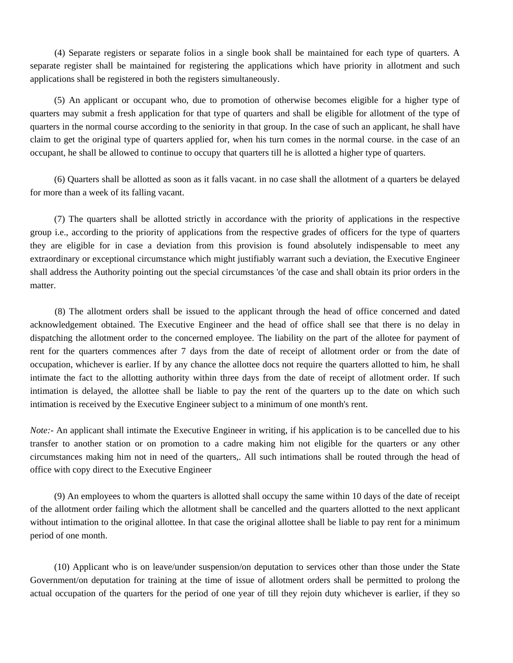(4) Separate registers or separate folios in a single book shall be maintained for each type of quarters. A separate register shall be maintained for registering the applications which have priority in allotment and such applications shall be registered in both the registers simultaneously.

(5) An applicant or occupant who, due to promotion of otherwise becomes eligible for a higher type of quarters may submit a fresh application for that type of quarters and shall be eligible for allotment of the type of quarters in the normal course according to the seniority in that group. In the case of such an applicant, he shall have claim to get the original type of quarters applied for, when his turn comes in the normal course. in the case of an occupant, he shall be allowed to continue to occupy that quarters till he is allotted a higher type of quarters.

(6) Quarters shall be allotted as soon as it falls vacant. in no case shall the allotment of a quarters be delayed for more than a week of its falling vacant.

(7) The quarters shall be allotted strictly in accordance with the priority of applications in the respective group i.e., according to the priority of applications from the respective grades of officers for the type of quarters they are eligible for in case a deviation from this provision is found absolutely indispensable to meet any extraordinary or exceptional circumstance which might justifiably warrant such a deviation, the Executive Engineer shall address the Authority pointing out the special circumstances 'of the case and shall obtain its prior orders in the matter.

(8) The allotment orders shall be issued to the applicant through the head of office concerned and dated acknowledgement obtained. The Executive Engineer and the head of office shall see that there is no delay in dispatching the allotment order to the concerned employee. The liability on the part of the allotee for payment of rent for the quarters commences after 7 days from the date of receipt of allotment order or from the date of occupation, whichever is earlier. If by any chance the allottee docs not require the quarters allotted to him, he shall intimate the fact to the allotting authority within three days from the date of receipt of allotment order. If such intimation is delayed, the allottee shall be liable to pay the rent of the quarters up to the date on which such intimation is received by the Executive Engineer subject to a minimum of one month's rent.

*Note:*- An applicant shall intimate the Executive Engineer in writing, if his application is to be cancelled due to his transfer to another station or on promotion to a cadre making him not eligible for the quarters or any other circumstances making him not in need of the quarters,. All such intimations shall be routed through the head of office with copy direct to the Executive Engineer

(9) An employees to whom the quarters is allotted shall occupy the same within 10 days of the date of receipt of the allotment order failing which the allotment shall be cancelled and the quarters allotted to the next applicant without intimation to the original allottee. In that case the original allottee shall be liable to pay rent for a minimum period of one month.

(10) Applicant who is on leave/under suspension/on deputation to services other than those under the State Government/on deputation for training at the time of issue of allotment orders shall be permitted to prolong the actual occupation of the quarters for the period of one year of till they rejoin duty whichever is earlier, if they so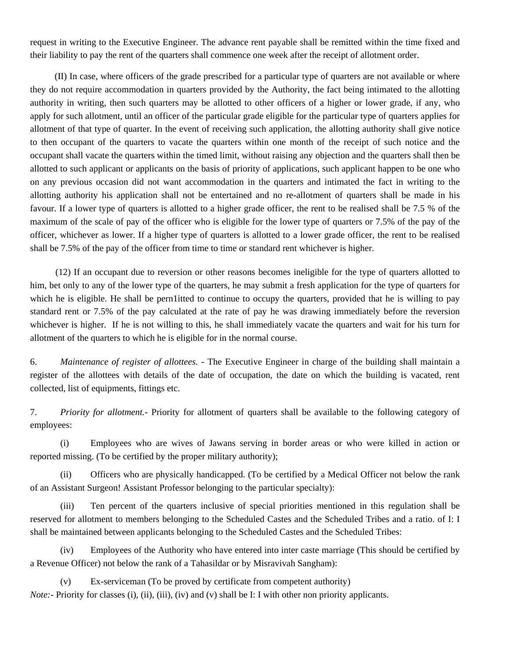request in writing to the Executive Engineer. The advance rent payable shall be remitted within the time fixed and their liability to pay the rent of the quarters shall commence one week after the receipt of allotment order.

(II) In case, where officers of the grade prescribed for a particular type of quarters are not available or where they do not require accommodation in quarters provided by the Authority, the fact being intimated to the allotting authority in writing, then such quarters may be allotted to other officers of a higher or lower grade, if any, who apply for such allotment, until an officer of the particular grade eligible for the particular type of quarters applies for allotment of that type of quarter. In the event of receiving such application, the allotting authority shall give notice to then occupant of the quarters to vacate the quarters within one month of the receipt of such notice and the occupant shall vacate the quarters within the timed limit, without raising any objection and the quarters shall then be allotted to such applicant or applicants on the basis of priority of applications, such applicant happen to be one who on any previous occasion did not want accommodation in the quarters and intimated the fact in writing to the allotting authority his application shall not be entertained and no re-allotment of quarters shall be made in his favour. If a lower type of quarters is allotted to a higher grade officer, the rent to be realised shall be 7.5 % of the maximum of the scale of pay of the officer who is eligible for the lower type of quarters or 7.5% of the pay of the officer, whichever as lower. If a higher type of quarters is allotted to a lower grade officer, the rent to be realised shall be 7.5% of the pay of the officer from time to time or standard rent whichever is higher.

(12) If an occupant due to reversion or other reasons becomes ineligible for the type of quarters allotted to him, bet only to any of the lower type of the quarters, he may submit a fresh application for the type of quarters for which he is eligible. He shall be pern1itted to continue to occupy the quarters, provided that he is willing to pay standard rent or 7.5% of the pay calculated at the rate of pay he was drawing immediately before the reversion whichever is higher. If he is not willing to this, he shall immediately vacate the quarters and wait for his turn for allotment of the quarters to which he is eligible for in the normal course.

6. *Maintenance of register of allottees.* - The Executive Engineer in charge of the building shall maintain a register of the allottees with details of the date of occupation, the date on which the building is vacated, rent collected, list of equipments, fittings etc.

7. *Priority for allotment.-* Priority for allotment of quarters shall be available to the following category of employees:

(i) Employees who are wives of Jawans serving in border areas or who were killed in action or reported missing. (To be certified by the proper military authority);

(ii) Officers who are physically handicapped. (To be certified by a Medical Officer not below the rank of an Assistant Surgeon! Assistant Professor belonging to the particular specialty):

(iii) Ten percent of the quarters inclusive of special priorities mentioned in this regulation shall be reserved for allotment to members belonging to the Scheduled Castes and the Scheduled Tribes and a ratio. of I: I shall be maintained between applicants belonging to the Scheduled Castes and the Scheduled Tribes:

(iv) Employees of the Authority who have entered into inter caste marriage (This should be certified by a Revenue Officer) not below the rank of a Tahasildar or by Misravivah Sangham):

(v) Ex-serviceman (To be proved by certificate from competent authority) *Note:*- Priority for classes (i), (ii), (iii), (iv) and (v) shall be I: I with other non priority applicants.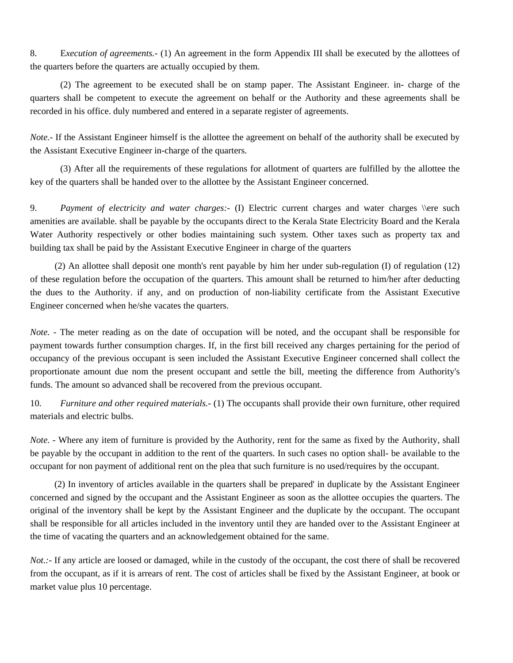8. E*xecution of agreements.-* (1) An agreement in the form Appendix III shall be executed by the allottees of the quarters before the quarters are actually occupied by them.

(2) The agreement to be executed shall be on stamp paper. The Assistant Engineer. in- charge of the quarters shall be competent to execute the agreement on behalf or the Authority and these agreements shall be recorded in his office. duly numbered and entered in a separate register of agreements.

*Note.-* If the Assistant Engineer himself is the allottee the agreement on behalf of the authority shall be executed by the Assistant Executive Engineer in-charge of the quarters.

(3) After all the requirements of these regulations for allotment of quarters are fulfilled by the allottee the key of the quarters shall be handed over to the allottee by the Assistant Engineer concerned.

9. *Payment of electricity and water charges:-* (I) Electric current charges and water charges \\ere such amenities are available. shall be payable by the occupants direct to the Kerala State Electricity Board and the Kerala Water Authority respectively or other bodies maintaining such system. Other taxes such as property tax and building tax shall be paid by the Assistant Executive Engineer in charge of the quarters

(2) An allottee shall deposit one month's rent payable by him her under sub-regulation (I) of regulation (12) of these regulation before the occupation of the quarters. This amount shall be returned to him/her after deducting the dues to the Authority. if any, and on production of non-liability certificate from the Assistant Executive Engineer concerned when he/she vacates the quarters.

*Note.* - The meter reading as on the date of occupation will be noted, and the occupant shall be responsible for payment towards further consumption charges. If, in the first bill received any charges pertaining for the period of occupancy of the previous occupant is seen included the Assistant Executive Engineer concerned shall collect the proportionate amount due nom the present occupant and settle the bill, meeting the difference from Authority's funds. The amount so advanced shall be recovered from the previous occupant.

10. *Furniture and other required materials.-* (1) The occupants shall provide their own furniture, other required materials and electric bulbs.

*Note.* - Where any item of furniture is provided by the Authority, rent for the same as fixed by the Authority, shall be payable by the occupant in addition to the rent of the quarters. In such cases no option shall- be available to the occupant for non payment of additional rent on the plea that such furniture is no used/requires by the occupant.

(2) In inventory of articles available in the quarters shall be prepared' in duplicate by the Assistant Engineer concerned and signed by the occupant and the Assistant Engineer as soon as the allottee occupies the quarters. The original of the inventory shall be kept by the Assistant Engineer and the duplicate by the occupant. The occupant shall be responsible for all articles included in the inventory until they are handed over to the Assistant Engineer at the time of vacating the quarters and an acknowledgement obtained for the same.

*Not.:*- If any article are loosed or damaged, while in the custody of the occupant, the cost there of shall be recovered from the occupant, as if it is arrears of rent. The cost of articles shall be fixed by the Assistant Engineer, at book or market value plus 10 percentage.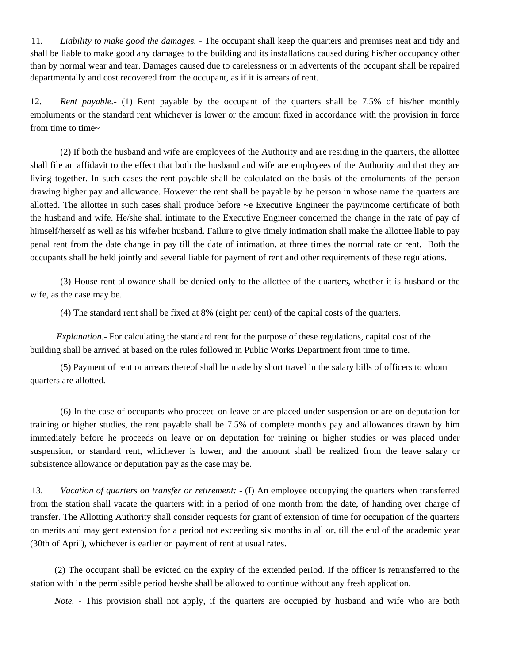11. *Liability to make good the damages.* - The occupant shall keep the quarters and premises neat and tidy and shall be liable to make good any damages to the building and its installations caused during his/her occupancy other than by normal wear and tear. Damages caused due to carelessness or in advertents of the occupant shall be repaired departmentally and cost recovered from the occupant, as if it is arrears of rent.

12. *Rent payable.-* (1) Rent payable by the occupant of the quarters shall be 7.5% of his/her monthly emoluments or the standard rent whichever is lower or the amount fixed in accordance with the provision in force from time to time~

(2) If both the husband and wife are employees of the Authority and are residing in the quarters, the allottee shall file an affidavit to the effect that both the husband and wife are employees of the Authority and that they are living together. In such cases the rent payable shall be calculated on the basis of the emoluments of the person drawing higher pay and allowance. However the rent shall be payable by he person in whose name the quarters are allotted. The allottee in such cases shall produce before ~e Executive Engineer the pay/income certificate of both the husband and wife. He/she shall intimate to the Executive Engineer concerned the change in the rate of pay of himself/herself as well as his wife/her husband. Failure to give timely intimation shall make the allottee liable to pay penal rent from the date change in pay till the date of intimation, at three times the normal rate or rent. Both the occupants shall be held jointly and several liable for payment of rent and other requirements of these regulations.

(3) House rent allowance shall be denied only to the allottee of the quarters, whether it is husband or the wife, as the case may be.

(4) The standard rent shall be fixed at 8% (eight per cent) of the capital costs of the quarters.

*Explanation.-* For calculating the standard rent for the purpose of these regulations, capital cost of the building shall be arrived at based on the rules followed in Public Works Department from time to time.

(5) Payment of rent or arrears thereof shall be made by short travel in the salary bills of officers to whom quarters are allotted.

(6) In the case of occupants who proceed on leave or are placed under suspension or are on deputation for training or higher studies, the rent payable shall be 7.5% of complete month's pay and allowances drawn by him immediately before he proceeds on leave or on deputation for training or higher studies or was placed under suspension, or standard rent, whichever is lower, and the amount shall be realized from the leave salary or subsistence allowance or deputation pay as the case may be.

13. *Vacation of quarters on transfer or retirement:* - (I) An employee occupying the quarters when transferred from the station shall vacate the quarters with in a period of one month from the date, of handing over charge of transfer. The Allotting Authority shall consider requests for grant of extension of time for occupation of the quarters on merits and may gent extension for a period not exceeding six months in all or, till the end of the academic year (30th of April), whichever is earlier on payment of rent at usual rates.

(2) The occupant shall be evicted on the expiry of the extended period. If the officer is retransferred to the station with in the permissible period he/she shall be allowed to continue without any fresh application.

*Note.* - This provision shall not apply, if the quarters are occupied by husband and wife who are both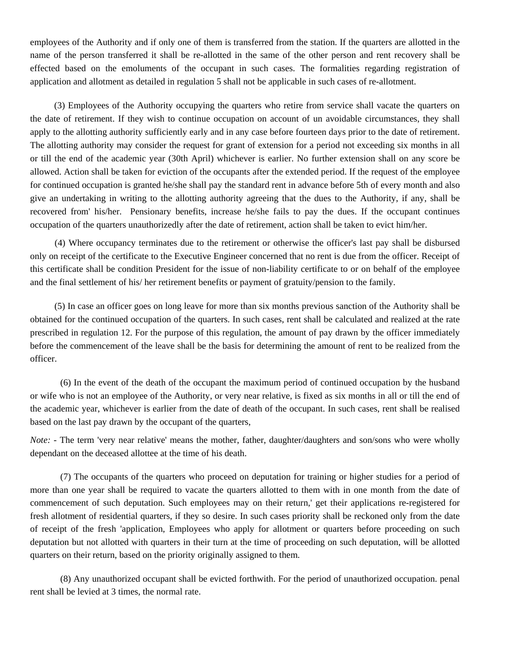employees of the Authority and if only one of them is transferred from the station. If the quarters are allotted in the name of the person transferred it shall be re-allotted in the same of the other person and rent recovery shall be effected based on the emoluments of the occupant in such cases. The formalities regarding registration of application and allotment as detailed in regulation 5 shall not be applicable in such cases of re-allotment.

(3) Employees of the Authority occupying the quarters who retire from service shall vacate the quarters on the date of retirement. If they wish to continue occupation on account of un avoidable circumstances, they shall apply to the allotting authority sufficiently early and in any case before fourteen days prior to the date of retirement. The allotting authority may consider the request for grant of extension for a period not exceeding six months in all or till the end of the academic year (30th April) whichever is earlier. No further extension shall on any score be allowed. Action shall be taken for eviction of the occupants after the extended period. If the request of the employee for continued occupation is granted he/she shall pay the standard rent in advance before 5th of every month and also give an undertaking in writing to the allotting authority agreeing that the dues to the Authority, if any, shall be recovered from' his/her. Pensionary benefits, increase he/she fails to pay the dues. If the occupant continues occupation of the quarters unauthorizedly after the date of retirement, action shall be taken to evict him/her.

(4) Where occupancy terminates due to the retirement or otherwise the officer's last pay shall be disbursed only on receipt of the certificate to the Executive Engineer concerned that no rent is due from the officer. Receipt of this certificate shall be condition President for the issue of non-liability certificate to or on behalf of the employee and the final settlement of his/ her retirement benefits or payment of gratuity/pension to the family.

(5) In case an officer goes on long leave for more than six months previous sanction of the Authority shall be obtained for the continued occupation of the quarters. In such cases, rent shall be calculated and realized at the rate prescribed in regulation 12. For the purpose of this regulation, the amount of pay drawn by the officer immediately before the commencement of the leave shall be the basis for determining the amount of rent to be realized from the officer.

(6) In the event of the death of the occupant the maximum period of continued occupation by the husband or wife who is not an employee of the Authority, or very near relative, is fixed as six months in all or till the end of the academic year, whichever is earlier from the date of death of the occupant. In such cases, rent shall be realised based on the last pay drawn by the occupant of the quarters,

*Note: -* The term 'very near relative' means the mother, father, daughter/daughters and son/sons who were wholly dependant on the deceased allottee at the time of his death.

(7) The occupants of the quarters who proceed on deputation for training or higher studies for a period of more than one year shall be required to vacate the quarters allotted to them with in one month from the date of commencement of such deputation. Such employees may on their return,' get their applications re-registered for fresh allotment of residential quarters, if they so desire. In such cases priority shall be reckoned only from the date of receipt of the fresh 'application, Employees who apply for allotment or quarters before proceeding on such deputation but not allotted with quarters in their turn at the time of proceeding on such deputation, will be allotted quarters on their return, based on the priority originally assigned to them.

(8) Any unauthorized occupant shall be evicted forthwith. For the period of unauthorized occupation. penal rent shall be levied at 3 times, the normal rate.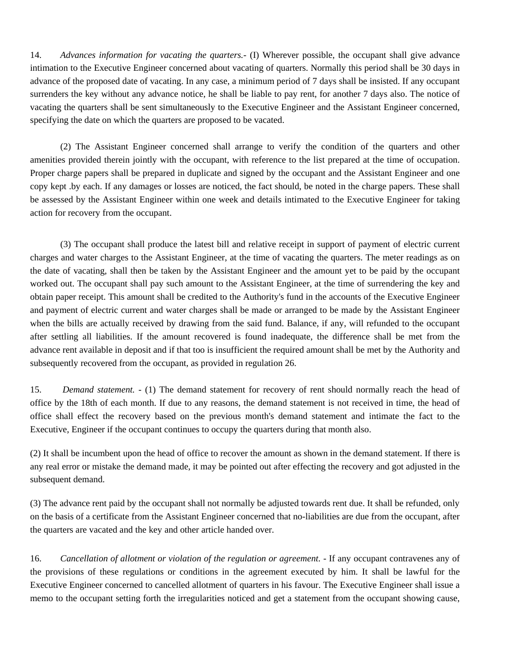14. *Advances information for vacating the quarters.-* (I) Wherever possible, the occupant shall give advance intimation to the Executive Engineer concerned about vacating of quarters. Normally this period shall be 30 days in advance of the proposed date of vacating. In any case, a minimum period of 7 days shall be insisted. If any occupant surrenders the key without any advance notice, he shall be liable to pay rent, for another 7 days also. The notice of vacating the quarters shall be sent simultaneously to the Executive Engineer and the Assistant Engineer concerned, specifying the date on which the quarters are proposed to be vacated.

(2) The Assistant Engineer concerned shall arrange to verify the condition of the quarters and other amenities provided therein jointly with the occupant, with reference to the list prepared at the time of occupation. Proper charge papers shall be prepared in duplicate and signed by the occupant and the Assistant Engineer and one copy kept .by each. If any damages or losses are noticed, the fact should, be noted in the charge papers. These shall be assessed by the Assistant Engineer within one week and details intimated to the Executive Engineer for taking action for recovery from the occupant.

(3) The occupant shall produce the latest bill and relative receipt in support of payment of electric current charges and water charges to the Assistant Engineer, at the time of vacating the quarters. The meter readings as on the date of vacating, shall then be taken by the Assistant Engineer and the amount yet to be paid by the occupant worked out. The occupant shall pay such amount to the Assistant Engineer, at the time of surrendering the key and obtain paper receipt. This amount shall be credited to the Authority's fund in the accounts of the Executive Engineer and payment of electric current and water charges shall be made or arranged to be made by the Assistant Engineer when the bills are actually received by drawing from the said fund. Balance, if any, will refunded to the occupant after settling all liabilities. If the amount recovered is found inadequate, the difference shall be met from the advance rent available in deposit and if that too is insufficient the required amount shall be met by the Authority and subsequently recovered from the occupant, as provided in regulation 26.

15. *Demand statement.* - (1) The demand statement for recovery of rent should normally reach the head of office by the 18th of each month. If due to any reasons, the demand statement is not received in time, the head of office shall effect the recovery based on the previous month's demand statement and intimate the fact to the Executive, Engineer if the occupant continues to occupy the quarters during that month also.

(2) It shall be incumbent upon the head of office to recover the amount as shown in the demand statement. If there is any real error or mistake the demand made, it may be pointed out after effecting the recovery and got adjusted in the subsequent demand.

(3) The advance rent paid by the occupant shall not normally be adjusted towards rent due. It shall be refunded, only on the basis of a certificate from the Assistant Engineer concerned that no-liabilities are due from the occupant, after the quarters are vacated and the key and other article handed over.

16. *Cancellation of allotment or violation of the regulation or agreement.* - If any occupant contravenes any of the provisions of these regulations or conditions in the agreement executed by him. It shall be lawful for the Executive Engineer concerned to cancelled allotment of quarters in his favour. The Executive Engineer shall issue a memo to the occupant setting forth the irregularities noticed and get a statement from the occupant showing cause,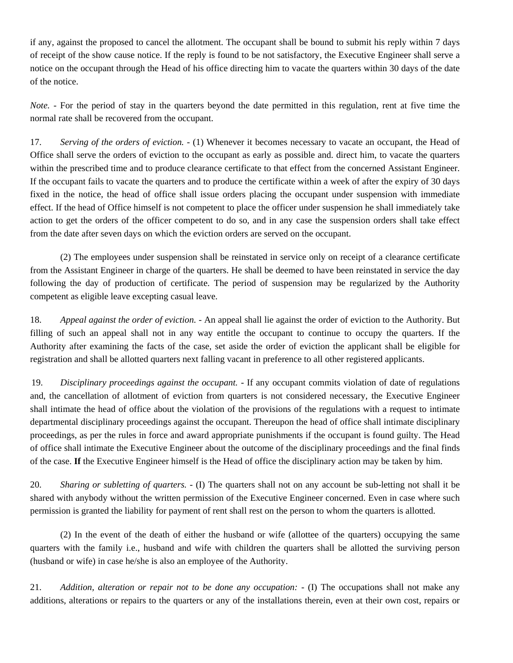if any, against the proposed to cancel the allotment. The occupant shall be bound to submit his reply within 7 days of receipt of the show cause notice. If the reply is found to be not satisfactory, the Executive Engineer shall serve a notice on the occupant through the Head of his office directing him to vacate the quarters within 30 days of the date of the notice.

*Note.* - For the period of stay in the quarters beyond the date permitted in this regulation, rent at five time the normal rate shall be recovered from the occupant.

17. *Serving of the orders of eviction.* - (1) Whenever it becomes necessary to vacate an occupant, the Head of Office shall serve the orders of eviction to the occupant as early as possible and. direct him, to vacate the quarters within the prescribed time and to produce clearance certificate to that effect from the concerned Assistant Engineer. If the occupant fails to vacate the quarters and to produce the certificate within a week of after the expiry of 30 days fixed in the notice, the head of office shall issue orders placing the occupant under suspension with immediate effect. If the head of Office himself is not competent to place the officer under suspension he shall immediately take action to get the orders of the officer competent to do so, and in any case the suspension orders shall take effect from the date after seven days on which the eviction orders are served on the occupant.

(2) The employees under suspension shall be reinstated in service only on receipt of a clearance certificate from the Assistant Engineer in charge of the quarters. He shall be deemed to have been reinstated in service the day following the day of production of certificate. The period of suspension may be regularized by the Authority competent as eligible leave excepting casual leave.

18. *Appeal against the order of eviction.* - An appeal shall lie against the order of eviction to the Authority. But filling of such an appeal shall not in any way entitle the occupant to continue to occupy the quarters. If the Authority after examining the facts of the case, set aside the order of eviction the applicant shall be eligible for registration and shall be allotted quarters next falling vacant in preference to all other registered applicants.

19. *Disciplinary proceedings against the occupant.* - If any occupant commits violation of date of regulations and, the cancellation of allotment of eviction from quarters is not considered necessary, the Executive Engineer shall intimate the head of office about the violation of the provisions of the regulations with a request to intimate departmental disciplinary proceedings against the occupant. Thereupon the head of office shall intimate disciplinary proceedings, as per the rules in force and award appropriate punishments if the occupant is found guilty. The Head of office shall intimate the Executive Engineer about the outcome of the disciplinary proceedings and the final finds of the case. **If** the Executive Engineer himself is the Head of office the disciplinary action may be taken by him.

20. *Sharing or subletting of quarters.* - (I) The quarters shall not on any account be sub-letting not shall it be shared with anybody without the written permission of the Executive Engineer concerned. Even in case where such permission is granted the liability for payment of rent shall rest on the person to whom the quarters is allotted.

(2) In the event of the death of either the husband or wife (allottee of the quarters) occupying the same quarters with the family i.e., husband and wife with children the quarters shall be allotted the surviving person (husband or wife) in case he/she is also an employee of the Authority.

21. *Addition, alteration or repair not to be done any occupation: -* (I) The occupations shall not make any additions, alterations or repairs to the quarters or any of the installations therein, even at their own cost, repairs or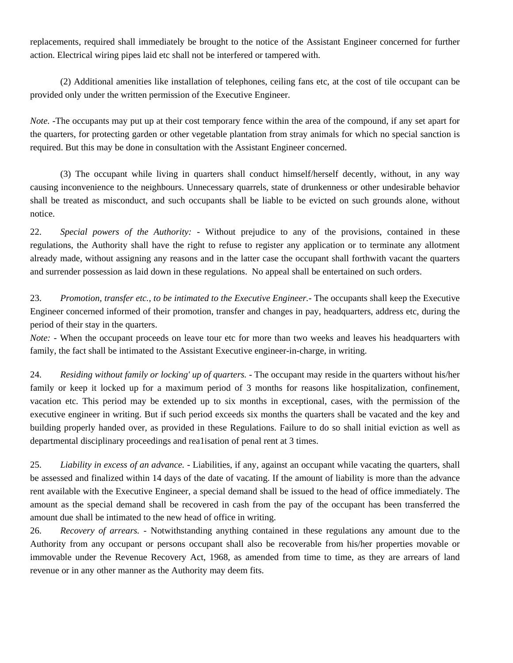replacements, required shall immediately be brought to the notice of the Assistant Engineer concerned for further action. Electrical wiring pipes laid etc shall not be interfered or tampered with.

(2) Additional amenities like installation of telephones, ceiling fans etc, at the cost of tile occupant can be provided only under the written permission of the Executive Engineer.

*Note.* -The occupants may put up at their cost temporary fence within the area of the compound, if any set apart for the quarters, for protecting garden or other vegetable plantation from stray animals for which no special sanction is required. But this may be done in consultation with the Assistant Engineer concerned.

(3) The occupant while living in quarters shall conduct himself/herself decently, without, in any way causing inconvenience to the neighbours. Unnecessary quarrels, state of drunkenness or other undesirable behavior shall be treated as misconduct, and such occupants shall be liable to be evicted on such grounds alone, without notice.

22. *Special powers of the Authority: -* Without prejudice to any of the provisions, contained in these regulations, the Authority shall have the right to refuse to register any application or to terminate any allotment already made, without assigning any reasons and in the latter case the occupant shall forthwith vacant the quarters and surrender possession as laid down in these regulations. No appeal shall be entertained on such orders.

23. *Promotion, transfer etc., to be intimated to the Executive Engineer.-* The occupants shall keep the Executive Engineer concerned informed of their promotion, transfer and changes in pay, headquarters, address etc, during the period of their stay in the quarters.

*Note:* - When the occupant proceeds on leave tour etc for more than two weeks and leaves his headquarters with family, the fact shall be intimated to the Assistant Executive engineer-in-charge, in writing.

24. *Residing without family or locking' up of quarters.* - The occupant may reside in the quarters without his/her family or keep it locked up for a maximum period of 3 months for reasons like hospitalization, confinement, vacation etc. This period may be extended up to six months in exceptional, cases, with the permission of the executive engineer in writing. But if such period exceeds six months the quarters shall be vacated and the key and building properly handed over, as provided in these Regulations. Failure to do so shall initial eviction as well as departmental disciplinary proceedings and rea1isation of penal rent at 3 times.

25. *Liability in excess of an advance.* - Liabilities, if any, against an occupant while vacating the quarters, shall be assessed and finalized within 14 days of the date of vacating. If the amount of liability is more than the advance rent available with the Executive Engineer, a special demand shall be issued to the head of office immediately. The amount as the special demand shall be recovered in cash from the pay of the occupant has been transferred the amount due shall be intimated to the new head of office in writing.

26. *Recovery of arrears. -* Notwithstanding anything contained in these regulations any amount due to the Authority from any occupant or persons occupant shall also be recoverable from his/her properties movable or immovable under the Revenue Recovery Act, 1968, as amended from time to time, as they are arrears of land revenue or in any other manner as the Authority may deem fits.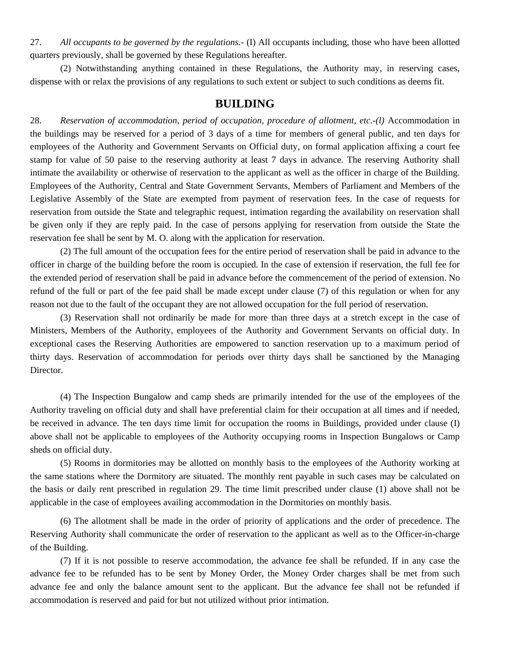27. *All occupants to be governed by the regulations.-* (I) All occupants including, those who have been allotted quarters previously, shall be governed by these Regulations hereafter.

 (2) Notwithstanding anything contained in these Regulations, the Authority may, in reserving cases, dispense with or relax the provisions of any regulations to such extent or subject to such conditions as deems fit.

#### **BUILDING**

28. *Reservation of accommodation, period of occupation, procedure of allotment, etc.-(l)* Accommodation in the buildings may be reserved for a period of 3 days of a time for members of general public, and ten days for employees of the Authority and Government Servants on Official duty, on formal application affixing a court fee stamp for value of 50 paise to the reserving authority at least 7 days in advance. The reserving Authority shall intimate the availability or otherwise of reservation to the applicant as well as the officer in charge of the Building. Employees of the Authority, Central and State Government Servants, Members of Parliament and Members of the Legislative Assembly of the State are exempted from payment of reservation fees. In the case of requests for reservation from outside the State and telegraphic request, intimation regarding the availability on reservation shall be given only if they are reply paid. In the case of persons applying for reservation from outside the State the reservation fee shall be sent by M. O. along with the application for reservation.

(2) The full amount of the occupation fees for the entire period of reservation shall be paid in advance to the officer in charge of the building before the room is occupied. In the case of extension if reservation, the full fee for the extended period of reservation shall be paid in advance before the commencement of the period of extension. No refund of the full or part of the fee paid shall be made except under clause (7) of this regulation or when for any reason not due to the fault of the occupant they are not allowed occupation for the full period of reservation.

(3) Reservation shall not ordinarily be made for more than three days at a stretch except in the case of Ministers, Members of the Authority, employees of the Authority and Government Servants on official duty. In exceptional cases the Reserving Authorities are empowered to sanction reservation up to a maximum period of thirty days. Reservation of accommodation for periods over thirty days shall be sanctioned by the Managing Director.

(4) The Inspection Bungalow and camp sheds are primarily intended for the use of the employees of the Authority traveling on official duty and shall have preferential claim for their occupation at all times and if needed, be received in advance. The ten days time limit for occupation the rooms in Buildings, provided under clause (I) above shall not be applicable to employees of the Authority occupying rooms in Inspection Bungalows or Camp sheds on official duty.

(5) Rooms in dormitories may be allotted on monthly basis to the employees of the Authority working at the same stations where the Dormitory are situated. The monthly rent payable in such cases may be calculated on the basis or daily rent prescribed in regulation 29. The time limit prescribed under clause (1) above shall not be applicable in the case of employees availing accommodation in the Dormitories on monthly basis.

(6) The allotment shall be made in the order of priority of applications and the order of precedence. The Reserving Authority shall communicate the order of reservation to the applicant as well as to the Officer-in-charge of the Building.

 (7) If it is not possible to reserve accommodation, the advance fee shall be refunded. If in any case the advance fee to be refunded has to be sent by Money Order, the Money Order charges shall be met from such advance fee and only the balance amount sent to the applicant. But the advance fee shall not be refunded if accommodation is reserved and paid for but not utilized without prior intimation.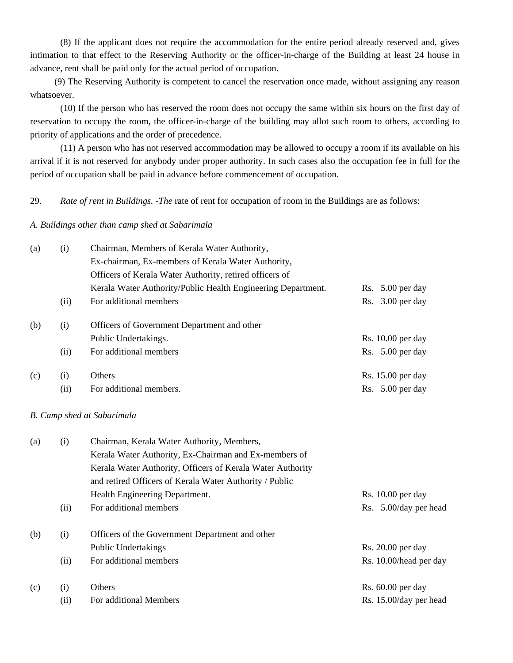(8) If the applicant does not require the accommodation for the entire period already reserved and, gives intimation to that effect to the Reserving Authority or the officer-in-charge of the Building at least 24 house in advance, rent shall be paid only for the actual period of occupation.

 (9) The Reserving Authority is competent to cancel the reservation once made, without assigning any reason whatsoever.

(10) If the person who has reserved the room does not occupy the same within six hours on the first day of reservation to occupy the room, the officer-in-charge of the building may allot such room to others, according to priority of applications and the order of precedence.

(11) A person who has not reserved accommodation may be allowed to occupy a room if its available on his arrival if it is not reserved for anybody under proper authority. In such cases also the occupation fee in full for the period of occupation shall be paid in advance before commencement of occupation.

29. *Rate of rent in Buildings. -The* rate of rent for occupation of room in the Buildings are as follows:

#### *A. Buildings other than camp shed at Sabarimala*

| (a) | (i)  | Chairman, Members of Kerala Water Authority,                 |                     |
|-----|------|--------------------------------------------------------------|---------------------|
|     |      | Ex-chairman, Ex-members of Kerala Water Authority,           |                     |
|     |      | Officers of Kerala Water Authority, retired officers of      |                     |
|     |      | Kerala Water Authority/Public Health Engineering Department. | $Rs. 5.00$ per day  |
|     | (ii) | For additional members                                       | Rs. $3.00$ per day  |
| (b) | (i)  | Officers of Government Department and other                  |                     |
|     |      | Public Undertakings.                                         | Rs. $10.00$ per day |
|     | (ii) | For additional members                                       | Rs. $5.00$ per day  |
| (c) | (i)  | Others                                                       | Rs. 15.00 per day   |
|     | (ii) | For additional members.                                      | $Rs. 5.00$ per day  |

#### *B. Camp shed at Sabarimala*

| (a) | (i)  |                                                            |                        |  |  |  |
|-----|------|------------------------------------------------------------|------------------------|--|--|--|
|     |      | Kerala Water Authority, Ex-Chairman and Ex-members of      |                        |  |  |  |
|     |      | Kerala Water Authority, Officers of Kerala Water Authority |                        |  |  |  |
|     |      | and retired Officers of Kerala Water Authority / Public    |                        |  |  |  |
|     |      | Health Engineering Department.                             | $Rs. 10.00$ per day    |  |  |  |
|     | (ii) | For additional members                                     | Rs. 5.00/day per head  |  |  |  |
| (b) | (i)  | Officers of the Government Department and other            |                        |  |  |  |
|     |      | Public Undertakings                                        | $Rs. 20.00$ per day    |  |  |  |
|     | (ii) | For additional members                                     | Rs. 10.00/head per day |  |  |  |
| (c) | (i)  | Others                                                     | $Rs. 60.00$ per day    |  |  |  |
|     | (ii) | For additional Members                                     | Rs. 15.00/day per head |  |  |  |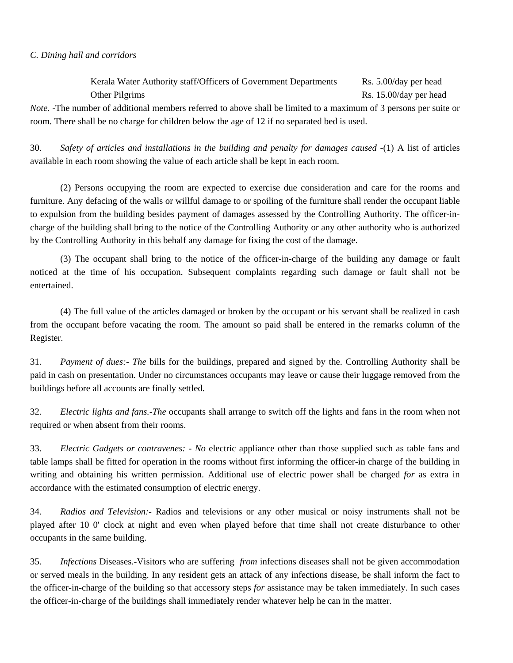#### *C. Dining hall and corridors*

Kerala Water Authority staff/Officers of Government Departments Rs. 5.00/day per head Other Pilgrims Rs. 15.00/day per head *Note.* -The number of additional members referred to above shall be limited to a maximum of 3 persons per suite or room. There shall be no charge for children below the age of 12 if no separated bed is used.

30. *Safety of articles and installations in the building and penalty for damages caused* -(1) A list of articles available in each room showing the value of each article shall be kept in each room.

(2) Persons occupying the room are expected to exercise due consideration and care for the rooms and furniture. Any defacing of the walls or willful damage to or spoiling of the furniture shall render the occupant liable to expulsion from the building besides payment of damages assessed by the Controlling Authority. The officer-incharge of the building shall bring to the notice of the Controlling Authority or any other authority who is authorized by the Controlling Authority in this behalf any damage for fixing the cost of the damage.

(3) The occupant shall bring to the notice of the officer-in-charge of the building any damage or fault noticed at the time of his occupation. Subsequent complaints regarding such damage or fault shall not be entertained.

(4) The full value of the articles damaged or broken by the occupant or his servant shall be realized in cash from the occupant before vacating the room. The amount so paid shall be entered in the remarks column of the Register.

31. *Payment of dues:- The* bills for the buildings, prepared and signed by the. Controlling Authority shall be paid in cash on presentation. Under no circumstances occupants may leave or cause their luggage removed from the buildings before all accounts are finally settled.

32. *Electric lights and fans.-The* occupants shall arrange to switch off the lights and fans in the room when not required or when absent from their rooms.

33. *Electric Gadgets or contravenes: - No* electric appliance other than those supplied such as table fans and table lamps shall be fitted for operation in the rooms without first informing the officer-in charge of the building in writing and obtaining his written permission. Additional use of electric power shall be charged *for* as extra in accordance with the estimated consumption of electric energy.

34. *Radios and Television:*- Radios and televisions or any other musical or noisy instruments shall not be played after 10 0' clock at night and even when played before that time shall not create disturbance to other occupants in the same building.

35. *Infections* Diseases.-Visitors who are suffering *from* infections diseases shall not be given accommodation or served meals in the building. In any resident gets an attack of any infections disease, be shall inform the fact to the officer-in-charge of the building so that accessory steps *for* assistance may be taken immediately. In such cases the officer-in-charge of the buildings shall immediately render whatever help he can in the matter.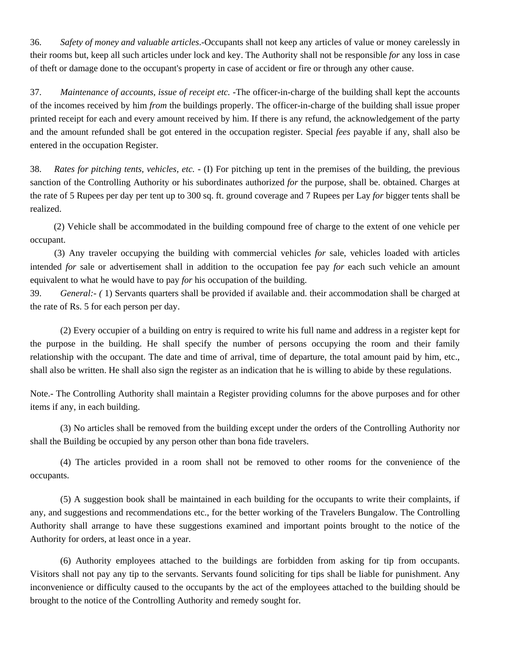36. *Safety of money and valuable articles*.-Occupants shall not keep any articles of value or money carelessly in their rooms but, keep all such articles under lock and key. The Authority shall not be responsible *for* any loss in case of theft or damage done to the occupant's property in case of accident or fire or through any other cause.

37. *Maintenance of accounts, issue of receipt etc.* -The officer-in-charge of the building shall kept the accounts of the incomes received by him *from* the buildings properly. The officer-in-charge of the building shall issue proper printed receipt for each and every amount received by him. If there is any refund, the acknowledgement of the party and the amount refunded shall be got entered in the occupation register. Special *fees* payable if any, shall also be entered in the occupation Register.

38. *Rates for pitching tents, vehicles, etc.* - (I) For pitching up tent in the premises of the building, the previous sanction of the Controlling Authority or his subordinates authorized *for* the purpose, shall be. obtained. Charges at the rate of 5 Rupees per day per tent up to 300 sq. ft. ground coverage and 7 Rupees per Lay *for* bigger tents shall be realized.

(2) Vehicle shall be accommodated in the building compound free of charge to the extent of one vehicle per occupant.

 (3) Any traveler occupying the building with commercial vehicles *for* sale, vehicles loaded with articles intended *for* sale or advertisement shall in addition to the occupation fee pay *for* each such vehicle an amount equivalent to what he would have to pay *for* his occupation of the building.

39. *General:- (* 1) Servants quarters shall be provided if available and. their accommodation shall be charged at the rate of Rs. 5 for each person per day.

(2) Every occupier of a building on entry is required to write his full name and address in a register kept for the purpose in the building. He shall specify the number of persons occupying the room and their family relationship with the occupant. The date and time of arrival, time of departure, the total amount paid by him, etc., shall also be written. He shall also sign the register as an indication that he is willing to abide by these regulations.

Note.- The Controlling Authority shall maintain a Register providing columns for the above purposes and for other items if any, in each building.

(3) No articles shall be removed from the building except under the orders of the Controlling Authority nor shall the Building be occupied by any person other than bona fide travelers.

(4) The articles provided in a room shall not be removed to other rooms for the convenience of the occupants.

(5) A suggestion book shall be maintained in each building for the occupants to write their complaints, if any, and suggestions and recommendations etc., for the better working of the Travelers Bungalow. The Controlling Authority shall arrange to have these suggestions examined and important points brought to the notice of the Authority for orders, at least once in a year.

(6) Authority employees attached to the buildings are forbidden from asking for tip from occupants. Visitors shall not pay any tip to the servants. Servants found soliciting for tips shall be liable for punishment. Any inconvenience or difficulty caused to the occupants by the act of the employees attached to the building should be brought to the notice of the Controlling Authority and remedy sought for.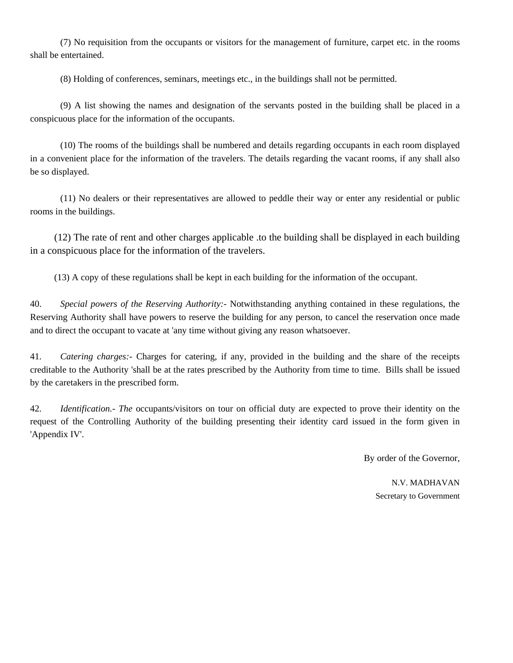(7) No requisition from the occupants or visitors for the management of furniture, carpet etc. in the rooms shall be entertained.

(8) Holding of conferences, seminars, meetings etc., in the buildings shall not be permitted.

(9) A list showing the names and designation of the servants posted in the building shall be placed in a conspicuous place for the information of the occupants.

(10) The rooms of the buildings shall be numbered and details regarding occupants in each room displayed in a convenient place for the information of the travelers. The details regarding the vacant rooms, if any shall also be so displayed.

 (11) No dealers or their representatives are allowed to peddle their way or enter any residential or public rooms in the buildings.

 (12) The rate of rent and other charges applicable .to the building shall be displayed in each building in a conspicuous place for the information of the travelers.

(13) A copy of these regulations shall be kept in each building for the information of the occupant.

40. *Special powers of the Reserving Authority:-* Notwithstanding anything contained in these regulations, the Reserving Authority shall have powers to reserve the building for any person, to cancel the reservation once made and to direct the occupant to vacate at 'any time without giving any reason whatsoever.

41. *Catering charges:-* Charges for catering, if any, provided in the building and the share of the receipts creditable to the Authority 'shall be at the rates prescribed by the Authority from time to time. Bills shall be issued by the caretakers in the prescribed form.

42. *Identification.- The* occupants/visitors on tour on official duty are expected to prove their identity on the request of the Controlling Authority of the building presenting their identity card issued in the form given in 'Appendix IV'.

By order of the Governor,

N.V. MADHAVAN Secretary to Government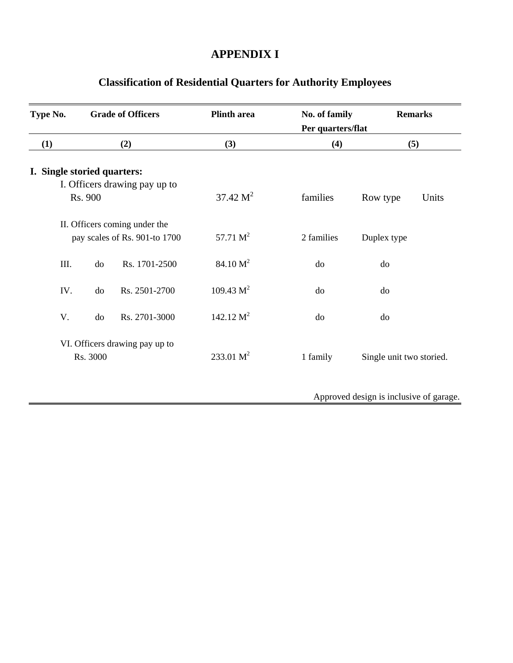## **APPENDIX I**

| Type No.                    |          | <b>Grade of Officers</b>       | <b>Plinth area</b>   | No. of family<br>Per quarters/flat | <b>Remarks</b>                          |
|-----------------------------|----------|--------------------------------|----------------------|------------------------------------|-----------------------------------------|
| (1)                         |          | (2)                            | (3)                  | (4)                                | (5)                                     |
| I. Single storied quarters: |          |                                |                      |                                    |                                         |
|                             |          | I. Officers drawing pay up to  |                      |                                    |                                         |
|                             | Rs. 900  |                                | 37.42 M <sup>2</sup> | families                           | Row type<br>Units                       |
|                             |          | II. Officers coming under the  |                      |                                    |                                         |
|                             |          | pay scales of Rs. 901-to 1700  | 57.71 $M^2$          | 2 families                         | Duplex type                             |
| III.                        | do       | Rs. 1701-2500                  | 84.10 M <sup>2</sup> | do                                 | do                                      |
| IV.                         | do       | Rs. 2501-2700                  | $109.43 \text{ M}^2$ | do                                 | do                                      |
| V.                          | do       | Rs. 2701-3000                  | 142.12 $M^2$         | do                                 | do                                      |
|                             |          | VI. Officers drawing pay up to |                      |                                    |                                         |
|                             | Rs. 3000 |                                | 233.01 $M^2$         | 1 family                           | Single unit two storied.                |
|                             |          |                                |                      |                                    | Approved design is inclusive of garage. |

# **Classification of Residential Quarters for Authority Employees**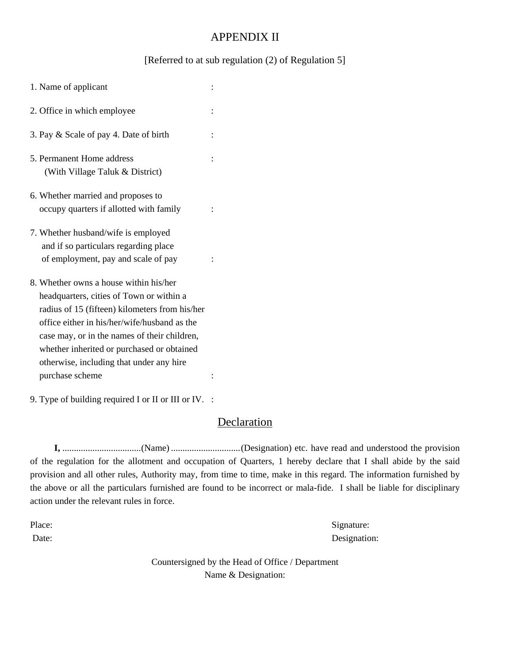## APPENDIX II

#### [Referred to at sub regulation (2) of Regulation 5]

| 1. Name of applicant                                                                                                                                                                                                                                                                                                                              |  |
|---------------------------------------------------------------------------------------------------------------------------------------------------------------------------------------------------------------------------------------------------------------------------------------------------------------------------------------------------|--|
| 2. Office in which employee                                                                                                                                                                                                                                                                                                                       |  |
| 3. Pay & Scale of pay 4. Date of birth                                                                                                                                                                                                                                                                                                            |  |
| 5. Permanent Home address<br>(With Village Taluk & District)                                                                                                                                                                                                                                                                                      |  |
| 6. Whether married and proposes to<br>occupy quarters if allotted with family                                                                                                                                                                                                                                                                     |  |
| 7. Whether husband/wife is employed<br>and if so particulars regarding place<br>of employment, pay and scale of pay                                                                                                                                                                                                                               |  |
| 8. Whether owns a house within his/her<br>headquarters, cities of Town or within a<br>radius of 15 (fifteen) kilometers from his/her<br>office either in his/her/wife/husband as the<br>case may, or in the names of their children,<br>whether inherited or purchased or obtained<br>otherwise, including that under any hire<br>purchase scheme |  |

9. Type of building required I or II or III or IV. :

## **Declaration**

 **I,** .................................. (Name) .............................. (Designation) etc. have read and understood the provision of the regulation for the allotment and occupation of Quarters, 1 hereby declare that I shall abide by the said provision and all other rules, Authority may, from time to time, make in this regard. The information furnished by the above or all the particulars furnished are found to be incorrect or mala-fide. I shall be liable for disciplinary action under the relevant rules in force.

Place: Signature: Signature: Date: Designation:

> Countersigned by the Head of Office / Department Name & Designation: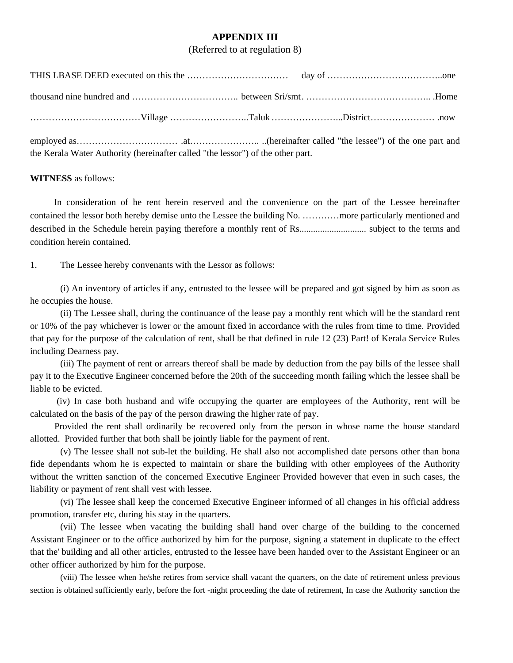#### **APPENDIX III**

(Referred to at regulation 8)

employed as…………………………… .at………………….. ..(hereinafter called "the lessee") of the one part and the Kerala Water Authority (hereinafter called "the lessor") of the other part.

#### **WITNESS** as follows:

In consideration of he rent herein reserved and the convenience on the part of the Lessee hereinafter contained the lessor both hereby demise unto the Lessee the building No. …………more particularly mentioned and described in the Schedule herein paying therefore a monthly rent of Rs............................. subject to the terms and condition herein contained.

1. The Lessee hereby convenants with the Lessor as follows:

(i) An inventory of articles if any, entrusted to the lessee will be prepared and got signed by him as soon as he occupies the house.

(ii) The Lessee shall, during the continuance of the lease pay a monthly rent which will be the standard rent or 10% of the pay whichever is lower or the amount fixed in accordance with the rules from time to time. Provided that pay for the purpose of the calculation of rent, shall be that defined in rule 12 (23) Part! of Kerala Service Rules including Dearness pay.

(iii) The payment of rent or arrears thereof shall be made by deduction from the pay bills of the lessee shall pay it to the Executive Engineer concerned before the 20th of the succeeding month failing which the lessee shall be liable to be evicted.

 (iv) In case both husband and wife occupying the quarter are employees of the Authority, rent will be calculated on the basis of the pay of the person drawing the higher rate of pay.

 Provided the rent shall ordinarily be recovered only from the person in whose name the house standard allotted. Provided further that both shall be jointly liable for the payment of rent.

(v) The lessee shall not sub-let the building. He shall also not accomplished date persons other than bona fide dependants whom he is expected to maintain or share the building with other employees of the Authority without the written sanction of the concerned Executive Engineer Provided however that even in such cases, the liability or payment of rent shall vest with lessee.

(vi) The lessee shall keep the concerned Executive Engineer informed of all changes in his official address promotion, transfer etc, during his stay in the quarters.

 (vii) The lessee when vacating the building shall hand over charge of the building to the concerned Assistant Engineer or to the office authorized by him for the purpose, signing a statement in duplicate to the effect that the' building and all other articles, entrusted to the lessee have been handed over to the Assistant Engineer or an other officer authorized by him for the purpose.

(viii) The lessee when he/she retires from service shall vacant the quarters, on the date of retirement unless previous section is obtained sufficiently early, before the fort -night proceeding the date of retirement, In case the Authority sanction the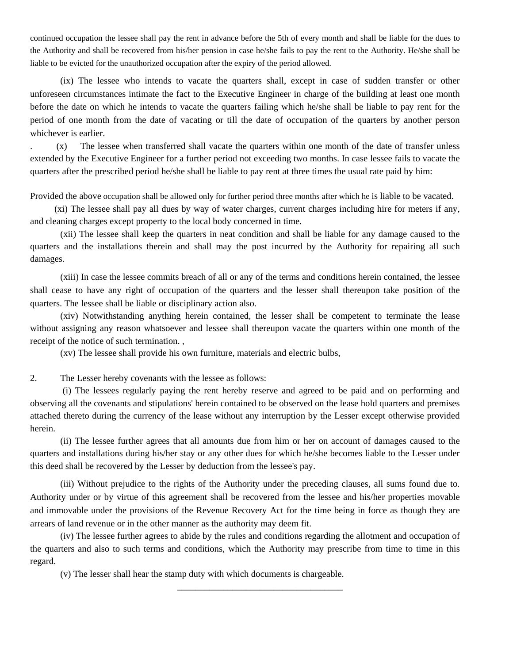continued occupation the lessee shall pay the rent in advance before the 5th of every month and shall be liable for the dues to the Authority and shall be recovered from his/her pension in case he/she fails to pay the rent to the Authority. He/she shall be liable to be evicted for the unauthorized occupation after the expiry of the period allowed.

(ix) The lessee who intends to vacate the quarters shall, except in case of sudden transfer or other unforeseen circumstances intimate the fact to the Executive Engineer in charge of the building at least one month before the date on which he intends to vacate the quarters failing which he/she shall be liable to pay rent for the period of one month from the date of vacating or till the date of occupation of the quarters by another person whichever is earlier.

. (x) The lessee when transferred shall vacate the quarters within one month of the date of transfer unless extended by the Executive Engineer for a further period not exceeding two months. In case lessee fails to vacate the quarters after the prescribed period he/she shall be liable to pay rent at three times the usual rate paid by him:

Provided the above occupation shall be allowed only for further period three months after which he is liable to be vacated.

 (xi) The lessee shall pay all dues by way of water charges, current charges including hire for meters if any, and cleaning charges except property to the local body concerned in time.

(xii) The lessee shall keep the quarters in neat condition and shall be liable for any damage caused to the quarters and the installations therein and shall may the post incurred by the Authority for repairing all such damages.

(xiii) In case the lessee commits breach of all or any of the terms and conditions herein contained, the lessee shall cease to have any right of occupation of the quarters and the lesser shall thereupon take position of the quarters. The lessee shall be liable or disciplinary action also.

(xiv) Notwithstanding anything herein contained, the lesser shall be competent to terminate the lease without assigning any reason whatsoever and lessee shall thereupon vacate the quarters within one month of the receipt of the notice of such termination. ,

(xv) The lessee shall provide his own furniture, materials and electric bulbs,

2. The Lesser hereby covenants with the lessee as follows:

 (i) The lessees regularly paying the rent hereby reserve and agreed to be paid and on performing and observing all the covenants and stipulations' herein contained to be observed on the lease hold quarters and premises attached thereto during the currency of the lease without any interruption by the Lesser except otherwise provided herein.

(ii) The lessee further agrees that all amounts due from him or her on account of damages caused to the quarters and installations during his/her stay or any other dues for which he/she becomes liable to the Lesser under this deed shall be recovered by the Lesser by deduction from the lessee's pay.

(iii) Without prejudice to the rights of the Authority under the preceding clauses, all sums found due to. Authority under or by virtue of this agreement shall be recovered from the lessee and his/her properties movable and immovable under the provisions of the Revenue Recovery Act for the time being in force as though they are arrears of land revenue or in the other manner as the authority may deem fit.

(iv) The lessee further agrees to abide by the rules and conditions regarding the allotment and occupation of the quarters and also to such terms and conditions, which the Authority may prescribe from time to time in this regard.

\_\_\_\_\_\_\_\_\_\_\_\_\_\_\_\_\_\_\_\_\_\_\_\_\_\_\_\_\_\_\_\_\_\_\_\_

(v) The lesser shall hear the stamp duty with which documents is chargeable.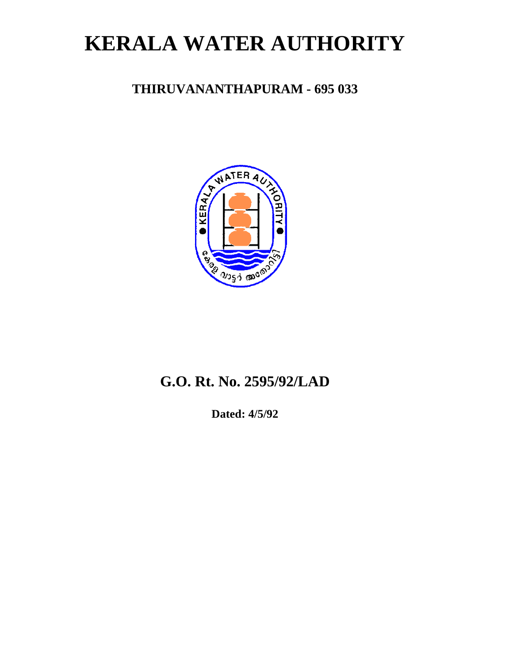# **KERALA WATER AUTHORITY**

## **THIRUVANANTHAPURAM - 695 033**



# **G.O. Rt. No. 2595/92/LAD**

**Dated: 4/5/92**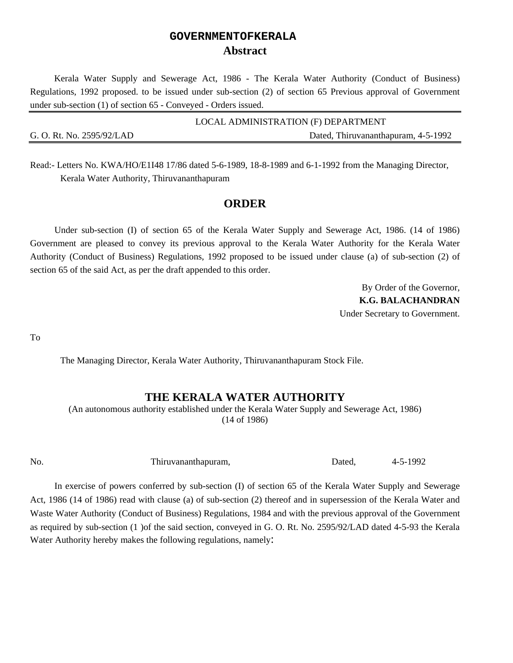## **GOVERNMENTOFKERALA Abstract**

Kerala Water Supply and Sewerage Act, 1986 - The Kerala Water Authority (Conduct of Business) Regulations, 1992 proposed. to be issued under sub-section (2) of section 65 Previous approval of Government under sub-section (1) of section 65 - Conveyed - Orders issued.

|                           | LOCAL ADMINISTRATION (F) DEPARTMENT |
|---------------------------|-------------------------------------|
| G. O. Rt. No. 2595/92/LAD | Dated, Thiruvananthapuram, 4-5-1992 |

Read:- Letters No. KWA/HO/E1I48 17/86 dated 5-6-1989, 18-8-1989 and 6-1-1992 from the Managing Director, Kerala Water Authority, Thiruvananthapuram

## **ORDER**

Under sub-section (I) of section 65 of the Kerala Water Supply and Sewerage Act, 1986. (14 of 1986) Government are pleased to convey its previous approval to the Kerala Water Authority for the Kerala Water Authority (Conduct of Business) Regulations, 1992 proposed to be issued under clause (a) of sub-section (2) of section 65 of the said Act, as per the draft appended to this order.

> By Order of the Governor, **K.G. BALACHANDRAN**  Under Secretary to Government.

To

The Managing Director, Kerala Water Authority, Thiruvananthapuram Stock File.

#### **THE KERALA WATER AUTHORITY**

(An autonomous authority established under the Kerala Water Supply and Sewerage Act, 1986) (14 of 1986)

No. Thiruvananthapuram, Dated, 4-5-1992

In exercise of powers conferred by sub-section (I) of section 65 of the Kerala Water Supply and Sewerage Act, 1986 (14 of 1986) read with clause (a) of sub-section (2) thereof and in supersession of the Kerala Water and Waste Water Authority (Conduct of Business) Regulations, 1984 and with the previous approval of the Government as required by sub-section (1 )of the said section, conveyed in G. O. Rt. No. 2595/92/LAD dated 4-5-93 the Kerala Water Authority hereby makes the following regulations, namely: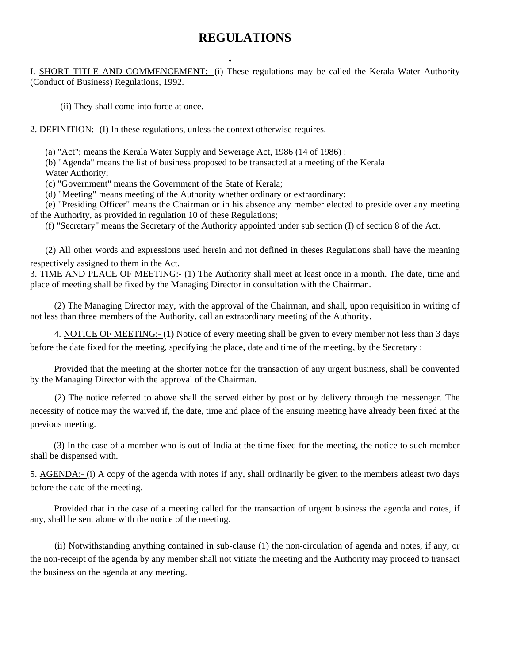## **REGULATIONS**

. I. SHORT TITLE AND COMMENCEMENT:- (i) These regulations may be called the Kerala Water Authority (Conduct of Business) Regulations, 1992.

(ii) They shall come into force at once.

2. DEFINITION:- (I) In these regulations, unless the context otherwise requires.

(a) "Act"; means the Kerala Water Supply and Sewerage Act, 1986 (14 of 1986) :

(b) "Agenda" means the list of business proposed to be transacted at a meeting of the Kerala Water Authority;

(c) "Government" means the Government of the State of Kerala;

(d) "Meeting" means meeting of the Authority whether ordinary or extraordinary;

(e) "Presiding Officer" means the Chairman or in his absence any member elected to preside over any meeting of the Authority, as provided in regulation 10 of these Regulations;

(f) "Secretary" means the Secretary of the Authority appointed under sub section (I) of section 8 of the Act.

(2) All other words and expressions used herein and not defined in theses Regulations shall have the meaning respectively assigned to them in the Act.

3. TIME AND PLACE OF MEETING:- (1) The Authority shall meet at least once in a month. The date, time and place of meeting shall be fixed by the Managing Director in consultation with the Chairman.

(2) The Managing Director may, with the approval of the Chairman, and shall, upon requisition in writing of not less than three members of the Authority, call an extraordinary meeting of the Authority.

4. NOTICE OF MEETING:- (1) Notice of every meeting shall be given to every member not less than 3 days before the date fixed for the meeting, specifying the place, date and time of the meeting, by the Secretary :

 Provided that the meeting at the shorter notice for the transaction of any urgent business, shall be convented by the Managing Director with the approval of the Chairman.

(2) The notice referred to above shall the served either by post or by delivery through the messenger. The necessity of notice may the waived if, the date, time and place of the ensuing meeting have already been fixed at the previous meeting.

(3) In the case of a member who is out of India at the time fixed for the meeting, the notice to such member shall be dispensed with.

5. AGENDA:- (i) A copy of the agenda with notes if any, shall ordinarily be given to the members atleast two days before the date of the meeting.

Provided that in the case of a meeting called for the transaction of urgent business the agenda and notes, if any, shall be sent alone with the notice of the meeting.

(ii) Notwithstanding anything contained in sub-clause (1) the non-circulation of agenda and notes, if any, or the non-receipt of the agenda by any member shall not vitiate the meeting and the Authority may proceed to transact the business on the agenda at any meeting.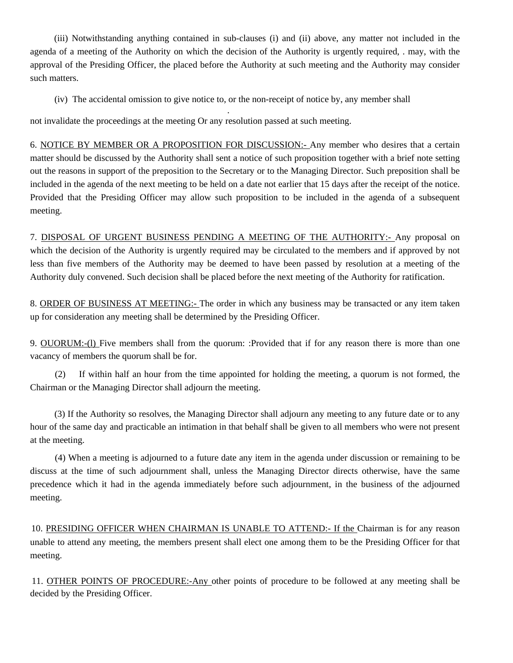(iii) Notwithstanding anything contained in sub-clauses (i) and (ii) above, any matter not included in the agenda of a meeting of the Authority on which the decision of the Authority is urgently required, . may, with the approval of the Presiding Officer, the placed before the Authority at such meeting and the Authority may consider such matters.

(iv) The accidental omission to give notice to, or the non-receipt of notice by, any member shall

 . not invalidate the proceedings at the meeting Or any resolution passed at such meeting.

6. NOTICE BY MEMBER OR A PROPOSITION FOR DISCUSSION:- Any member who desires that a certain matter should be discussed by the Authority shall sent a notice of such proposition together with a brief note setting out the reasons in support of the preposition to the Secretary or to the Managing Director. Such preposition shall be included in the agenda of the next meeting to be held on a date not earlier that 15 days after the receipt of the notice. Provided that the Presiding Officer may allow such proposition to be included in the agenda of a subsequent meeting.

7. DISPOSAL OF URGENT BUSINESS PENDING A MEETING OF THE AUTHORITY:- Any proposal on which the decision of the Authority is urgently required may be circulated to the members and if approved by not less than five members of the Authority may be deemed to have been passed by resolution at a meeting of the Authority duly convened. Such decision shall be placed before the next meeting of the Authority for ratification.

8. ORDER OF BUSINESS AT MEETING:- The order in which any business may be transacted or any item taken up for consideration any meeting shall be determined by the Presiding Officer.

9. OUORUM:-(l) Five members shall from the quorum: :Provided that if for any reason there is more than one vacancy of members the quorum shall be for.

 (2) If within half an hour from the time appointed for holding the meeting, a quorum is not formed, the Chairman or the Managing Director shall adjourn the meeting.

(3) If the Authority so resolves, the Managing Director shall adjourn any meeting to any future date or to any hour of the same day and practicable an intimation in that behalf shall be given to all members who were not present at the meeting.

(4) When a meeting is adjourned to a future date any item in the agenda under discussion or remaining to be discuss at the time of such adjournment shall, unless the Managing Director directs otherwise, have the same precedence which it had in the agenda immediately before such adjournment, in the business of the adjourned meeting.

10. PRESIDING OFFICER WHEN CHAIRMAN IS UNABLE TO ATTEND:- If the Chairman is for any reason unable to attend any meeting, the members present shall elect one among them to be the Presiding Officer for that meeting.

11. OTHER POINTS OF PROCEDURE:-Any other points of procedure to be followed at any meeting shall be decided by the Presiding Officer.